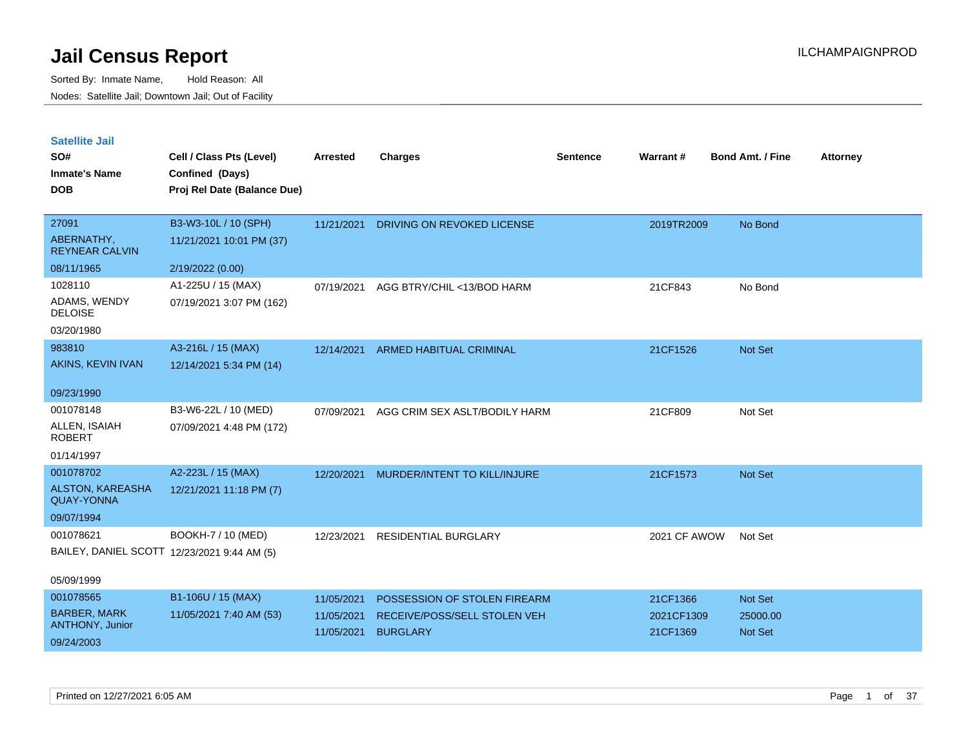| <b>Satellite Jail</b> |  |
|-----------------------|--|
|                       |  |

| SO#<br><b>Inmate's Name</b>                  | Cell / Class Pts (Level)<br>Confined (Days) | Arrested   | <b>Charges</b>                | <b>Sentence</b> | Warrant#     | <b>Bond Amt. / Fine</b> | <b>Attorney</b> |
|----------------------------------------------|---------------------------------------------|------------|-------------------------------|-----------------|--------------|-------------------------|-----------------|
| <b>DOB</b>                                   | Proj Rel Date (Balance Due)                 |            |                               |                 |              |                         |                 |
| 27091                                        | B3-W3-10L / 10 (SPH)                        | 11/21/2021 | DRIVING ON REVOKED LICENSE    |                 | 2019TR2009   | No Bond                 |                 |
| ABERNATHY,<br><b>REYNEAR CALVIN</b>          | 11/21/2021 10:01 PM (37)                    |            |                               |                 |              |                         |                 |
| 08/11/1965                                   | 2/19/2022 (0.00)                            |            |                               |                 |              |                         |                 |
| 1028110                                      | A1-225U / 15 (MAX)                          | 07/19/2021 | AGG BTRY/CHIL <13/BOD HARM    |                 | 21CF843      | No Bond                 |                 |
| ADAMS, WENDY<br><b>DELOISE</b>               | 07/19/2021 3:07 PM (162)                    |            |                               |                 |              |                         |                 |
| 03/20/1980                                   |                                             |            |                               |                 |              |                         |                 |
| 983810                                       | A3-216L / 15 (MAX)                          | 12/14/2021 | ARMED HABITUAL CRIMINAL       |                 | 21CF1526     | Not Set                 |                 |
| AKINS, KEVIN IVAN                            | 12/14/2021 5:34 PM (14)                     |            |                               |                 |              |                         |                 |
| 09/23/1990                                   |                                             |            |                               |                 |              |                         |                 |
| 001078148                                    | B3-W6-22L / 10 (MED)                        | 07/09/2021 | AGG CRIM SEX ASLT/BODILY HARM |                 | 21CF809      | Not Set                 |                 |
| ALLEN, ISAIAH<br><b>ROBERT</b>               | 07/09/2021 4:48 PM (172)                    |            |                               |                 |              |                         |                 |
| 01/14/1997                                   |                                             |            |                               |                 |              |                         |                 |
| 001078702                                    | A2-223L / 15 (MAX)                          | 12/20/2021 | MURDER/INTENT TO KILL/INJURE  |                 | 21CF1573     | Not Set                 |                 |
| <b>ALSTON, KAREASHA</b><br><b>QUAY-YONNA</b> | 12/21/2021 11:18 PM (7)                     |            |                               |                 |              |                         |                 |
| 09/07/1994                                   |                                             |            |                               |                 |              |                         |                 |
| 001078621                                    | BOOKH-7 / 10 (MED)                          | 12/23/2021 | RESIDENTIAL BURGLARY          |                 | 2021 CF AWOW | Not Set                 |                 |
|                                              | BAILEY, DANIEL SCOTT 12/23/2021 9:44 AM (5) |            |                               |                 |              |                         |                 |
| 05/09/1999                                   |                                             |            |                               |                 |              |                         |                 |
| 001078565                                    | B1-106U / 15 (MAX)                          | 11/05/2021 | POSSESSION OF STOLEN FIREARM  |                 | 21CF1366     | Not Set                 |                 |
| <b>BARBER, MARK</b>                          | 11/05/2021 7:40 AM (53)                     | 11/05/2021 | RECEIVE/POSS/SELL STOLEN VEH  |                 | 2021CF1309   | 25000.00                |                 |
| ANTHONY, Junior                              |                                             | 11/05/2021 | <b>BURGLARY</b>               |                 | 21CF1369     | Not Set                 |                 |
| 09/24/2003                                   |                                             |            |                               |                 |              |                         |                 |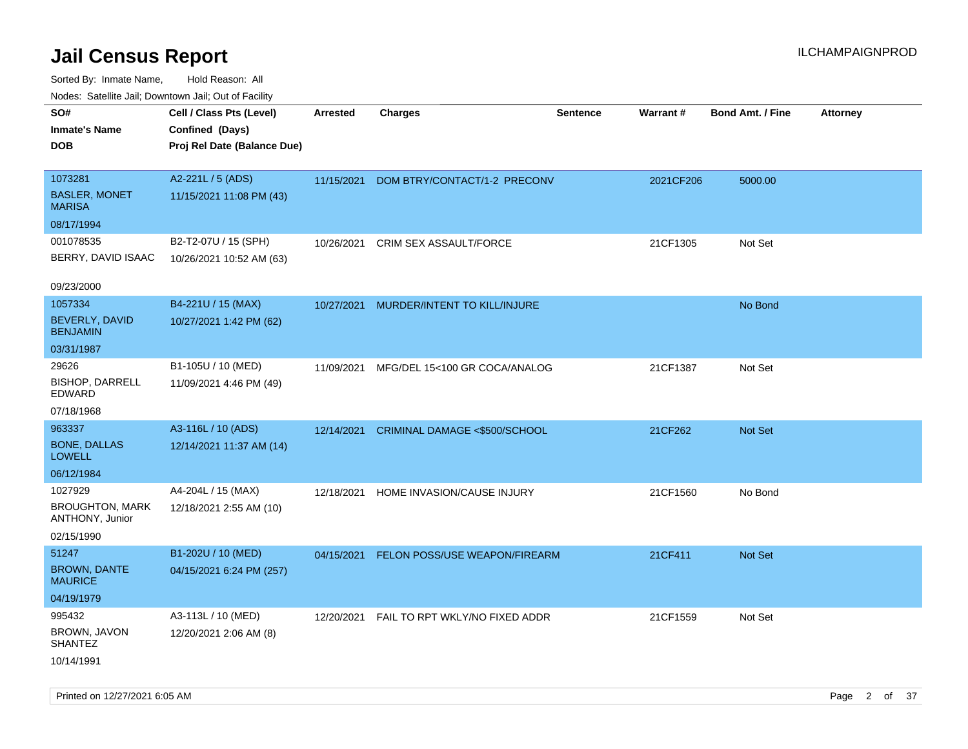| Nudes. Satellite Jali, Downtown Jali, Out of Facility |                             |                 |                                |                 |           |                         |                 |
|-------------------------------------------------------|-----------------------------|-----------------|--------------------------------|-----------------|-----------|-------------------------|-----------------|
| SO#                                                   | Cell / Class Pts (Level)    | <b>Arrested</b> | <b>Charges</b>                 | <b>Sentence</b> | Warrant#  | <b>Bond Amt. / Fine</b> | <b>Attorney</b> |
| Inmate's Name                                         | Confined (Days)             |                 |                                |                 |           |                         |                 |
| DOB                                                   | Proj Rel Date (Balance Due) |                 |                                |                 |           |                         |                 |
|                                                       |                             |                 |                                |                 |           |                         |                 |
| 1073281                                               | A2-221L / 5 (ADS)           | 11/15/2021      | DOM BTRY/CONTACT/1-2 PRECONV   |                 | 2021CF206 | 5000.00                 |                 |
| <b>BASLER, MONET</b><br>MARISA                        | 11/15/2021 11:08 PM (43)    |                 |                                |                 |           |                         |                 |
| 08/17/1994                                            |                             |                 |                                |                 |           |                         |                 |
| 001078535                                             | B2-T2-07U / 15 (SPH)        | 10/26/2021      | <b>CRIM SEX ASSAULT/FORCE</b>  |                 | 21CF1305  | Not Set                 |                 |
| BERRY, DAVID ISAAC                                    | 10/26/2021 10:52 AM (63)    |                 |                                |                 |           |                         |                 |
|                                                       |                             |                 |                                |                 |           |                         |                 |
| 09/23/2000                                            |                             |                 |                                |                 |           |                         |                 |
| 1057334                                               | B4-221U / 15 (MAX)          | 10/27/2021      | MURDER/INTENT TO KILL/INJURE   |                 |           | No Bond                 |                 |
| BEVERLY, DAVID<br><b>BENJAMIN</b>                     | 10/27/2021 1:42 PM (62)     |                 |                                |                 |           |                         |                 |
| 03/31/1987                                            |                             |                 |                                |                 |           |                         |                 |
| 29626                                                 | B1-105U / 10 (MED)          | 11/09/2021      | MFG/DEL 15<100 GR COCA/ANALOG  |                 | 21CF1387  | Not Set                 |                 |
| <b>BISHOP, DARRELL</b><br>EDWARD                      | 11/09/2021 4:46 PM (49)     |                 |                                |                 |           |                         |                 |
| 07/18/1968                                            |                             |                 |                                |                 |           |                         |                 |
| 963337                                                | A3-116L / 10 (ADS)          | 12/14/2021      | CRIMINAL DAMAGE <\$500/SCHOOL  |                 | 21CF262   | Not Set                 |                 |
| <b>BONE, DALLAS</b><br>LOWELL                         | 12/14/2021 11:37 AM (14)    |                 |                                |                 |           |                         |                 |
| 06/12/1984                                            |                             |                 |                                |                 |           |                         |                 |
| 1027929                                               | A4-204L / 15 (MAX)          | 12/18/2021      | HOME INVASION/CAUSE INJURY     |                 | 21CF1560  | No Bond                 |                 |
| <b>BROUGHTON, MARK</b><br>ANTHONY, Junior             | 12/18/2021 2:55 AM (10)     |                 |                                |                 |           |                         |                 |
| 02/15/1990                                            |                             |                 |                                |                 |           |                         |                 |
| 51247                                                 | B1-202U / 10 (MED)          | 04/15/2021      | FELON POSS/USE WEAPON/FIREARM  |                 | 21CF411   | Not Set                 |                 |
| <b>BROWN, DANTE</b><br>MAURICE                        | 04/15/2021 6:24 PM (257)    |                 |                                |                 |           |                         |                 |
| 04/19/1979                                            |                             |                 |                                |                 |           |                         |                 |
| 995432                                                | A3-113L / 10 (MED)          | 12/20/2021      | FAIL TO RPT WKLY/NO FIXED ADDR |                 | 21CF1559  | Not Set                 |                 |
| BROWN, JAVON<br>SHANTEZ                               | 12/20/2021 2:06 AM (8)      |                 |                                |                 |           |                         |                 |
| 10/14/1991                                            |                             |                 |                                |                 |           |                         |                 |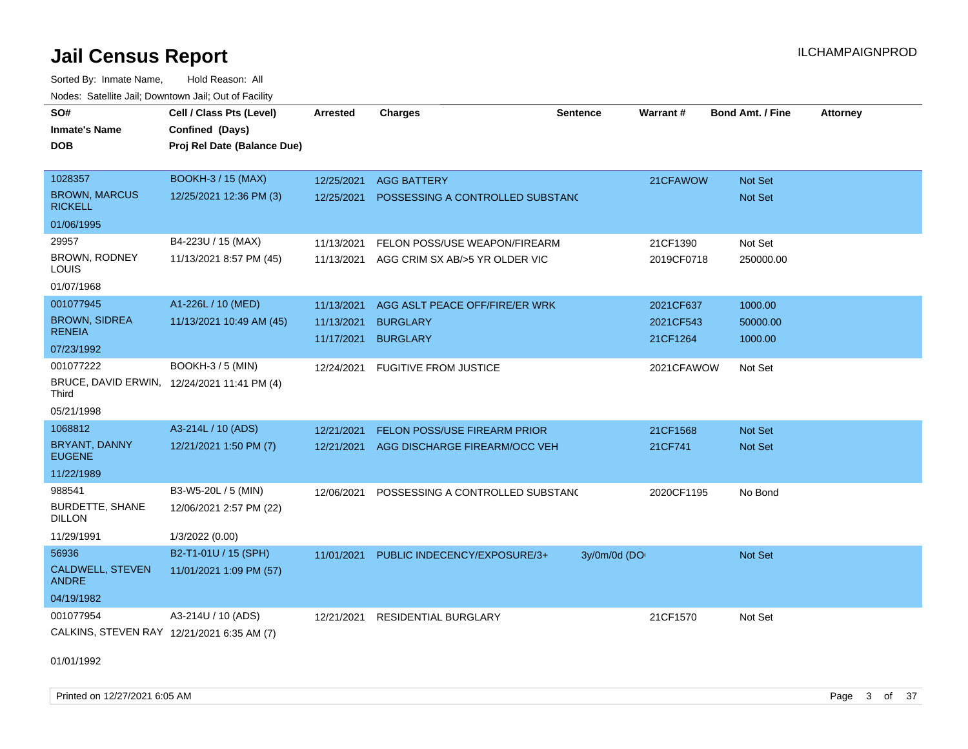Sorted By: Inmate Name, Hold Reason: All Nodes: Satellite Jail; Downtown Jail; Out of Facility

| SO#                                                  | Cell / Class Pts (Level)    | Arrested   | <b>Charges</b>                   | <b>Sentence</b> | Warrant#   | <b>Bond Amt. / Fine</b> | <b>Attorney</b> |
|------------------------------------------------------|-----------------------------|------------|----------------------------------|-----------------|------------|-------------------------|-----------------|
| <b>Inmate's Name</b>                                 | Confined (Days)             |            |                                  |                 |            |                         |                 |
| DOB                                                  | Proj Rel Date (Balance Due) |            |                                  |                 |            |                         |                 |
|                                                      |                             |            |                                  |                 |            |                         |                 |
| 1028357                                              | <b>BOOKH-3 / 15 (MAX)</b>   | 12/25/2021 | <b>AGG BATTERY</b>               |                 | 21CFAWOW   | Not Set                 |                 |
| <b>BROWN, MARCUS</b><br><b>RICKELL</b>               | 12/25/2021 12:36 PM (3)     | 12/25/2021 | POSSESSING A CONTROLLED SUBSTAND |                 |            | <b>Not Set</b>          |                 |
| 01/06/1995                                           |                             |            |                                  |                 |            |                         |                 |
| 29957                                                | B4-223U / 15 (MAX)          | 11/13/2021 | FELON POSS/USE WEAPON/FIREARM    |                 | 21CF1390   | Not Set                 |                 |
| BROWN, RODNEY<br>LOUIS                               | 11/13/2021 8:57 PM (45)     | 11/13/2021 | AGG CRIM SX AB/>5 YR OLDER VIC   |                 | 2019CF0718 | 250000.00               |                 |
| 01/07/1968                                           |                             |            |                                  |                 |            |                         |                 |
| 001077945                                            | A1-226L / 10 (MED)          | 11/13/2021 | AGG ASLT PEACE OFF/FIRE/ER WRK   |                 | 2021CF637  | 1000.00                 |                 |
| <b>BROWN, SIDREA</b>                                 | 11/13/2021 10:49 AM (45)    | 11/13/2021 | <b>BURGLARY</b>                  |                 | 2021CF543  | 50000.00                |                 |
| <b>RENEIA</b>                                        |                             | 11/17/2021 | <b>BURGLARY</b>                  |                 | 21CF1264   | 1000.00                 |                 |
| 07/23/1992                                           |                             |            |                                  |                 |            |                         |                 |
| 001077222                                            | <b>BOOKH-3 / 5 (MIN)</b>    | 12/24/2021 | <b>FUGITIVE FROM JUSTICE</b>     |                 | 2021CFAWOW | Not Set                 |                 |
| BRUCE, DAVID ERWIN, 12/24/2021 11:41 PM (4)<br>Third |                             |            |                                  |                 |            |                         |                 |
| 05/21/1998                                           |                             |            |                                  |                 |            |                         |                 |
| 1068812                                              | A3-214L / 10 (ADS)          | 12/21/2021 | FELON POSS/USE FIREARM PRIOR     |                 | 21CF1568   | <b>Not Set</b>          |                 |
| BRYANT, DANNY<br><b>EUGENE</b>                       | 12/21/2021 1:50 PM (7)      | 12/21/2021 | AGG DISCHARGE FIREARM/OCC VEH    |                 | 21CF741    | <b>Not Set</b>          |                 |
| 11/22/1989                                           |                             |            |                                  |                 |            |                         |                 |
| 988541                                               | B3-W5-20L / 5 (MIN)         | 12/06/2021 | POSSESSING A CONTROLLED SUBSTAND |                 | 2020CF1195 | No Bond                 |                 |
| <b>BURDETTE, SHANE</b><br>DILLON                     | 12/06/2021 2:57 PM (22)     |            |                                  |                 |            |                         |                 |
| 11/29/1991                                           | 1/3/2022 (0.00)             |            |                                  |                 |            |                         |                 |
| 56936                                                | B2-T1-01U / 15 (SPH)        | 11/01/2021 | PUBLIC INDECENCY/EXPOSURE/3+     | 3y/0m/0d (DO    |            | Not Set                 |                 |
| CALDWELL, STEVEN<br><b>ANDRE</b>                     | 11/01/2021 1:09 PM (57)     |            |                                  |                 |            |                         |                 |
| 04/19/1982                                           |                             |            |                                  |                 |            |                         |                 |
| 001077954                                            | A3-214U / 10 (ADS)          | 12/21/2021 | <b>RESIDENTIAL BURGLARY</b>      |                 | 21CF1570   | Not Set                 |                 |
| CALKINS, STEVEN RAY 12/21/2021 6:35 AM (7)           |                             |            |                                  |                 |            |                         |                 |

01/01/1992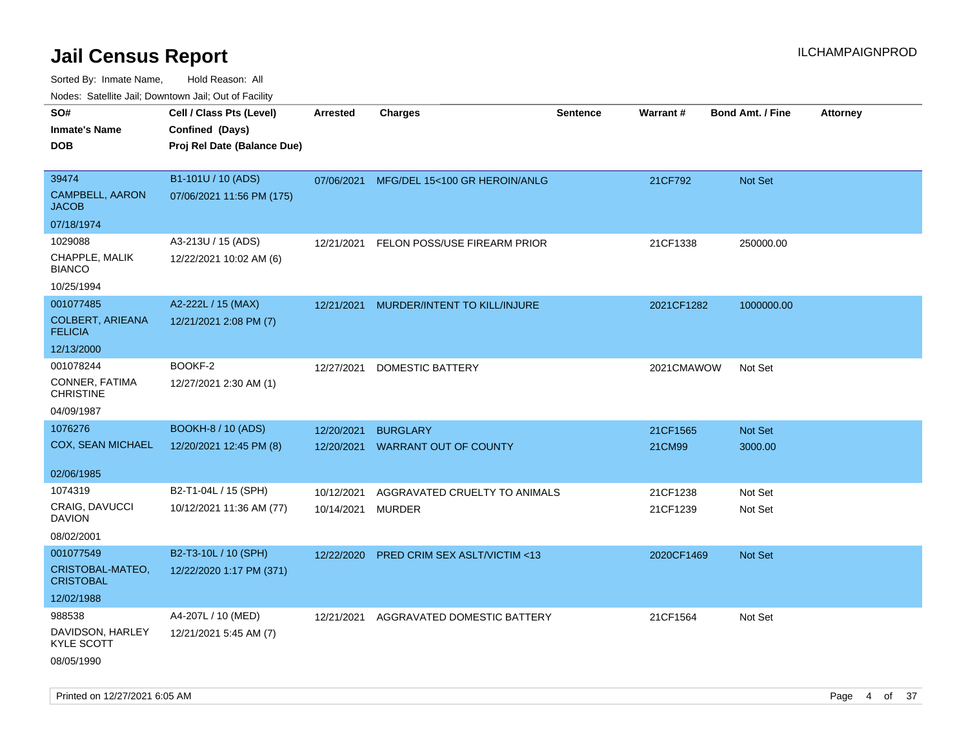Sorted By: Inmate Name, Hold Reason: All Nodes: Satellite Jail; Downtown Jail; Out of Facility

| rouco. Calcillo Jali, Downtown Jali, Out of Facility |                             |            |                                          |                 |            |                         |                 |
|------------------------------------------------------|-----------------------------|------------|------------------------------------------|-----------------|------------|-------------------------|-----------------|
| SO#                                                  | Cell / Class Pts (Level)    | Arrested   | <b>Charges</b>                           | <b>Sentence</b> | Warrant#   | <b>Bond Amt. / Fine</b> | <b>Attorney</b> |
| <b>Inmate's Name</b>                                 | Confined (Days)             |            |                                          |                 |            |                         |                 |
| DOB                                                  | Proj Rel Date (Balance Due) |            |                                          |                 |            |                         |                 |
|                                                      |                             |            |                                          |                 |            |                         |                 |
| 39474                                                | B1-101U / 10 (ADS)          |            | 07/06/2021 MFG/DEL 15<100 GR HEROIN/ANLG |                 | 21CF792    | <b>Not Set</b>          |                 |
| CAMPBELL, AARON<br>JACOB                             | 07/06/2021 11:56 PM (175)   |            |                                          |                 |            |                         |                 |
| 07/18/1974                                           |                             |            |                                          |                 |            |                         |                 |
| 1029088                                              | A3-213U / 15 (ADS)          | 12/21/2021 | FELON POSS/USE FIREARM PRIOR             |                 | 21CF1338   | 250000.00               |                 |
| CHAPPLE, MALIK<br>BIANCO                             | 12/22/2021 10:02 AM (6)     |            |                                          |                 |            |                         |                 |
| 10/25/1994                                           |                             |            |                                          |                 |            |                         |                 |
| 001077485                                            | A2-222L / 15 (MAX)          | 12/21/2021 | MURDER/INTENT TO KILL/INJURE             |                 | 2021CF1282 | 1000000.00              |                 |
| <b>COLBERT, ARIEANA</b><br><b>FELICIA</b>            | 12/21/2021 2:08 PM (7)      |            |                                          |                 |            |                         |                 |
| 12/13/2000                                           |                             |            |                                          |                 |            |                         |                 |
| 001078244                                            | BOOKF-2                     | 12/27/2021 | DOMESTIC BATTERY                         |                 | 2021CMAWOW | Not Set                 |                 |
| CONNER, FATIMA<br><b>CHRISTINE</b>                   | 12/27/2021 2:30 AM (1)      |            |                                          |                 |            |                         |                 |
| 04/09/1987                                           |                             |            |                                          |                 |            |                         |                 |
| 1076276                                              | <b>BOOKH-8 / 10 (ADS)</b>   | 12/20/2021 | <b>BURGLARY</b>                          |                 | 21CF1565   | <b>Not Set</b>          |                 |
| COX, SEAN MICHAEL                                    | 12/20/2021 12:45 PM (8)     |            | 12/20/2021 WARRANT OUT OF COUNTY         |                 | 21CM99     | 3000.00                 |                 |
|                                                      |                             |            |                                          |                 |            |                         |                 |
| 02/06/1985                                           |                             |            |                                          |                 |            |                         |                 |
| 1074319                                              | B2-T1-04L / 15 (SPH)        | 10/12/2021 | AGGRAVATED CRUELTY TO ANIMALS            |                 | 21CF1238   | Not Set                 |                 |
| CRAIG, DAVUCCI<br>DAVION                             | 10/12/2021 11:36 AM (77)    | 10/14/2021 | MURDER                                   |                 | 21CF1239   | Not Set                 |                 |
| 08/02/2001                                           |                             |            |                                          |                 |            |                         |                 |
| 001077549                                            | B2-T3-10L / 10 (SPH)        | 12/22/2020 | PRED CRIM SEX ASLT/VICTIM <13            |                 | 2020CF1469 | <b>Not Set</b>          |                 |
| CRISTOBAL-MATEO,<br>CRISTOBAL                        | 12/22/2020 1:17 PM (371)    |            |                                          |                 |            |                         |                 |
| 12/02/1988                                           |                             |            |                                          |                 |            |                         |                 |
| 988538                                               | A4-207L / 10 (MED)          | 12/21/2021 | AGGRAVATED DOMESTIC BATTERY              |                 | 21CF1564   | Not Set                 |                 |
| DAVIDSON, HARLEY<br>KYLE SCOTT                       | 12/21/2021 5:45 AM (7)      |            |                                          |                 |            |                         |                 |
| 08/05/1990                                           |                             |            |                                          |                 |            |                         |                 |

Printed on 12/27/2021 6:05 AM **Page 4 of 37**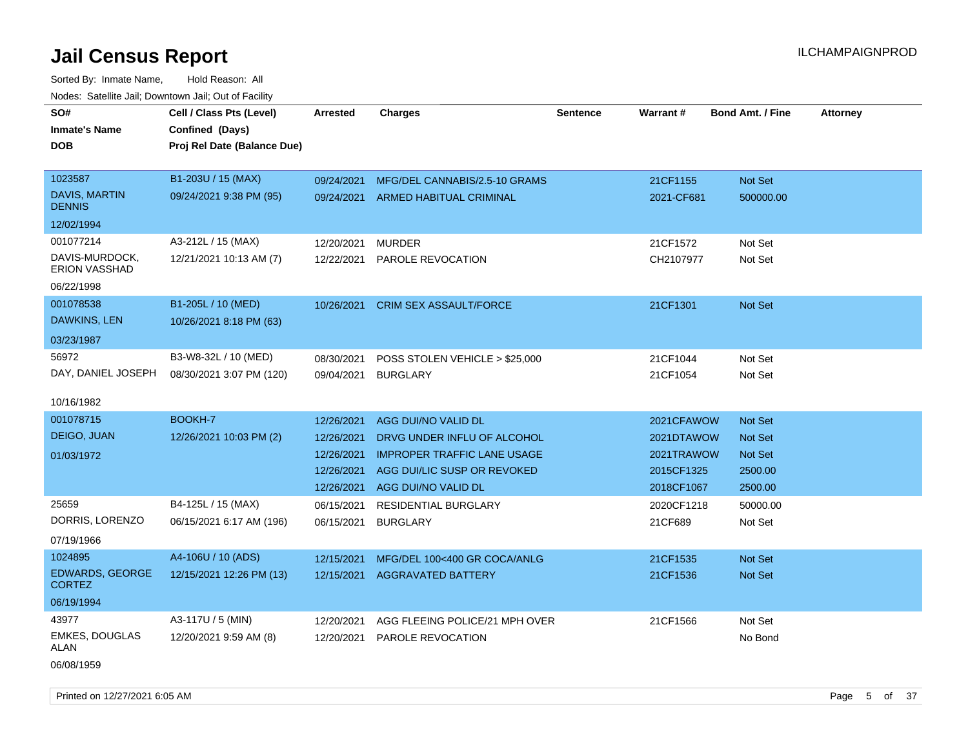| roaco. Calcinio dan, Downtown dan, Out or Fability |                             |                 |                                    |                 |            |                         |                 |
|----------------------------------------------------|-----------------------------|-----------------|------------------------------------|-----------------|------------|-------------------------|-----------------|
| SO#                                                | Cell / Class Pts (Level)    | <b>Arrested</b> | <b>Charges</b>                     | <b>Sentence</b> | Warrant#   | <b>Bond Amt. / Fine</b> | <b>Attorney</b> |
| <b>Inmate's Name</b>                               | Confined (Days)             |                 |                                    |                 |            |                         |                 |
| <b>DOB</b>                                         | Proj Rel Date (Balance Due) |                 |                                    |                 |            |                         |                 |
|                                                    |                             |                 |                                    |                 |            |                         |                 |
| 1023587                                            | B1-203U / 15 (MAX)          | 09/24/2021      | MFG/DEL CANNABIS/2.5-10 GRAMS      |                 | 21CF1155   | Not Set                 |                 |
| <b>DAVIS, MARTIN</b><br><b>DENNIS</b>              | 09/24/2021 9:38 PM (95)     |                 | 09/24/2021 ARMED HABITUAL CRIMINAL |                 | 2021-CF681 | 500000.00               |                 |
| 12/02/1994                                         |                             |                 |                                    |                 |            |                         |                 |
| 001077214                                          | A3-212L / 15 (MAX)          | 12/20/2021      | <b>MURDER</b>                      |                 | 21CF1572   | Not Set                 |                 |
| DAVIS-MURDOCK,<br>ERION VASSHAD                    | 12/21/2021 10:13 AM (7)     | 12/22/2021      | PAROLE REVOCATION                  |                 | CH2107977  | Not Set                 |                 |
| 06/22/1998                                         |                             |                 |                                    |                 |            |                         |                 |
| 001078538                                          | B1-205L / 10 (MED)          | 10/26/2021      | CRIM SEX ASSAULT/FORCE             |                 | 21CF1301   | Not Set                 |                 |
| DAWKINS, LEN                                       | 10/26/2021 8:18 PM (63)     |                 |                                    |                 |            |                         |                 |
| 03/23/1987                                         |                             |                 |                                    |                 |            |                         |                 |
| 56972                                              | B3-W8-32L / 10 (MED)        | 08/30/2021      | POSS STOLEN VEHICLE > \$25,000     |                 | 21CF1044   | Not Set                 |                 |
| DAY, DANIEL JOSEPH                                 | 08/30/2021 3:07 PM (120)    | 09/04/2021      | <b>BURGLARY</b>                    |                 | 21CF1054   | Not Set                 |                 |
|                                                    |                             |                 |                                    |                 |            |                         |                 |
| 10/16/1982                                         |                             |                 |                                    |                 |            |                         |                 |
| 001078715                                          | <b>BOOKH-7</b>              | 12/26/2021      | AGG DUI/NO VALID DL                |                 | 2021CFAWOW | Not Set                 |                 |
| DEIGO, JUAN                                        | 12/26/2021 10:03 PM (2)     | 12/26/2021      | DRVG UNDER INFLU OF ALCOHOL        |                 | 2021DTAWOW | Not Set                 |                 |
| 01/03/1972                                         |                             | 12/26/2021      | <b>IMPROPER TRAFFIC LANE USAGE</b> |                 | 2021TRAWOW | Not Set                 |                 |
|                                                    |                             | 12/26/2021      | AGG DUI/LIC SUSP OR REVOKED        |                 | 2015CF1325 | 2500.00                 |                 |
|                                                    |                             |                 | 12/26/2021 AGG DUI/NO VALID DL     |                 | 2018CF1067 | 2500.00                 |                 |
| 25659                                              | B4-125L / 15 (MAX)          | 06/15/2021      | <b>RESIDENTIAL BURGLARY</b>        |                 | 2020CF1218 | 50000.00                |                 |
| DORRIS, LORENZO                                    | 06/15/2021 6:17 AM (196)    | 06/15/2021      | <b>BURGLARY</b>                    |                 | 21CF689    | Not Set                 |                 |
| 07/19/1966                                         |                             |                 |                                    |                 |            |                         |                 |
| 1024895                                            | A4-106U / 10 (ADS)          | 12/15/2021      | MFG/DEL 100<400 GR COCA/ANLG       |                 | 21CF1535   | Not Set                 |                 |
| EDWARDS, GEORGE<br><b>CORTEZ</b>                   | 12/15/2021 12:26 PM (13)    |                 | 12/15/2021 AGGRAVATED BATTERY      |                 | 21CF1536   | Not Set                 |                 |
| 06/19/1994                                         |                             |                 |                                    |                 |            |                         |                 |
| 43977                                              | A3-117U / 5 (MIN)           | 12/20/2021      | AGG FLEEING POLICE/21 MPH OVER     |                 | 21CF1566   | Not Set                 |                 |
| <b>EMKES, DOUGLAS</b><br>ALAN                      | 12/20/2021 9:59 AM (8)      | 12/20/2021      | PAROLE REVOCATION                  |                 |            | No Bond                 |                 |
| 06/08/1959                                         |                             |                 |                                    |                 |            |                         |                 |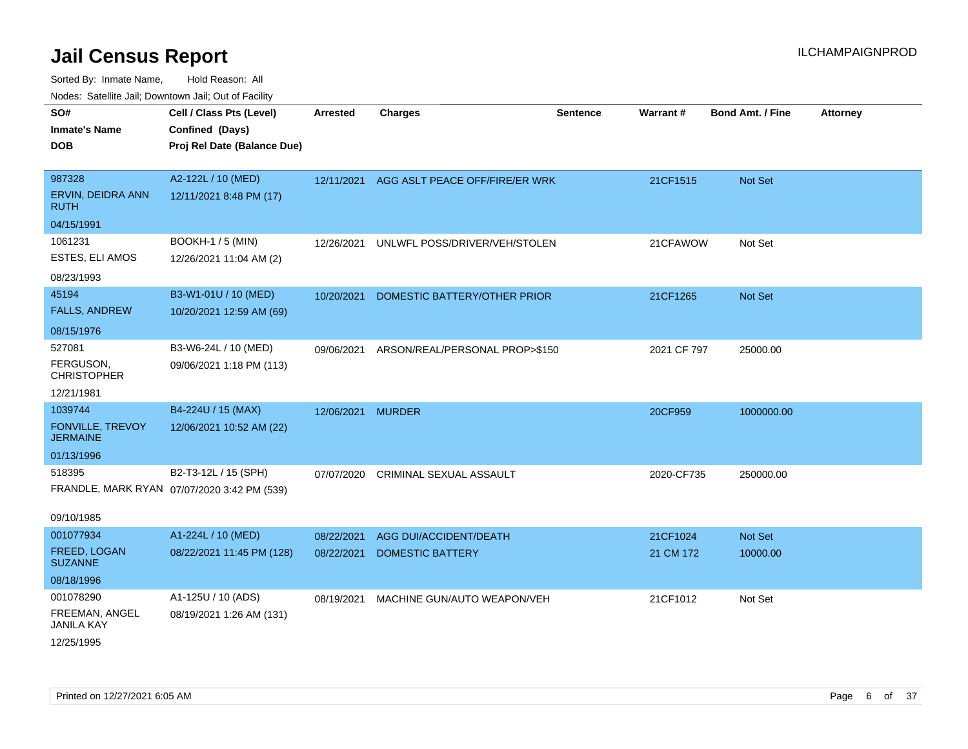| <b>Nouse:</b> Satellite Sall, Downtown Sall, Out of Fability |                                             |                 |                                |                 |                 |                         |                 |
|--------------------------------------------------------------|---------------------------------------------|-----------------|--------------------------------|-----------------|-----------------|-------------------------|-----------------|
| SO#                                                          | Cell / Class Pts (Level)                    | <b>Arrested</b> | Charges                        | <b>Sentence</b> | <b>Warrant#</b> | <b>Bond Amt. / Fine</b> | <b>Attorney</b> |
| <b>Inmate's Name</b>                                         | Confined (Days)                             |                 |                                |                 |                 |                         |                 |
| <b>DOB</b>                                                   | Proj Rel Date (Balance Due)                 |                 |                                |                 |                 |                         |                 |
|                                                              |                                             |                 |                                |                 |                 |                         |                 |
| 987328                                                       | A2-122L / 10 (MED)                          | 12/11/2021      | AGG ASLT PEACE OFF/FIRE/ER WRK |                 | 21CF1515        | Not Set                 |                 |
| ERVIN, DEIDRA ANN<br><b>RUTH</b>                             | 12/11/2021 8:48 PM (17)                     |                 |                                |                 |                 |                         |                 |
| 04/15/1991                                                   |                                             |                 |                                |                 |                 |                         |                 |
| 1061231                                                      | <b>BOOKH-1 / 5 (MIN)</b>                    | 12/26/2021      | UNLWFL POSS/DRIVER/VEH/STOLEN  |                 | 21CFAWOW        | Not Set                 |                 |
| ESTES, ELI AMOS                                              | 12/26/2021 11:04 AM (2)                     |                 |                                |                 |                 |                         |                 |
| 08/23/1993                                                   |                                             |                 |                                |                 |                 |                         |                 |
| 45194                                                        | B3-W1-01U / 10 (MED)                        | 10/20/2021      | DOMESTIC BATTERY/OTHER PRIOR   |                 | 21CF1265        | Not Set                 |                 |
| <b>FALLS, ANDREW</b>                                         | 10/20/2021 12:59 AM (69)                    |                 |                                |                 |                 |                         |                 |
| 08/15/1976                                                   |                                             |                 |                                |                 |                 |                         |                 |
| 527081                                                       | B3-W6-24L / 10 (MED)                        | 09/06/2021      | ARSON/REAL/PERSONAL PROP>\$150 |                 | 2021 CF 797     | 25000.00                |                 |
| FERGUSON,<br><b>CHRISTOPHER</b>                              | 09/06/2021 1:18 PM (113)                    |                 |                                |                 |                 |                         |                 |
| 12/21/1981                                                   |                                             |                 |                                |                 |                 |                         |                 |
| 1039744                                                      | B4-224U / 15 (MAX)                          | 12/06/2021      | <b>MURDER</b>                  |                 | 20CF959         | 1000000.00              |                 |
| FONVILLE, TREVOY<br><b>JERMAINE</b>                          | 12/06/2021 10:52 AM (22)                    |                 |                                |                 |                 |                         |                 |
| 01/13/1996                                                   |                                             |                 |                                |                 |                 |                         |                 |
| 518395                                                       | B2-T3-12L / 15 (SPH)                        | 07/07/2020      | <b>CRIMINAL SEXUAL ASSAULT</b> |                 | 2020-CF735      | 250000.00               |                 |
|                                                              | FRANDLE, MARK RYAN 07/07/2020 3:42 PM (539) |                 |                                |                 |                 |                         |                 |
|                                                              |                                             |                 |                                |                 |                 |                         |                 |
| 09/10/1985                                                   |                                             |                 |                                |                 |                 |                         |                 |
| 001077934                                                    | A1-224L / 10 (MED)                          | 08/22/2021      | AGG DUI/ACCIDENT/DEATH         |                 | 21CF1024        | Not Set                 |                 |
| FREED, LOGAN<br><b>SUZANNE</b>                               | 08/22/2021 11:45 PM (128)                   | 08/22/2021      | <b>DOMESTIC BATTERY</b>        |                 | 21 CM 172       | 10000.00                |                 |
| 08/18/1996                                                   |                                             |                 |                                |                 |                 |                         |                 |
| 001078290                                                    | A1-125U / 10 (ADS)                          | 08/19/2021      | MACHINE GUN/AUTO WEAPON/VEH    |                 | 21CF1012        | Not Set                 |                 |
| FREEMAN, ANGEL<br><b>JANILA KAY</b>                          | 08/19/2021 1:26 AM (131)                    |                 |                                |                 |                 |                         |                 |
| 12/25/1995                                                   |                                             |                 |                                |                 |                 |                         |                 |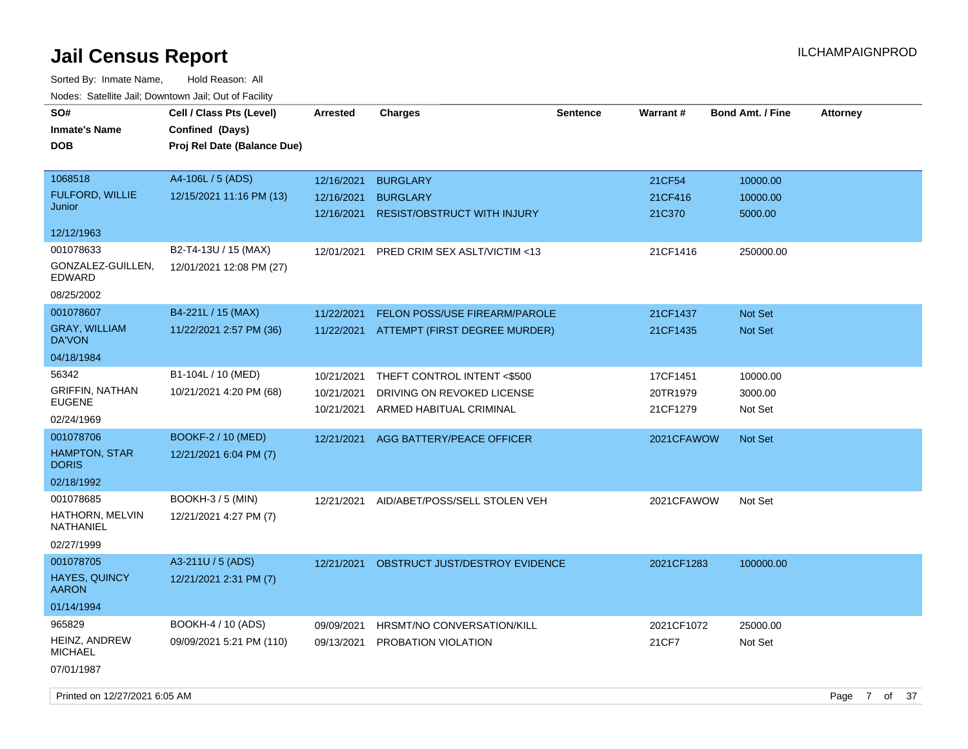| SO#<br><b>Inmate's Name</b><br><b>DOB</b> | Cell / Class Pts (Level)<br>Confined (Days)<br>Proj Rel Date (Balance Due) | <b>Arrested</b>          | <b>Charges</b>                                        | <b>Sentence</b> | <b>Warrant#</b>      | <b>Bond Amt. / Fine</b> | <b>Attorney</b> |  |
|-------------------------------------------|----------------------------------------------------------------------------|--------------------------|-------------------------------------------------------|-----------------|----------------------|-------------------------|-----------------|--|
| 1068518                                   | A4-106L / 5 (ADS)                                                          | 12/16/2021               | <b>BURGLARY</b>                                       |                 | 21CF54               | 10000.00                |                 |  |
| <b>FULFORD, WILLIE</b><br>Junior          | 12/15/2021 11:16 PM (13)                                                   | 12/16/2021<br>12/16/2021 | <b>BURGLARY</b><br><b>RESIST/OBSTRUCT WITH INJURY</b> |                 | 21CF416<br>21C370    | 10000.00<br>5000.00     |                 |  |
| 12/12/1963                                |                                                                            |                          |                                                       |                 |                      |                         |                 |  |
| 001078633                                 | B2-T4-13U / 15 (MAX)                                                       | 12/01/2021               | PRED CRIM SEX ASLT/VICTIM <13                         |                 | 21CF1416             | 250000.00               |                 |  |
| GONZALEZ-GUILLEN,<br>EDWARD               | 12/01/2021 12:08 PM (27)                                                   |                          |                                                       |                 |                      |                         |                 |  |
| 08/25/2002                                |                                                                            |                          |                                                       |                 |                      |                         |                 |  |
| 001078607                                 | B4-221L / 15 (MAX)                                                         | 11/22/2021               | <b>FELON POSS/USE FIREARM/PAROLE</b>                  |                 | 21CF1437             | Not Set                 |                 |  |
| <b>GRAY, WILLIAM</b><br>DA'VON            | 11/22/2021 2:57 PM (36)                                                    |                          | 11/22/2021 ATTEMPT (FIRST DEGREE MURDER)              |                 | 21CF1435             | Not Set                 |                 |  |
| 04/18/1984                                |                                                                            |                          |                                                       |                 |                      |                         |                 |  |
| 56342                                     | B1-104L / 10 (MED)                                                         | 10/21/2021               | THEFT CONTROL INTENT <\$500                           |                 | 17CF1451             | 10000.00                |                 |  |
| <b>GRIFFIN, NATHAN</b><br><b>EUGENE</b>   | 10/21/2021 4:20 PM (68)                                                    | 10/21/2021<br>10/21/2021 | DRIVING ON REVOKED LICENSE<br>ARMED HABITUAL CRIMINAL |                 | 20TR1979<br>21CF1279 | 3000.00<br>Not Set      |                 |  |
| 02/24/1969                                |                                                                            |                          |                                                       |                 |                      |                         |                 |  |
| 001078706                                 | BOOKF-2 / 10 (MED)                                                         | 12/21/2021               | AGG BATTERY/PEACE OFFICER                             |                 | 2021CFAWOW           | Not Set                 |                 |  |
| <b>HAMPTON, STAR</b><br><b>DORIS</b>      | 12/21/2021 6:04 PM (7)                                                     |                          |                                                       |                 |                      |                         |                 |  |
| 02/18/1992                                |                                                                            |                          |                                                       |                 |                      |                         |                 |  |
| 001078685                                 | <b>BOOKH-3 / 5 (MIN)</b>                                                   | 12/21/2021               | AID/ABET/POSS/SELL STOLEN VEH                         |                 | 2021CFAWOW           | Not Set                 |                 |  |
| HATHORN, MELVIN<br>NATHANIEL              | 12/21/2021 4:27 PM (7)                                                     |                          |                                                       |                 |                      |                         |                 |  |
| 02/27/1999                                |                                                                            |                          |                                                       |                 |                      |                         |                 |  |
| 001078705                                 | A3-211U / 5 (ADS)                                                          | 12/21/2021               | OBSTRUCT JUST/DESTROY EVIDENCE                        |                 | 2021CF1283           | 100000.00               |                 |  |
| <b>HAYES, QUINCY</b><br><b>AARON</b>      | 12/21/2021 2:31 PM (7)                                                     |                          |                                                       |                 |                      |                         |                 |  |
| 01/14/1994                                |                                                                            |                          |                                                       |                 |                      |                         |                 |  |
| 965829                                    | BOOKH-4 / 10 (ADS)                                                         | 09/09/2021               | HRSMT/NO CONVERSATION/KILL                            |                 | 2021CF1072           | 25000.00                |                 |  |
| HEINZ, ANDREW<br><b>MICHAEL</b>           | 09/09/2021 5:21 PM (110)                                                   | 09/13/2021               | PROBATION VIOLATION                                   |                 | 21CF7                | Not Set                 |                 |  |
| 07/01/1987                                |                                                                            |                          |                                                       |                 |                      |                         |                 |  |
| Printed on 12/27/2021 6:05 AM             |                                                                            |                          |                                                       |                 |                      |                         | Page 7 of 37    |  |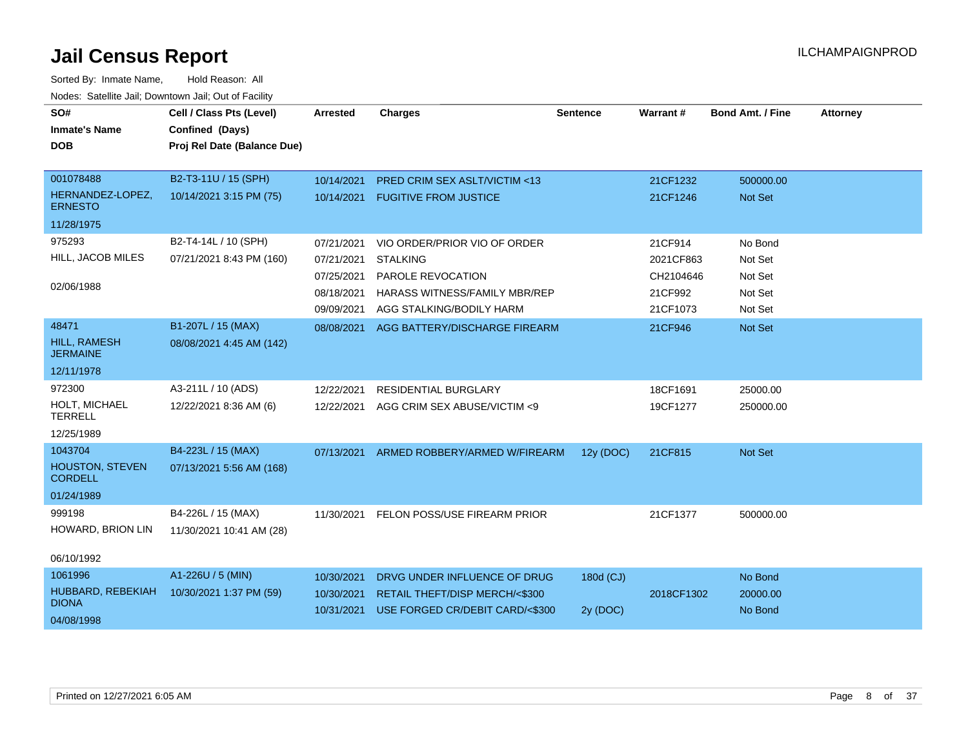| SO#<br><b>Inmate's Name</b><br><b>DOB</b>                         | Cell / Class Pts (Level)<br>Confined (Days)<br>Proj Rel Date (Balance Due) | <b>Arrested</b>                                                    | <b>Charges</b>                                                                                                                    | <b>Sentence</b>       | Warrant#                                                 | <b>Bond Amt. / Fine</b>                             | <b>Attorney</b> |
|-------------------------------------------------------------------|----------------------------------------------------------------------------|--------------------------------------------------------------------|-----------------------------------------------------------------------------------------------------------------------------------|-----------------------|----------------------------------------------------------|-----------------------------------------------------|-----------------|
| 001078488<br>HERNANDEZ-LOPEZ,<br><b>ERNESTO</b>                   | B2-T3-11U / 15 (SPH)<br>10/14/2021 3:15 PM (75)                            | 10/14/2021<br>10/14/2021                                           | <b>PRED CRIM SEX ASLT/VICTIM &lt;13</b><br><b>FUGITIVE FROM JUSTICE</b>                                                           |                       | 21CF1232<br>21CF1246                                     | 500000.00<br>Not Set                                |                 |
| 11/28/1975<br>975293<br>HILL, JACOB MILES<br>02/06/1988           | B2-T4-14L / 10 (SPH)<br>07/21/2021 8:43 PM (160)                           | 07/21/2021<br>07/21/2021<br>07/25/2021<br>08/18/2021<br>09/09/2021 | VIO ORDER/PRIOR VIO OF ORDER<br><b>STALKING</b><br>PAROLE REVOCATION<br>HARASS WITNESS/FAMILY MBR/REP<br>AGG STALKING/BODILY HARM |                       | 21CF914<br>2021CF863<br>CH2104646<br>21CF992<br>21CF1073 | No Bond<br>Not Set<br>Not Set<br>Not Set<br>Not Set |                 |
| 48471<br>HILL, RAMESH<br><b>JERMAINE</b><br>12/11/1978            | B1-207L / 15 (MAX)<br>08/08/2021 4:45 AM (142)                             | 08/08/2021                                                         | AGG BATTERY/DISCHARGE FIREARM                                                                                                     |                       | 21CF946                                                  | Not Set                                             |                 |
| 972300<br>HOLT, MICHAEL<br><b>TERRELL</b><br>12/25/1989           | A3-211L / 10 (ADS)<br>12/22/2021 8:36 AM (6)                               | 12/22/2021<br>12/22/2021                                           | <b>RESIDENTIAL BURGLARY</b><br>AGG CRIM SEX ABUSE/VICTIM <9                                                                       |                       | 18CF1691<br>19CF1277                                     | 25000.00<br>250000.00                               |                 |
| 1043704<br><b>HOUSTON, STEVEN</b><br><b>CORDELL</b><br>01/24/1989 | B4-223L / 15 (MAX)<br>07/13/2021 5:56 AM (168)                             | 07/13/2021                                                         | ARMED ROBBERY/ARMED W/FIREARM                                                                                                     | 12y (DOC)             | 21CF815                                                  | Not Set                                             |                 |
| 999198<br>HOWARD, BRION LIN<br>06/10/1992                         | B4-226L / 15 (MAX)<br>11/30/2021 10:41 AM (28)                             | 11/30/2021                                                         | FELON POSS/USE FIREARM PRIOR                                                                                                      |                       | 21CF1377                                                 | 500000.00                                           |                 |
| 1061996<br>HUBBARD, REBEKIAH<br><b>DIONA</b><br>04/08/1998        | A1-226U / 5 (MIN)<br>10/30/2021 1:37 PM (59)                               | 10/30/2021<br>10/30/2021<br>10/31/2021                             | DRVG UNDER INFLUENCE OF DRUG<br>RETAIL THEFT/DISP MERCH/<\$300<br>USE FORGED CR/DEBIT CARD/<\$300                                 | 180d (CJ)<br>2y (DOC) | 2018CF1302                                               | No Bond<br>20000.00<br>No Bond                      |                 |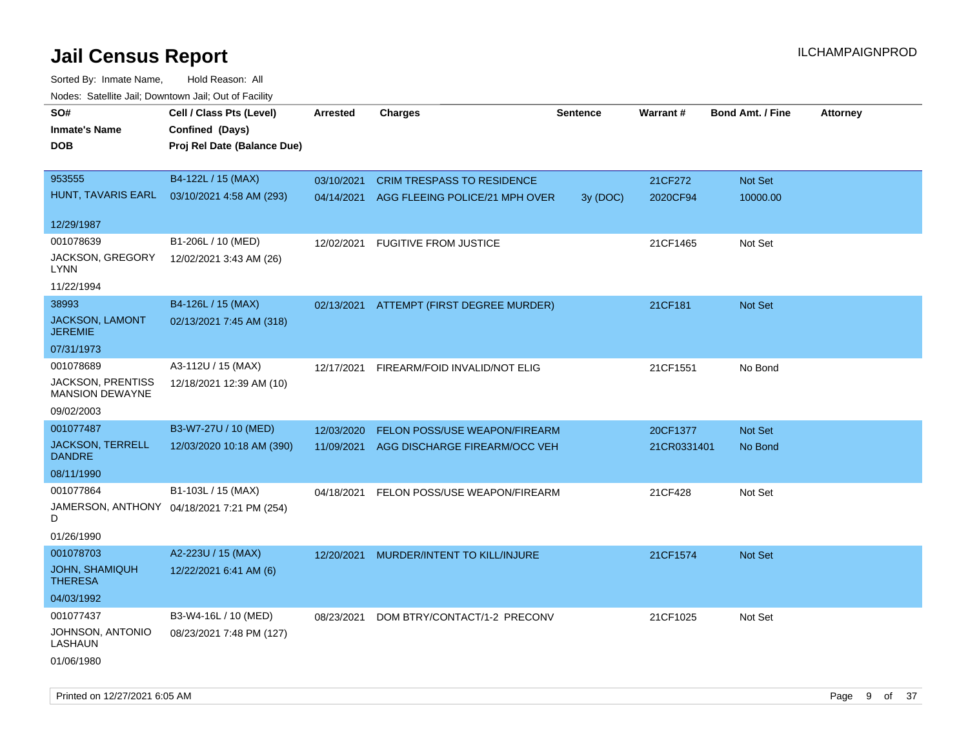| roaco. Oatomto dan, Downtown dan, Oat or Fability  |                                            |                 |                                           |                 |             |                         |                 |
|----------------------------------------------------|--------------------------------------------|-----------------|-------------------------------------------|-----------------|-------------|-------------------------|-----------------|
| SO#                                                | Cell / Class Pts (Level)                   | <b>Arrested</b> | <b>Charges</b>                            | <b>Sentence</b> | Warrant#    | <b>Bond Amt. / Fine</b> | <b>Attorney</b> |
| <b>Inmate's Name</b>                               | Confined (Days)                            |                 |                                           |                 |             |                         |                 |
| <b>DOB</b>                                         | Proj Rel Date (Balance Due)                |                 |                                           |                 |             |                         |                 |
|                                                    |                                            |                 |                                           |                 |             |                         |                 |
| 953555                                             | B4-122L / 15 (MAX)                         | 03/10/2021      | <b>CRIM TRESPASS TO RESIDENCE</b>         |                 | 21CF272     | Not Set                 |                 |
| HUNT, TAVARIS EARL                                 | 03/10/2021 4:58 AM (293)                   |                 | 04/14/2021 AGG FLEEING POLICE/21 MPH OVER | 3y (DOC)        | 2020CF94    | 10000.00                |                 |
|                                                    |                                            |                 |                                           |                 |             |                         |                 |
| 12/29/1987                                         |                                            |                 |                                           |                 |             |                         |                 |
| 001078639                                          | B1-206L / 10 (MED)                         | 12/02/2021      | <b>FUGITIVE FROM JUSTICE</b>              |                 | 21CF1465    | Not Set                 |                 |
| JACKSON, GREGORY                                   | 12/02/2021 3:43 AM (26)                    |                 |                                           |                 |             |                         |                 |
| LYNN                                               |                                            |                 |                                           |                 |             |                         |                 |
| 11/22/1994                                         |                                            |                 |                                           |                 |             |                         |                 |
| 38993                                              | B4-126L / 15 (MAX)                         |                 | 02/13/2021 ATTEMPT (FIRST DEGREE MURDER)  |                 | 21CF181     | Not Set                 |                 |
| JACKSON, LAMONT                                    | 02/13/2021 7:45 AM (318)                   |                 |                                           |                 |             |                         |                 |
| <b>JEREMIE</b>                                     |                                            |                 |                                           |                 |             |                         |                 |
| 07/31/1973                                         |                                            |                 |                                           |                 |             |                         |                 |
| 001078689                                          | A3-112U / 15 (MAX)                         | 12/17/2021      | FIREARM/FOID INVALID/NOT ELIG             |                 | 21CF1551    | No Bond                 |                 |
| <b>JACKSON, PRENTISS</b><br><b>MANSION DEWAYNE</b> | 12/18/2021 12:39 AM (10)                   |                 |                                           |                 |             |                         |                 |
|                                                    |                                            |                 |                                           |                 |             |                         |                 |
| 09/02/2003                                         |                                            |                 |                                           |                 |             |                         |                 |
| 001077487                                          | B3-W7-27U / 10 (MED)                       | 12/03/2020      | <b>FELON POSS/USE WEAPON/FIREARM</b>      |                 | 20CF1377    | Not Set                 |                 |
| <b>JACKSON, TERRELL</b><br><b>DANDRE</b>           | 12/03/2020 10:18 AM (390)                  | 11/09/2021      | AGG DISCHARGE FIREARM/OCC VEH             |                 | 21CR0331401 | No Bond                 |                 |
| 08/11/1990                                         |                                            |                 |                                           |                 |             |                         |                 |
| 001077864                                          | B1-103L / 15 (MAX)                         | 04/18/2021      | FELON POSS/USE WEAPON/FIREARM             |                 | 21CF428     | Not Set                 |                 |
| D                                                  | JAMERSON, ANTHONY 04/18/2021 7:21 PM (254) |                 |                                           |                 |             |                         |                 |
| 01/26/1990                                         |                                            |                 |                                           |                 |             |                         |                 |
| 001078703                                          | A2-223U / 15 (MAX)                         | 12/20/2021      | MURDER/INTENT TO KILL/INJURE              |                 | 21CF1574    | Not Set                 |                 |
| <b>JOHN, SHAMIQUH</b>                              | 12/22/2021 6:41 AM (6)                     |                 |                                           |                 |             |                         |                 |
| <b>THERESA</b>                                     |                                            |                 |                                           |                 |             |                         |                 |
| 04/03/1992                                         |                                            |                 |                                           |                 |             |                         |                 |
| 001077437                                          | B3-W4-16L / 10 (MED)                       | 08/23/2021      | DOM BTRY/CONTACT/1-2 PRECONV              |                 | 21CF1025    | Not Set                 |                 |
| JOHNSON, ANTONIO                                   | 08/23/2021 7:48 PM (127)                   |                 |                                           |                 |             |                         |                 |
| LASHAUN                                            |                                            |                 |                                           |                 |             |                         |                 |
| 01/06/1980                                         |                                            |                 |                                           |                 |             |                         |                 |
|                                                    |                                            |                 |                                           |                 |             |                         |                 |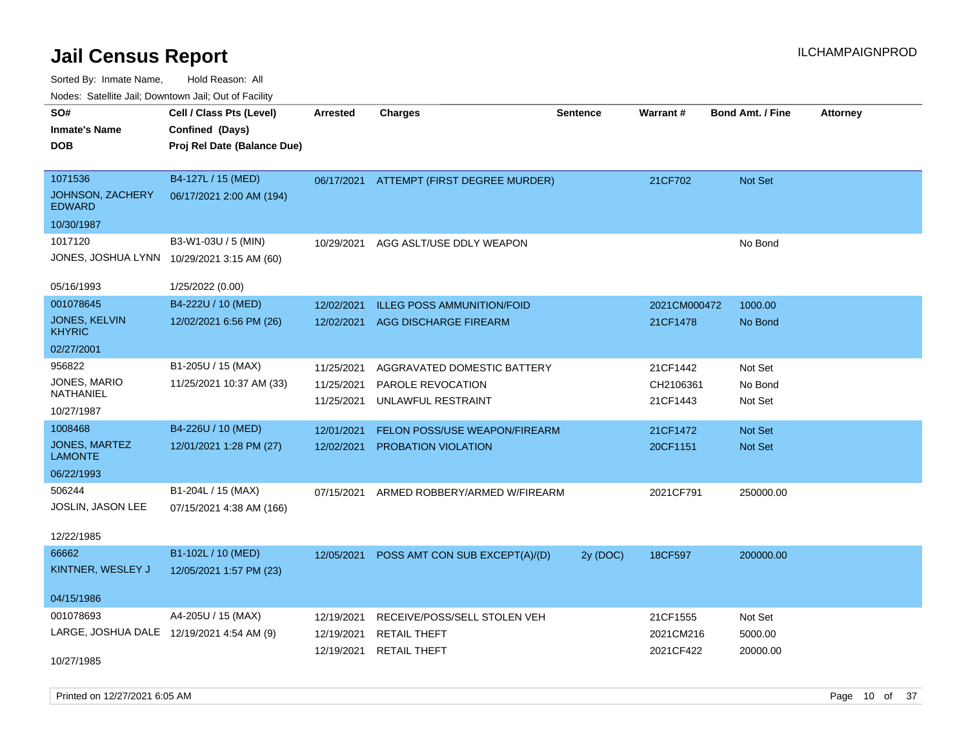Sorted By: Inmate Name, Hold Reason: All Nodes: Satellite Jail; Downtown Jail; Out of Facility

| SO#                                       | Cell / Class Pts (Level)    | <b>Arrested</b> | <b>Charges</b>                    | <b>Sentence</b> | Warrant#     | <b>Bond Amt. / Fine</b> | <b>Attorney</b> |
|-------------------------------------------|-----------------------------|-----------------|-----------------------------------|-----------------|--------------|-------------------------|-----------------|
| <b>Inmate's Name</b>                      | Confined (Days)             |                 |                                   |                 |              |                         |                 |
| <b>DOB</b>                                | Proj Rel Date (Balance Due) |                 |                                   |                 |              |                         |                 |
|                                           |                             |                 |                                   |                 |              |                         |                 |
| 1071536                                   | B4-127L / 15 (MED)          | 06/17/2021      | ATTEMPT (FIRST DEGREE MURDER)     |                 | 21CF702      | Not Set                 |                 |
| JOHNSON, ZACHERY<br><b>EDWARD</b>         | 06/17/2021 2:00 AM (194)    |                 |                                   |                 |              |                         |                 |
| 10/30/1987                                |                             |                 |                                   |                 |              |                         |                 |
| 1017120                                   | B3-W1-03U / 5 (MIN)         | 10/29/2021      | AGG ASLT/USE DDLY WEAPON          |                 |              | No Bond                 |                 |
| JONES, JOSHUA LYNN                        | 10/29/2021 3:15 AM (60)     |                 |                                   |                 |              |                         |                 |
| 05/16/1993                                | 1/25/2022 (0.00)            |                 |                                   |                 |              |                         |                 |
| 001078645                                 | B4-222U / 10 (MED)          | 12/02/2021      | <b>ILLEG POSS AMMUNITION/FOID</b> |                 | 2021CM000472 | 1000.00                 |                 |
| JONES, KELVIN<br><b>KHYRIC</b>            | 12/02/2021 6:56 PM (26)     | 12/02/2021      | <b>AGG DISCHARGE FIREARM</b>      |                 | 21CF1478     | No Bond                 |                 |
| 02/27/2001                                |                             |                 |                                   |                 |              |                         |                 |
| 956822                                    | B1-205U / 15 (MAX)          | 11/25/2021      | AGGRAVATED DOMESTIC BATTERY       |                 | 21CF1442     | Not Set                 |                 |
| JONES, MARIO                              | 11/25/2021 10:37 AM (33)    | 11/25/2021      | PAROLE REVOCATION                 |                 | CH2106361    | No Bond                 |                 |
| <b>NATHANIEL</b>                          |                             | 11/25/2021      | UNLAWFUL RESTRAINT                |                 | 21CF1443     | Not Set                 |                 |
| 10/27/1987                                |                             |                 |                                   |                 |              |                         |                 |
| 1008468                                   | B4-226U / 10 (MED)          | 12/01/2021      | FELON POSS/USE WEAPON/FIREARM     |                 | 21CF1472     | <b>Not Set</b>          |                 |
| JONES, MARTEZ<br><b>LAMONTE</b>           | 12/01/2021 1:28 PM (27)     | 12/02/2021      | PROBATION VIOLATION               |                 | 20CF1151     | Not Set                 |                 |
| 06/22/1993                                |                             |                 |                                   |                 |              |                         |                 |
| 506244                                    | B1-204L / 15 (MAX)          | 07/15/2021      | ARMED ROBBERY/ARMED W/FIREARM     |                 | 2021CF791    | 250000.00               |                 |
| JOSLIN, JASON LEE                         | 07/15/2021 4:38 AM (166)    |                 |                                   |                 |              |                         |                 |
| 12/22/1985                                |                             |                 |                                   |                 |              |                         |                 |
| 66662                                     | B1-102L / 10 (MED)          | 12/05/2021      | POSS AMT CON SUB EXCEPT(A)/(D)    | 2y (DOC)        | 18CF597      | 200000.00               |                 |
| KINTNER, WESLEY J                         | 12/05/2021 1:57 PM (23)     |                 |                                   |                 |              |                         |                 |
| 04/15/1986                                |                             |                 |                                   |                 |              |                         |                 |
| 001078693                                 | A4-205U / 15 (MAX)          | 12/19/2021      | RECEIVE/POSS/SELL STOLEN VEH      |                 | 21CF1555     | Not Set                 |                 |
| LARGE, JOSHUA DALE 12/19/2021 4:54 AM (9) |                             | 12/19/2021      | <b>RETAIL THEFT</b>               |                 | 2021CM216    | 5000.00                 |                 |
|                                           |                             | 12/19/2021      | <b>RETAIL THEFT</b>               |                 | 2021CF422    | 20000.00                |                 |
| 10/27/1985                                |                             |                 |                                   |                 |              |                         |                 |

Printed on 12/27/2021 6:05 AM **Page 10** of 37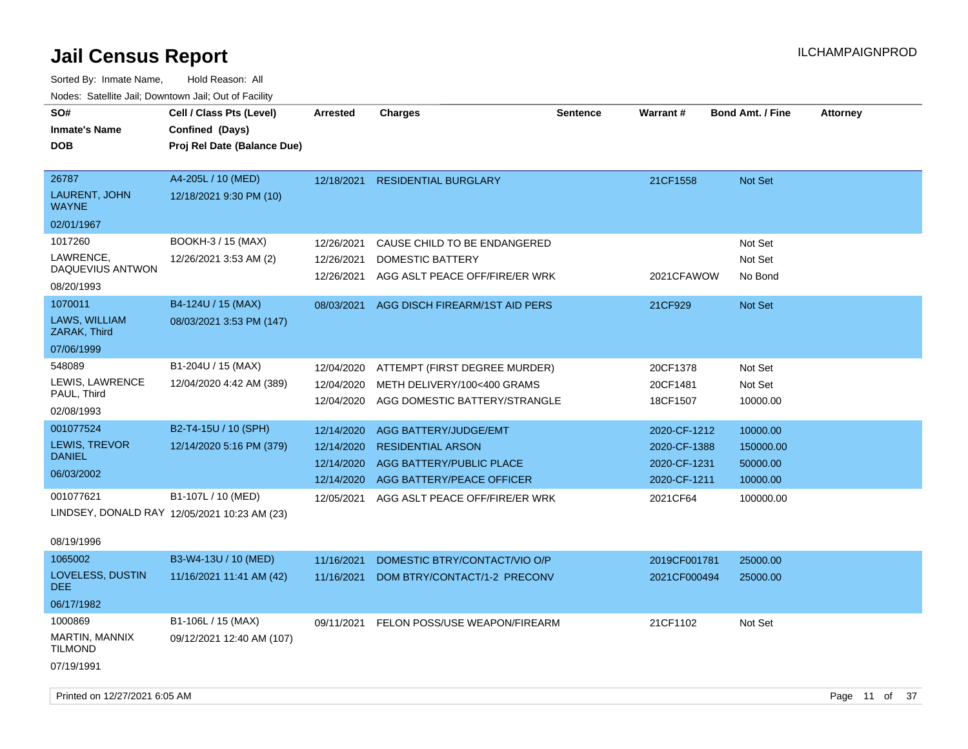Sorted By: Inmate Name, Hold Reason: All Nodes: Satellite Jail; Downtown Jail; Out of Facility

| SO#<br><b>Inmate's Name</b><br><b>DOB</b>                                     | Cell / Class Pts (Level)<br>Confined (Days)<br>Proj Rel Date (Balance Due)                                             | <b>Arrested</b>                                                    | <b>Charges</b>                                                                                                                                      | <b>Sentence</b> | Warrant#                                                                 | <b>Bond Amt. / Fine</b>                                    | <b>Attorney</b> |
|-------------------------------------------------------------------------------|------------------------------------------------------------------------------------------------------------------------|--------------------------------------------------------------------|-----------------------------------------------------------------------------------------------------------------------------------------------------|-----------------|--------------------------------------------------------------------------|------------------------------------------------------------|-----------------|
| 26787<br>LAURENT, JOHN<br><b>WAYNE</b><br>02/01/1967                          | A4-205L / 10 (MED)<br>12/18/2021 9:30 PM (10)                                                                          | 12/18/2021                                                         | <b>RESIDENTIAL BURGLARY</b>                                                                                                                         |                 | 21CF1558                                                                 | Not Set                                                    |                 |
| 1017260<br>LAWRENCE.<br>DAQUEVIUS ANTWON<br>08/20/1993                        | BOOKH-3 / 15 (MAX)<br>12/26/2021 3:53 AM (2)                                                                           | 12/26/2021<br>12/26/2021<br>12/26/2021                             | CAUSE CHILD TO BE ENDANGERED<br>DOMESTIC BATTERY<br>AGG ASLT PEACE OFF/FIRE/ER WRK                                                                  |                 | 2021CFAWOW                                                               | Not Set<br>Not Set<br>No Bond                              |                 |
| 1070011<br>LAWS, WILLIAM<br>ZARAK, Third<br>07/06/1999                        | B4-124U / 15 (MAX)<br>08/03/2021 3:53 PM (147)                                                                         | 08/03/2021                                                         | AGG DISCH FIREARM/1ST AID PERS                                                                                                                      |                 | 21CF929                                                                  | <b>Not Set</b>                                             |                 |
| 548089<br>LEWIS, LAWRENCE<br>PAUL, Third<br>02/08/1993                        | B1-204U / 15 (MAX)<br>12/04/2020 4:42 AM (389)                                                                         | 12/04/2020<br>12/04/2020<br>12/04/2020                             | ATTEMPT (FIRST DEGREE MURDER)<br>METH DELIVERY/100<400 GRAMS<br>AGG DOMESTIC BATTERY/STRANGLE                                                       |                 | 20CF1378<br>20CF1481<br>18CF1507                                         | Not Set<br>Not Set<br>10000.00                             |                 |
| 001077524<br><b>LEWIS, TREVOR</b><br><b>DANIEL</b><br>06/03/2002<br>001077621 | B2-T4-15U / 10 (SPH)<br>12/14/2020 5:16 PM (379)<br>B1-107L / 10 (MED)<br>LINDSEY, DONALD RAY 12/05/2021 10:23 AM (23) | 12/14/2020<br>12/14/2020<br>12/14/2020<br>12/14/2020<br>12/05/2021 | <b>AGG BATTERY/JUDGE/EMT</b><br><b>RESIDENTIAL ARSON</b><br>AGG BATTERY/PUBLIC PLACE<br>AGG BATTERY/PEACE OFFICER<br>AGG ASLT PEACE OFF/FIRE/ER WRK |                 | 2020-CF-1212<br>2020-CF-1388<br>2020-CF-1231<br>2020-CF-1211<br>2021CF64 | 10000.00<br>150000.00<br>50000.00<br>10000.00<br>100000.00 |                 |

### 08/19/1996

| 1065002                          | B3-W4-13U / 10 (MED)      | 11/16/2021 | DOMESTIC BTRY/CONTACT/VIO O/P | 2019CF001781 | 25000.00 |
|----------------------------------|---------------------------|------------|-------------------------------|--------------|----------|
| LOVELESS, DUSTIN<br>DEE.         | 11/16/2021 11:41 AM (42)  | 11/16/2021 | DOM BTRY/CONTACT/1-2 PRECONV  | 2021CF000494 | 25000.00 |
| 06/17/1982                       |                           |            |                               |              |          |
| 1000869                          | B1-106L / 15 (MAX)        | 09/11/2021 | FELON POSS/USE WEAPON/FIREARM | 21CF1102     | Not Set  |
| MARTIN, MANNIX<br><b>TILMOND</b> | 09/12/2021 12:40 AM (107) |            |                               |              |          |
| 07/19/1991                       |                           |            |                               |              |          |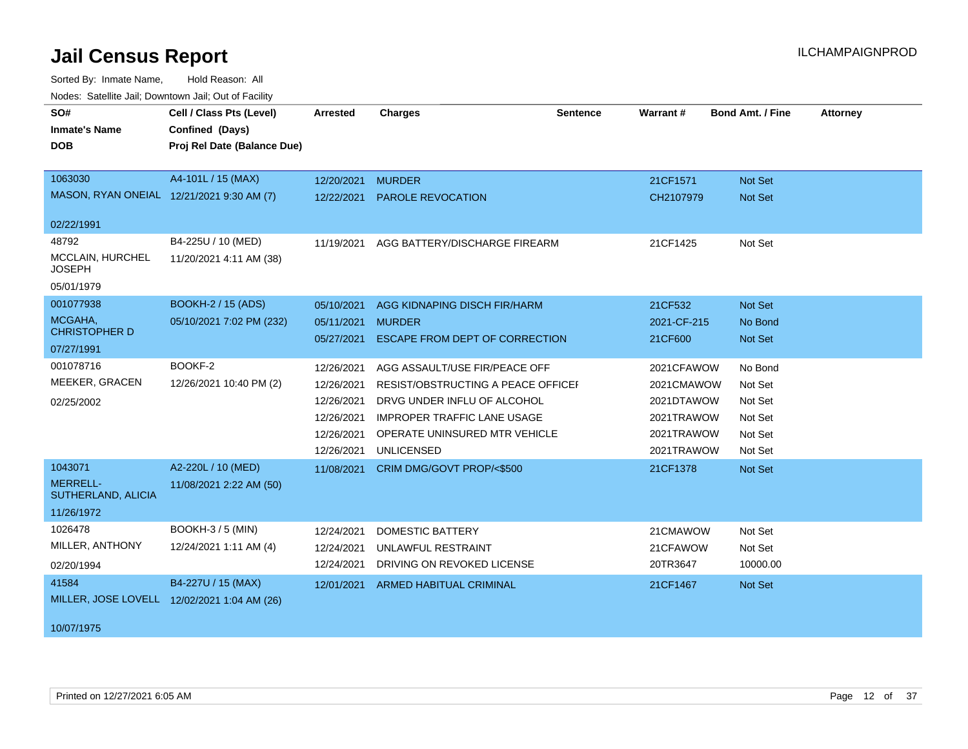| SO#<br><b>Inmate's Name</b><br><b>DOB</b><br>1063030<br>MASON, RYAN ONEIAL 12/21/2021 9:30 AM (7) | Cell / Class Pts (Level)<br>Confined (Days)<br>Proj Rel Date (Balance Due)<br>A4-101L / 15 (MAX) | Arrested<br>12/20/2021<br>12/22/2021                                             | <b>Charges</b><br><b>MURDER</b><br>PAROLE REVOCATION                                                                                                                                           | <b>Sentence</b> | <b>Warrant#</b><br>21CF1571<br>CH2107979                                         | <b>Bond Amt. / Fine</b><br>Not Set<br>Not Set                  | <b>Attorney</b> |
|---------------------------------------------------------------------------------------------------|--------------------------------------------------------------------------------------------------|----------------------------------------------------------------------------------|------------------------------------------------------------------------------------------------------------------------------------------------------------------------------------------------|-----------------|----------------------------------------------------------------------------------|----------------------------------------------------------------|-----------------|
| 02/22/1991                                                                                        |                                                                                                  |                                                                                  |                                                                                                                                                                                                |                 |                                                                                  |                                                                |                 |
| 48792<br>MCCLAIN, HURCHEL<br><b>JOSEPH</b><br>05/01/1979                                          | B4-225U / 10 (MED)<br>11/20/2021 4:11 AM (38)                                                    | 11/19/2021                                                                       | AGG BATTERY/DISCHARGE FIREARM                                                                                                                                                                  |                 | 21CF1425                                                                         | Not Set                                                        |                 |
| 001077938<br>MCGAHA,<br><b>CHRISTOPHER D</b><br>07/27/1991                                        | <b>BOOKH-2 / 15 (ADS)</b><br>05/10/2021 7:02 PM (232)                                            | 05/10/2021<br>05/11/2021<br>05/27/2021                                           | AGG KIDNAPING DISCH FIR/HARM<br><b>MURDER</b><br>ESCAPE FROM DEPT OF CORRECTION                                                                                                                |                 | 21CF532<br>2021-CF-215<br>21CF600                                                | Not Set<br>No Bond<br>Not Set                                  |                 |
| 001078716<br>MEEKER, GRACEN<br>02/25/2002                                                         | BOOKF-2<br>12/26/2021 10:40 PM (2)                                                               | 12/26/2021<br>12/26/2021<br>12/26/2021<br>12/26/2021<br>12/26/2021<br>12/26/2021 | AGG ASSAULT/USE FIR/PEACE OFF<br>RESIST/OBSTRUCTING A PEACE OFFICEF<br>DRVG UNDER INFLU OF ALCOHOL<br><b>IMPROPER TRAFFIC LANE USAGE</b><br>OPERATE UNINSURED MTR VEHICLE<br><b>UNLICENSED</b> |                 | 2021CFAWOW<br>2021CMAWOW<br>2021DTAWOW<br>2021TRAWOW<br>2021TRAWOW<br>2021TRAWOW | No Bond<br>Not Set<br>Not Set<br>Not Set<br>Not Set<br>Not Set |                 |
| 1043071<br><b>MERRELL-</b><br>SUTHERLAND, ALICIA<br>11/26/1972                                    | A2-220L / 10 (MED)<br>11/08/2021 2:22 AM (50)                                                    | 11/08/2021                                                                       | CRIM DMG/GOVT PROP/<\$500                                                                                                                                                                      |                 | 21CF1378                                                                         | Not Set                                                        |                 |
| 1026478<br>MILLER, ANTHONY<br>02/20/1994                                                          | <b>BOOKH-3 / 5 (MIN)</b><br>12/24/2021 1:11 AM (4)                                               | 12/24/2021<br>12/24/2021<br>12/24/2021                                           | <b>DOMESTIC BATTERY</b><br>UNLAWFUL RESTRAINT<br>DRIVING ON REVOKED LICENSE                                                                                                                    |                 | 21CMAWOW<br>21CFAWOW<br>20TR3647                                                 | Not Set<br>Not Set<br>10000.00                                 |                 |
| 41584<br>MILLER, JOSE LOVELL 12/02/2021 1:04 AM (26)<br>10/07/1975                                | B4-227U / 15 (MAX)                                                                               | 12/01/2021                                                                       | <b>ARMED HABITUAL CRIMINAL</b>                                                                                                                                                                 |                 | 21CF1467                                                                         | Not Set                                                        |                 |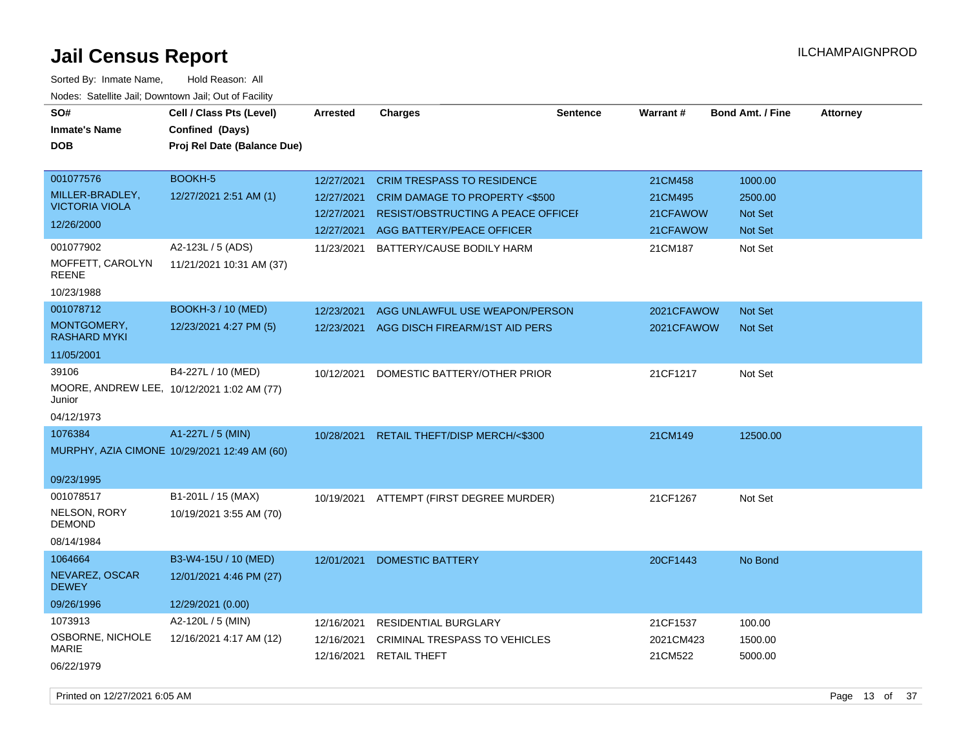| SO#<br><b>Inmate's Name</b><br><b>DOB</b>                                                                            | Cell / Class Pts (Level)<br>Confined (Days)<br>Proj Rel Date (Balance Due)         | <b>Arrested</b>                                      | <b>Charges</b>                                                                                                                                                                        | <b>Sentence</b> | <b>Warrant#</b>                                       | <b>Bond Amt. / Fine</b>                                    | <b>Attorney</b> |
|----------------------------------------------------------------------------------------------------------------------|------------------------------------------------------------------------------------|------------------------------------------------------|---------------------------------------------------------------------------------------------------------------------------------------------------------------------------------------|-----------------|-------------------------------------------------------|------------------------------------------------------------|-----------------|
| 001077576<br>MILLER-BRADLEY,<br><b>VICTORIA VIOLA</b><br>12/26/2000<br>001077902<br>MOFFETT, CAROLYN<br><b>REENE</b> | BOOKH-5<br>12/27/2021 2:51 AM (1)<br>A2-123L / 5 (ADS)<br>11/21/2021 10:31 AM (37) | 12/27/2021<br>12/27/2021<br>12/27/2021<br>11/23/2021 | <b>CRIM TRESPASS TO RESIDENCE</b><br>CRIM DAMAGE TO PROPERTY <\$500<br><b>RESIST/OBSTRUCTING A PEACE OFFICEF</b><br>12/27/2021 AGG BATTERY/PEACE OFFICER<br>BATTERY/CAUSE BODILY HARM |                 | 21CM458<br>21CM495<br>21CFAWOW<br>21CFAWOW<br>21CM187 | 1000.00<br>2500.00<br><b>Not Set</b><br>Not Set<br>Not Set |                 |
| 10/23/1988<br>001078712<br>MONTGOMERY,<br><b>RASHARD MYKI</b><br>11/05/2001                                          | BOOKH-3 / 10 (MED)<br>12/23/2021 4:27 PM (5)                                       | 12/23/2021                                           | AGG UNLAWFUL USE WEAPON/PERSON<br>12/23/2021 AGG DISCH FIREARM/1ST AID PERS                                                                                                           |                 | 2021CFAWOW<br>2021CFAWOW                              | Not Set<br><b>Not Set</b>                                  |                 |
| 39106<br>Junior<br>04/12/1973                                                                                        | B4-227L / 10 (MED)<br>MOORE, ANDREW LEE, 10/12/2021 1:02 AM (77)                   | 10/12/2021                                           | DOMESTIC BATTERY/OTHER PRIOR                                                                                                                                                          |                 | 21CF1217                                              | Not Set                                                    |                 |
| 1076384<br>09/23/1995                                                                                                | A1-227L / 5 (MIN)<br>MURPHY, AZIA CIMONE 10/29/2021 12:49 AM (60)                  |                                                      | 10/28/2021 RETAIL THEFT/DISP MERCH/<\$300                                                                                                                                             |                 | 21CM149                                               | 12500.00                                                   |                 |
| 001078517<br><b>NELSON, RORY</b><br><b>DEMOND</b><br>08/14/1984                                                      | B1-201L / 15 (MAX)<br>10/19/2021 3:55 AM (70)                                      |                                                      | 10/19/2021 ATTEMPT (FIRST DEGREE MURDER)                                                                                                                                              |                 | 21CF1267                                              | Not Set                                                    |                 |
| 1064664<br>NEVAREZ, OSCAR<br><b>DEWEY</b><br>09/26/1996                                                              | B3-W4-15U / 10 (MED)<br>12/01/2021 4:46 PM (27)<br>12/29/2021 (0.00)               | 12/01/2021                                           | <b>DOMESTIC BATTERY</b>                                                                                                                                                               |                 | 20CF1443                                              | No Bond                                                    |                 |
| 1073913<br>OSBORNE, NICHOLE<br><b>MARIE</b><br>06/22/1979                                                            | A2-120L / 5 (MIN)<br>12/16/2021 4:17 AM (12)                                       | 12/16/2021<br>12/16/2021<br>12/16/2021               | <b>RESIDENTIAL BURGLARY</b><br>CRIMINAL TRESPASS TO VEHICLES<br><b>RETAIL THEFT</b>                                                                                                   |                 | 21CF1537<br>2021CM423<br>21CM522                      | 100.00<br>1500.00<br>5000.00                               |                 |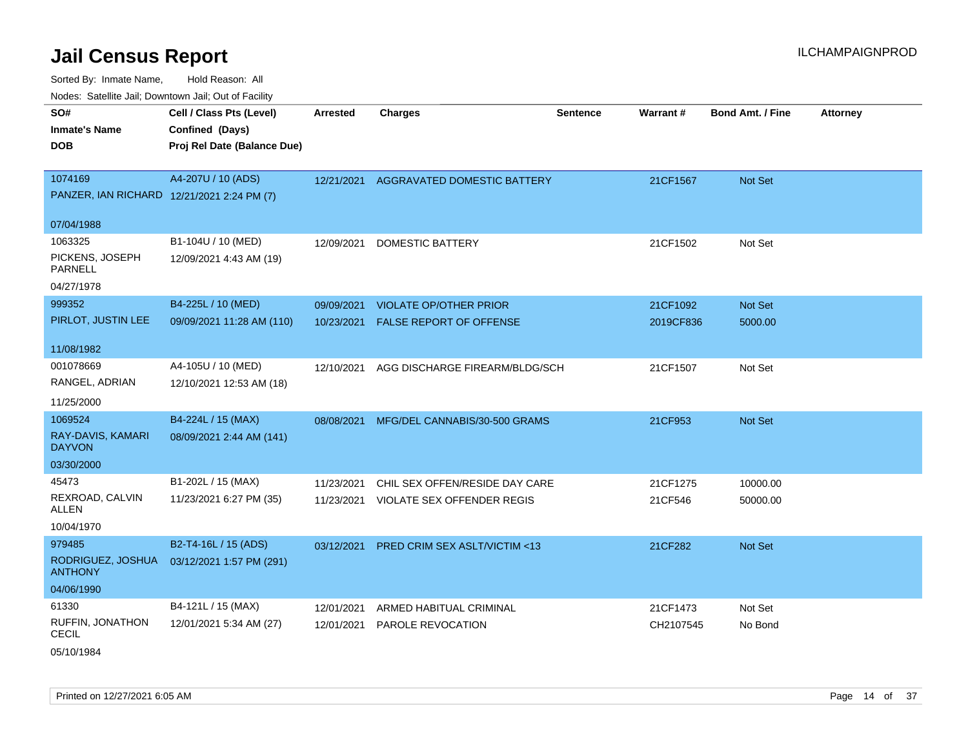Sorted By: Inmate Name, Hold Reason: All Nodes: Satellite Jail; Downtown Jail; Out of Facility

| ivuutis. Galtiillit Jall, Duwilluwii Jall, Oul of Facility |                             |                 |                                         |                 |           |                  |                 |
|------------------------------------------------------------|-----------------------------|-----------------|-----------------------------------------|-----------------|-----------|------------------|-----------------|
| SO#                                                        | Cell / Class Pts (Level)    | <b>Arrested</b> | <b>Charges</b>                          | <b>Sentence</b> | Warrant#  | Bond Amt. / Fine | <b>Attorney</b> |
| <b>Inmate's Name</b>                                       | Confined (Days)             |                 |                                         |                 |           |                  |                 |
| <b>DOB</b>                                                 | Proj Rel Date (Balance Due) |                 |                                         |                 |           |                  |                 |
|                                                            |                             |                 |                                         |                 |           |                  |                 |
| 1074169                                                    | A4-207U / 10 (ADS)          | 12/21/2021      | AGGRAVATED DOMESTIC BATTERY             |                 | 21CF1567  | Not Set          |                 |
| PANZER, IAN RICHARD 12/21/2021 2:24 PM (7)                 |                             |                 |                                         |                 |           |                  |                 |
| 07/04/1988                                                 |                             |                 |                                         |                 |           |                  |                 |
| 1063325                                                    | B1-104U / 10 (MED)          | 12/09/2021      | <b>DOMESTIC BATTERY</b>                 |                 | 21CF1502  | Not Set          |                 |
| PICKENS, JOSEPH<br><b>PARNELL</b>                          | 12/09/2021 4:43 AM (19)     |                 |                                         |                 |           |                  |                 |
| 04/27/1978                                                 |                             |                 |                                         |                 |           |                  |                 |
| 999352                                                     | B4-225L / 10 (MED)          | 09/09/2021      | <b>VIOLATE OP/OTHER PRIOR</b>           |                 | 21CF1092  | <b>Not Set</b>   |                 |
| PIRLOT, JUSTIN LEE                                         | 09/09/2021 11:28 AM (110)   | 10/23/2021      | <b>FALSE REPORT OF OFFENSE</b>          |                 | 2019CF836 | 5000.00          |                 |
|                                                            |                             |                 |                                         |                 |           |                  |                 |
| 11/08/1982                                                 |                             |                 |                                         |                 |           |                  |                 |
| 001078669                                                  | A4-105U / 10 (MED)          | 12/10/2021      | AGG DISCHARGE FIREARM/BLDG/SCH          |                 | 21CF1507  | Not Set          |                 |
| RANGEL, ADRIAN                                             | 12/10/2021 12:53 AM (18)    |                 |                                         |                 |           |                  |                 |
| 11/25/2000                                                 |                             |                 |                                         |                 |           |                  |                 |
| 1069524                                                    | B4-224L / 15 (MAX)          | 08/08/2021      | MFG/DEL CANNABIS/30-500 GRAMS           |                 | 21CF953   | <b>Not Set</b>   |                 |
| RAY-DAVIS, KAMARI<br><b>DAYVON</b>                         | 08/09/2021 2:44 AM (141)    |                 |                                         |                 |           |                  |                 |
| 03/30/2000                                                 |                             |                 |                                         |                 |           |                  |                 |
| 45473                                                      | B1-202L / 15 (MAX)          | 11/23/2021      | CHIL SEX OFFEN/RESIDE DAY CARE          |                 | 21CF1275  | 10000.00         |                 |
| REXROAD, CALVIN<br>ALLEN                                   | 11/23/2021 6:27 PM (35)     | 11/23/2021      | <b>VIOLATE SEX OFFENDER REGIS</b>       |                 | 21CF546   | 50000.00         |                 |
| 10/04/1970                                                 |                             |                 |                                         |                 |           |                  |                 |
| 979485                                                     | B2-T4-16L / 15 (ADS)        | 03/12/2021      | <b>PRED CRIM SEX ASLT/VICTIM &lt;13</b> |                 | 21CF282   | <b>Not Set</b>   |                 |
| RODRIGUEZ, JOSHUA<br><b>ANTHONY</b>                        | 03/12/2021 1:57 PM (291)    |                 |                                         |                 |           |                  |                 |
| 04/06/1990                                                 |                             |                 |                                         |                 |           |                  |                 |
| 61330                                                      | B4-121L / 15 (MAX)          | 12/01/2021      | ARMED HABITUAL CRIMINAL                 |                 | 21CF1473  | Not Set          |                 |
| RUFFIN, JONATHON<br><b>CECIL</b>                           | 12/01/2021 5:34 AM (27)     | 12/01/2021      | PAROLE REVOCATION                       |                 | CH2107545 | No Bond          |                 |

05/10/1984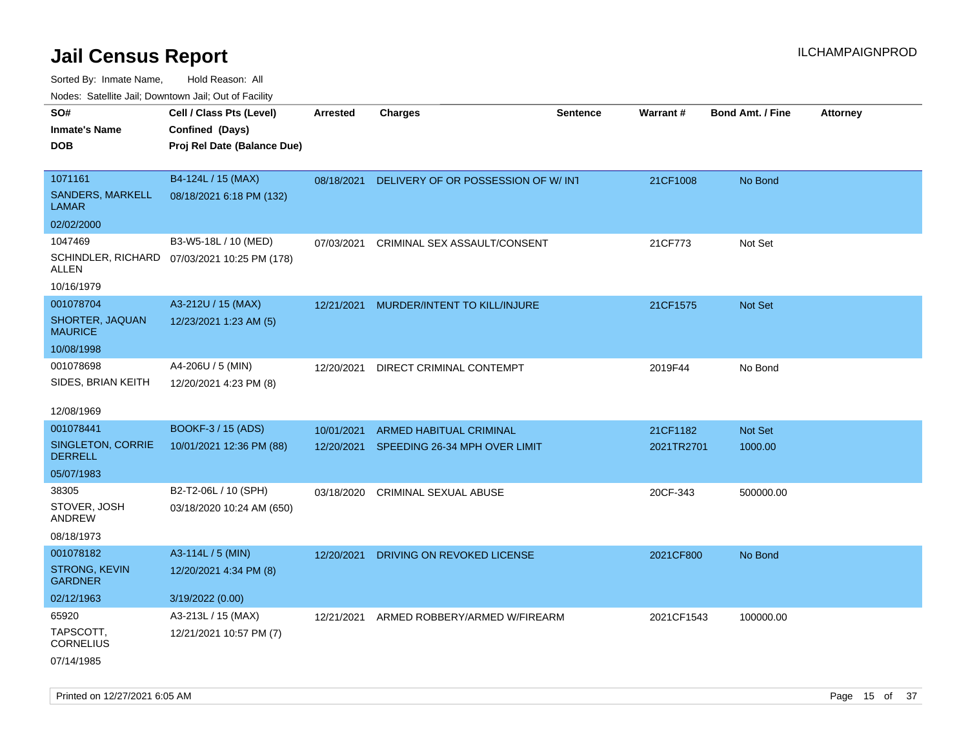Sorted By: Inmate Name, Hold Reason: All

Nodes: Satellite Jail; Downtown Jail; Out of Facility

| roaco. Oatomto dan, Downtown dan, Oat or Fability |                                              |                 |                                               |          |                 |                         |                 |
|---------------------------------------------------|----------------------------------------------|-----------------|-----------------------------------------------|----------|-----------------|-------------------------|-----------------|
| SO#                                               | Cell / Class Pts (Level)                     | <b>Arrested</b> | <b>Charges</b>                                | Sentence | <b>Warrant#</b> | <b>Bond Amt. / Fine</b> | <b>Attorney</b> |
| <b>Inmate's Name</b>                              | Confined (Days)                              |                 |                                               |          |                 |                         |                 |
| <b>DOB</b>                                        | Proj Rel Date (Balance Due)                  |                 |                                               |          |                 |                         |                 |
|                                                   |                                              |                 |                                               |          |                 |                         |                 |
| 1071161                                           | B4-124L / 15 (MAX)                           |                 | 08/18/2021 DELIVERY OF OR POSSESSION OF W/INT |          | 21CF1008        | No Bond                 |                 |
| <b>SANDERS, MARKELL</b><br><b>LAMAR</b>           | 08/18/2021 6:18 PM (132)                     |                 |                                               |          |                 |                         |                 |
| 02/02/2000                                        |                                              |                 |                                               |          |                 |                         |                 |
| 1047469                                           | B3-W5-18L / 10 (MED)                         | 07/03/2021      | CRIMINAL SEX ASSAULT/CONSENT                  |          | 21CF773         | Not Set                 |                 |
| <b>ALLEN</b>                                      | SCHINDLER, RICHARD 07/03/2021 10:25 PM (178) |                 |                                               |          |                 |                         |                 |
| 10/16/1979                                        |                                              |                 |                                               |          |                 |                         |                 |
| 001078704                                         | A3-212U / 15 (MAX)                           | 12/21/2021      | MURDER/INTENT TO KILL/INJURE                  |          | 21CF1575        | Not Set                 |                 |
| SHORTER, JAQUAN<br><b>MAURICE</b>                 | 12/23/2021 1:23 AM (5)                       |                 |                                               |          |                 |                         |                 |
| 10/08/1998                                        |                                              |                 |                                               |          |                 |                         |                 |
| 001078698                                         | A4-206U / 5 (MIN)                            | 12/20/2021      | DIRECT CRIMINAL CONTEMPT                      |          | 2019F44         | No Bond                 |                 |
| SIDES, BRIAN KEITH                                | 12/20/2021 4:23 PM (8)                       |                 |                                               |          |                 |                         |                 |
|                                                   |                                              |                 |                                               |          |                 |                         |                 |
| 12/08/1969                                        |                                              |                 |                                               |          |                 |                         |                 |
| 001078441                                         | <b>BOOKF-3 / 15 (ADS)</b>                    | 10/01/2021      | <b>ARMED HABITUAL CRIMINAL</b>                |          | 21CF1182        | <b>Not Set</b>          |                 |
| SINGLETON, CORRIE<br><b>DERRELL</b>               | 10/01/2021 12:36 PM (88)                     | 12/20/2021      | SPEEDING 26-34 MPH OVER LIMIT                 |          | 2021TR2701      | 1000.00                 |                 |
| 05/07/1983                                        |                                              |                 |                                               |          |                 |                         |                 |
| 38305                                             | B2-T2-06L / 10 (SPH)                         | 03/18/2020      | <b>CRIMINAL SEXUAL ABUSE</b>                  |          | 20CF-343        | 500000.00               |                 |
| STOVER, JOSH<br>ANDREW                            | 03/18/2020 10:24 AM (650)                    |                 |                                               |          |                 |                         |                 |
| 08/18/1973                                        |                                              |                 |                                               |          |                 |                         |                 |
| 001078182                                         | A3-114L / 5 (MIN)                            | 12/20/2021      | DRIVING ON REVOKED LICENSE                    |          | 2021CF800       | No Bond                 |                 |
| <b>STRONG, KEVIN</b><br><b>GARDNER</b>            | 12/20/2021 4:34 PM (8)                       |                 |                                               |          |                 |                         |                 |
| 02/12/1963                                        | 3/19/2022 (0.00)                             |                 |                                               |          |                 |                         |                 |
| 65920                                             | A3-213L / 15 (MAX)                           | 12/21/2021      | ARMED ROBBERY/ARMED W/FIREARM                 |          | 2021CF1543      | 100000.00               |                 |
| TAPSCOTT,<br><b>CORNELIUS</b>                     | 12/21/2021 10:57 PM (7)                      |                 |                                               |          |                 |                         |                 |
| 07/14/1985                                        |                                              |                 |                                               |          |                 |                         |                 |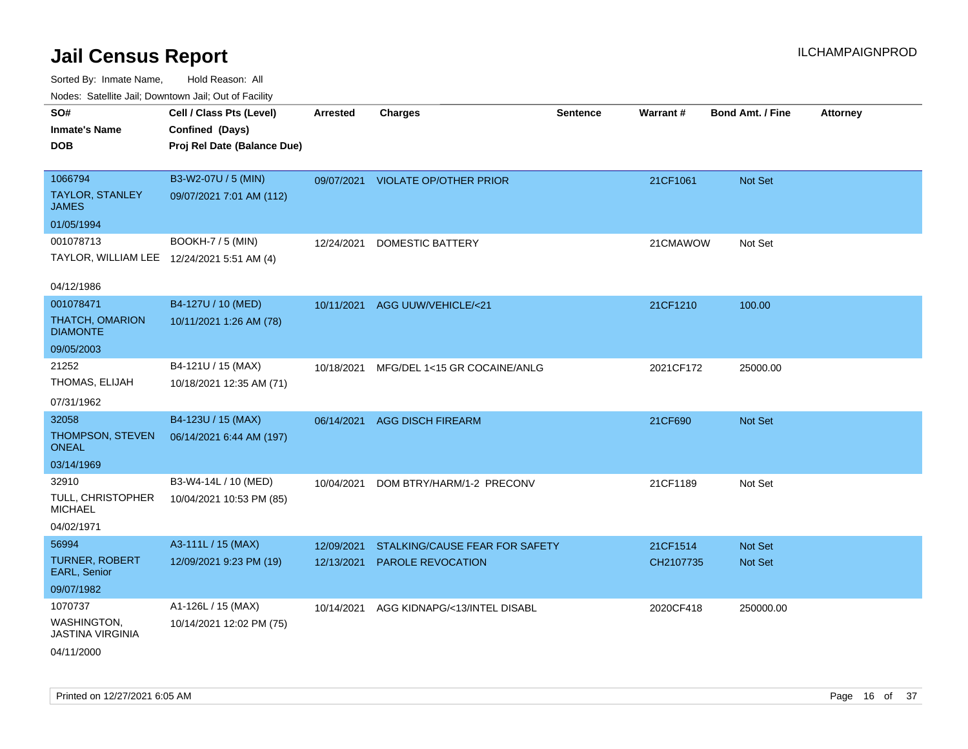| SO#                                        | Cell / Class Pts (Level)    | <b>Arrested</b> | <b>Charges</b>                 | <b>Sentence</b> | Warrant#  | <b>Bond Amt. / Fine</b> | <b>Attorney</b> |
|--------------------------------------------|-----------------------------|-----------------|--------------------------------|-----------------|-----------|-------------------------|-----------------|
| <b>Inmate's Name</b>                       | Confined (Days)             |                 |                                |                 |           |                         |                 |
| <b>DOB</b>                                 | Proj Rel Date (Balance Due) |                 |                                |                 |           |                         |                 |
|                                            |                             |                 |                                |                 |           |                         |                 |
| 1066794                                    | B3-W2-07U / 5 (MIN)         | 09/07/2021      | <b>VIOLATE OP/OTHER PRIOR</b>  |                 | 21CF1061  | Not Set                 |                 |
| <b>TAYLOR, STANLEY</b><br><b>JAMES</b>     | 09/07/2021 7:01 AM (112)    |                 |                                |                 |           |                         |                 |
| 01/05/1994                                 |                             |                 |                                |                 |           |                         |                 |
| 001078713                                  | <b>BOOKH-7 / 5 (MIN)</b>    | 12/24/2021      | <b>DOMESTIC BATTERY</b>        |                 | 21CMAWOW  | Not Set                 |                 |
| TAYLOR, WILLIAM LEE 12/24/2021 5:51 AM (4) |                             |                 |                                |                 |           |                         |                 |
|                                            |                             |                 |                                |                 |           |                         |                 |
| 04/12/1986                                 |                             |                 |                                |                 |           |                         |                 |
| 001078471                                  | B4-127U / 10 (MED)          | 10/11/2021      | AGG UUW/VEHICLE/<21            |                 | 21CF1210  | 100.00                  |                 |
| <b>THATCH, OMARION</b><br><b>DIAMONTE</b>  | 10/11/2021 1:26 AM (78)     |                 |                                |                 |           |                         |                 |
| 09/05/2003                                 |                             |                 |                                |                 |           |                         |                 |
| 21252                                      | B4-121U / 15 (MAX)          | 10/18/2021      | MFG/DEL 1<15 GR COCAINE/ANLG   |                 | 2021CF172 | 25000.00                |                 |
| THOMAS, ELIJAH                             | 10/18/2021 12:35 AM (71)    |                 |                                |                 |           |                         |                 |
| 07/31/1962                                 |                             |                 |                                |                 |           |                         |                 |
| 32058                                      | B4-123U / 15 (MAX)          | 06/14/2021      | <b>AGG DISCH FIREARM</b>       |                 | 21CF690   | Not Set                 |                 |
| THOMPSON, STEVEN<br><b>ONEAL</b>           | 06/14/2021 6:44 AM (197)    |                 |                                |                 |           |                         |                 |
| 03/14/1969                                 |                             |                 |                                |                 |           |                         |                 |
| 32910                                      | B3-W4-14L / 10 (MED)        | 10/04/2021      | DOM BTRY/HARM/1-2 PRECONV      |                 | 21CF1189  | Not Set                 |                 |
| TULL, CHRISTOPHER<br><b>MICHAEL</b>        | 10/04/2021 10:53 PM (85)    |                 |                                |                 |           |                         |                 |
| 04/02/1971                                 |                             |                 |                                |                 |           |                         |                 |
| 56994                                      | A3-111L / 15 (MAX)          | 12/09/2021      | STALKING/CAUSE FEAR FOR SAFETY |                 | 21CF1514  | <b>Not Set</b>          |                 |
| <b>TURNER, ROBERT</b>                      | 12/09/2021 9:23 PM (19)     | 12/13/2021      | <b>PAROLE REVOCATION</b>       |                 | CH2107735 | Not Set                 |                 |
| EARL, Senior                               |                             |                 |                                |                 |           |                         |                 |
| 09/07/1982                                 |                             |                 |                                |                 |           |                         |                 |
| 1070737                                    | A1-126L / 15 (MAX)          | 10/14/2021      | AGG KIDNAPG/<13/INTEL DISABL   |                 | 2020CF418 | 250000.00               |                 |
| WASHINGTON,<br><b>JASTINA VIRGINIA</b>     | 10/14/2021 12:02 PM (75)    |                 |                                |                 |           |                         |                 |
| 04/11/2000                                 |                             |                 |                                |                 |           |                         |                 |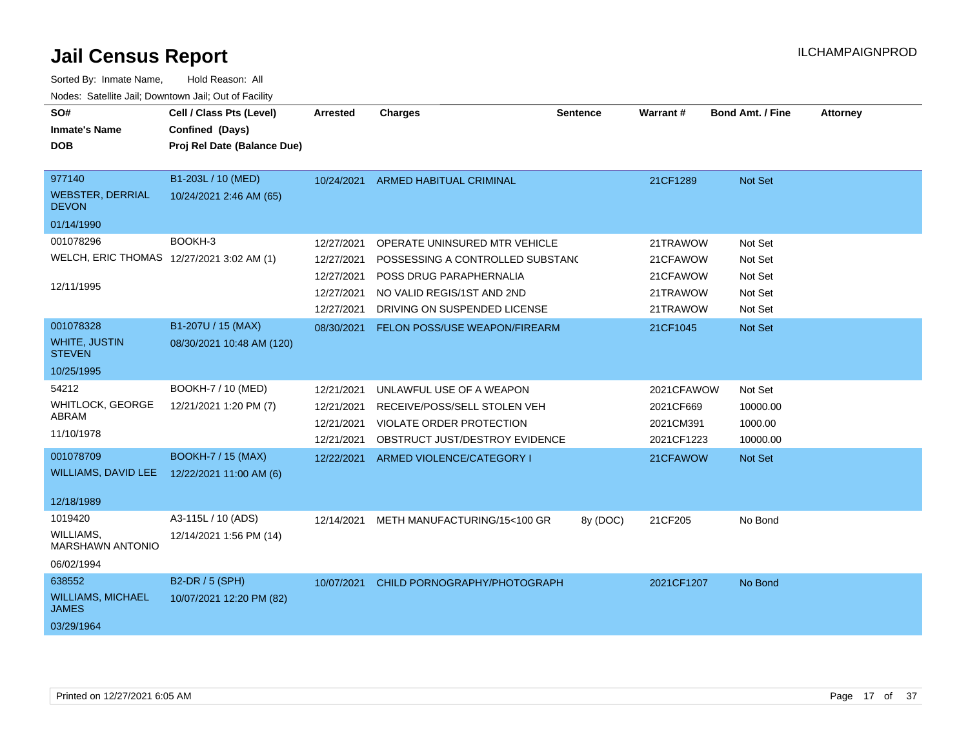| SO#<br><b>Inmate's Name</b><br><b>DOB</b>                            | Cell / Class Pts (Level)<br>Confined (Days)<br>Proj Rel Date (Balance Due) | Arrested                                                           | <b>Charges</b>                                                                                                                                             | <b>Sentence</b> | <b>Warrant#</b>                                          | <b>Bond Amt. / Fine</b>                             | <b>Attorney</b> |
|----------------------------------------------------------------------|----------------------------------------------------------------------------|--------------------------------------------------------------------|------------------------------------------------------------------------------------------------------------------------------------------------------------|-----------------|----------------------------------------------------------|-----------------------------------------------------|-----------------|
| 977140<br><b>WEBSTER, DERRIAL</b><br><b>DEVON</b>                    | B1-203L / 10 (MED)<br>10/24/2021 2:46 AM (65)                              | 10/24/2021                                                         | <b>ARMED HABITUAL CRIMINAL</b>                                                                                                                             |                 | 21CF1289                                                 | Not Set                                             |                 |
| 01/14/1990                                                           |                                                                            |                                                                    |                                                                                                                                                            |                 |                                                          |                                                     |                 |
| 001078296<br>WELCH, ERIC THOMAS 12/27/2021 3:02 AM (1)<br>12/11/1995 | BOOKH-3                                                                    | 12/27/2021<br>12/27/2021<br>12/27/2021<br>12/27/2021<br>12/27/2021 | OPERATE UNINSURED MTR VEHICLE<br>POSSESSING A CONTROLLED SUBSTANC<br>POSS DRUG PARAPHERNALIA<br>NO VALID REGIS/1ST AND 2ND<br>DRIVING ON SUSPENDED LICENSE |                 | 21TRAWOW<br>21CFAWOW<br>21CFAWOW<br>21TRAWOW<br>21TRAWOW | Not Set<br>Not Set<br>Not Set<br>Not Set<br>Not Set |                 |
| 001078328                                                            | B1-207U / 15 (MAX)                                                         | 08/30/2021                                                         | <b>FELON POSS/USE WEAPON/FIREARM</b>                                                                                                                       |                 | 21CF1045                                                 | Not Set                                             |                 |
| <b>WHITE, JUSTIN</b><br><b>STEVEN</b>                                | 08/30/2021 10:48 AM (120)                                                  |                                                                    |                                                                                                                                                            |                 |                                                          |                                                     |                 |
| 10/25/1995                                                           |                                                                            |                                                                    |                                                                                                                                                            |                 |                                                          |                                                     |                 |
| 54212<br><b>WHITLOCK, GEORGE</b><br>ABRAM<br>11/10/1978              | BOOKH-7 / 10 (MED)<br>12/21/2021 1:20 PM (7)                               | 12/21/2021<br>12/21/2021<br>12/21/2021<br>12/21/2021               | UNLAWFUL USE OF A WEAPON<br>RECEIVE/POSS/SELL STOLEN VEH<br>VIOLATE ORDER PROTECTION<br>OBSTRUCT JUST/DESTROY EVIDENCE                                     |                 | 2021CFAWOW<br>2021CF669<br>2021CM391<br>2021CF1223       | Not Set<br>10000.00<br>1000.00<br>10000.00          |                 |
| 001078709<br>WILLIAMS, DAVID LEE 12/22/2021 11:00 AM (6)             | <b>BOOKH-7 / 15 (MAX)</b>                                                  | 12/22/2021                                                         | ARMED VIOLENCE/CATEGORY I                                                                                                                                  |                 | 21CFAWOW                                                 | <b>Not Set</b>                                      |                 |
| 12/18/1989                                                           |                                                                            |                                                                    |                                                                                                                                                            |                 |                                                          |                                                     |                 |
| 1019420<br><b>WILLIAMS,</b><br>MARSHAWN ANTONIO                      | A3-115L / 10 (ADS)<br>12/14/2021 1:56 PM (14)                              | 12/14/2021                                                         | METH MANUFACTURING/15<100 GR                                                                                                                               | 8y (DOC)        | 21CF205                                                  | No Bond                                             |                 |
| 06/02/1994<br>638552<br><b>WILLIAMS, MICHAEL</b><br><b>JAMES</b>     | B2-DR / 5 (SPH)<br>10/07/2021 12:20 PM (82)                                | 10/07/2021                                                         | CHILD PORNOGRAPHY/PHOTOGRAPH                                                                                                                               |                 | 2021CF1207                                               | No Bond                                             |                 |
| 03/29/1964                                                           |                                                                            |                                                                    |                                                                                                                                                            |                 |                                                          |                                                     |                 |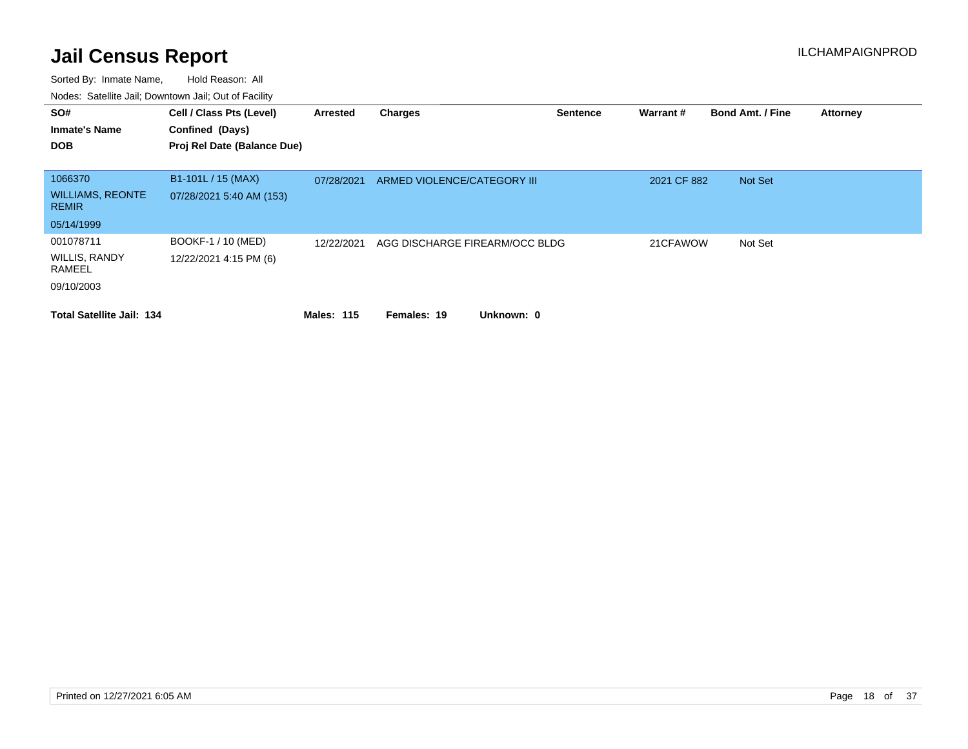| SO#<br><b>Inmate's Name</b>                 | Cell / Class Pts (Level)<br>Confined (Days)    | Arrested          | <b>Charges</b>                 | <b>Sentence</b> | Warrant#    | <b>Bond Amt. / Fine</b> | <b>Attorney</b> |
|---------------------------------------------|------------------------------------------------|-------------------|--------------------------------|-----------------|-------------|-------------------------|-----------------|
| <b>DOB</b>                                  | Proj Rel Date (Balance Due)                    |                   |                                |                 |             |                         |                 |
| 1066370<br><b>WILLIAMS, REONTE</b>          | B1-101L / 15 (MAX)<br>07/28/2021 5:40 AM (153) | 07/28/2021        | ARMED VIOLENCE/CATEGORY III    |                 | 2021 CF 882 | Not Set                 |                 |
| <b>REMIR</b><br>05/14/1999                  |                                                |                   |                                |                 |             |                         |                 |
| 001078711<br><b>WILLIS, RANDY</b><br>RAMEEL | BOOKF-1 / 10 (MED)<br>12/22/2021 4:15 PM (6)   | 12/22/2021        | AGG DISCHARGE FIREARM/OCC BLDG |                 | 21CFAWOW    | Not Set                 |                 |
| 09/10/2003                                  |                                                |                   |                                |                 |             |                         |                 |
| <b>Total Satellite Jail: 134</b>            |                                                | <b>Males: 115</b> | Unknown: 0<br>Females: 19      |                 |             |                         |                 |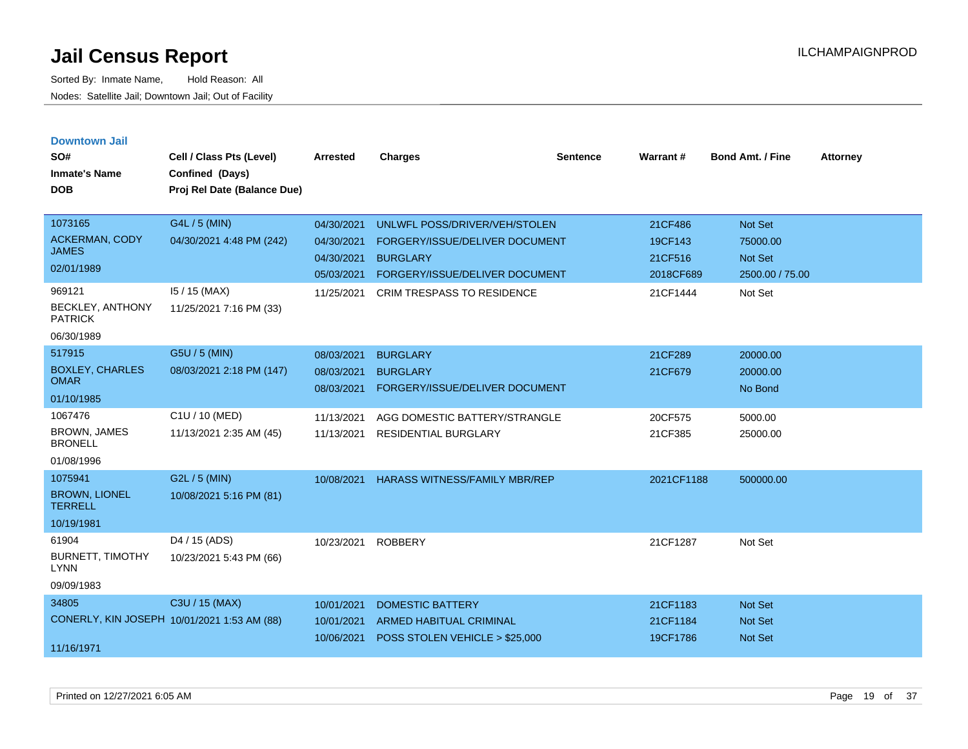| <b>Downtown Jail</b><br>SO#<br><b>Inmate's Name</b><br><b>DOB</b>        | Cell / Class Pts (Level)<br>Confined (Days)<br>Proj Rel Date (Balance Due) | <b>Arrested</b>                                                    | <b>Charges</b>                                                                                                                                            | <b>Sentence</b> | Warrant#                                               | <b>Bond Amt. / Fine</b>                                             | <b>Attorney</b> |
|--------------------------------------------------------------------------|----------------------------------------------------------------------------|--------------------------------------------------------------------|-----------------------------------------------------------------------------------------------------------------------------------------------------------|-----------------|--------------------------------------------------------|---------------------------------------------------------------------|-----------------|
| 1073165<br><b>ACKERMAN, CODY</b><br><b>JAMES</b><br>02/01/1989<br>969121 | G4L / 5 (MIN)<br>04/30/2021 4:48 PM (242)<br>15 / 15 (MAX)                 | 04/30/2021<br>04/30/2021<br>04/30/2021<br>05/03/2021<br>11/25/2021 | UNLWFL POSS/DRIVER/VEH/STOLEN<br>FORGERY/ISSUE/DELIVER DOCUMENT<br><b>BURGLARY</b><br>FORGERY/ISSUE/DELIVER DOCUMENT<br><b>CRIM TRESPASS TO RESIDENCE</b> |                 | 21CF486<br>19CF143<br>21CF516<br>2018CF689<br>21CF1444 | <b>Not Set</b><br>75000.00<br>Not Set<br>2500.00 / 75.00<br>Not Set |                 |
| BECKLEY, ANTHONY<br><b>PATRICK</b><br>06/30/1989                         | 11/25/2021 7:16 PM (33)                                                    |                                                                    |                                                                                                                                                           |                 |                                                        |                                                                     |                 |
| 517915<br><b>BOXLEY, CHARLES</b><br><b>OMAR</b><br>01/10/1985            | G5U / 5 (MIN)<br>08/03/2021 2:18 PM (147)                                  | 08/03/2021<br>08/03/2021<br>08/03/2021                             | <b>BURGLARY</b><br><b>BURGLARY</b><br>FORGERY/ISSUE/DELIVER DOCUMENT                                                                                      |                 | 21CF289<br>21CF679                                     | 20000.00<br>20000.00<br>No Bond                                     |                 |
| 1067476<br><b>BROWN, JAMES</b><br><b>BRONELL</b><br>01/08/1996           | C1U / 10 (MED)<br>11/13/2021 2:35 AM (45)                                  | 11/13/2021<br>11/13/2021                                           | AGG DOMESTIC BATTERY/STRANGLE<br><b>RESIDENTIAL BURGLARY</b>                                                                                              |                 | 20CF575<br>21CF385                                     | 5000.00<br>25000.00                                                 |                 |
| 1075941<br><b>BROWN, LIONEL</b><br><b>TERRELL</b><br>10/19/1981          | G2L / 5 (MIN)<br>10/08/2021 5:16 PM (81)                                   | 10/08/2021                                                         | <b>HARASS WITNESS/FAMILY MBR/REP</b>                                                                                                                      |                 | 2021CF1188                                             | 500000.00                                                           |                 |
| 61904<br><b>BURNETT, TIMOTHY</b><br><b>LYNN</b><br>09/09/1983            | D4 / 15 (ADS)<br>10/23/2021 5:43 PM (66)                                   | 10/23/2021                                                         | <b>ROBBERY</b>                                                                                                                                            |                 | 21CF1287                                               | Not Set                                                             |                 |
| 34805<br>CONERLY, KIN JOSEPH 10/01/2021 1:53 AM (88)<br>11/16/1971       | C3U / 15 (MAX)                                                             | 10/01/2021<br>10/01/2021<br>10/06/2021                             | <b>DOMESTIC BATTERY</b><br><b>ARMED HABITUAL CRIMINAL</b><br>POSS STOLEN VEHICLE > \$25,000                                                               |                 | 21CF1183<br>21CF1184<br>19CF1786                       | <b>Not Set</b><br><b>Not Set</b><br><b>Not Set</b>                  |                 |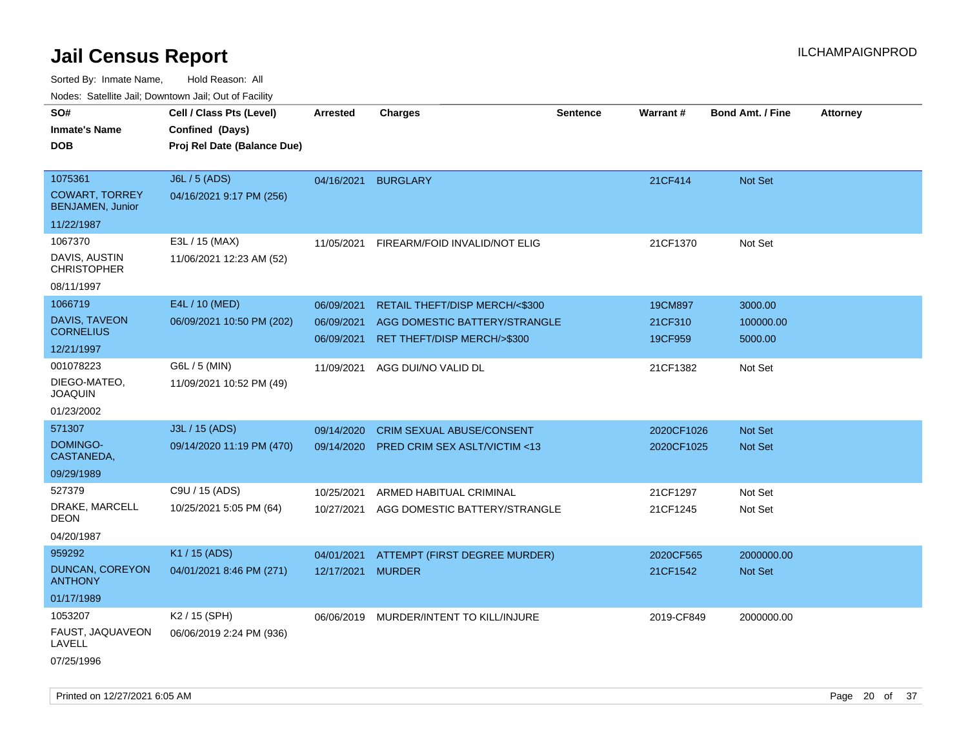| ivouss. Saleline Jali, Downtown Jali, Out of Facility |                                                                            |                 |                                  |                 |                 |                         |                 |
|-------------------------------------------------------|----------------------------------------------------------------------------|-----------------|----------------------------------|-----------------|-----------------|-------------------------|-----------------|
| SO#<br><b>Inmate's Name</b><br><b>DOB</b>             | Cell / Class Pts (Level)<br>Confined (Days)<br>Proj Rel Date (Balance Due) | <b>Arrested</b> | <b>Charges</b>                   | <b>Sentence</b> | <b>Warrant#</b> | <b>Bond Amt. / Fine</b> | <b>Attorney</b> |
| 1075361<br><b>COWART, TORREY</b>                      | J6L / 5 (ADS)                                                              | 04/16/2021      | <b>BURGLARY</b>                  |                 | 21CF414         | Not Set                 |                 |
| <b>BENJAMEN, Junior</b>                               | 04/16/2021 9:17 PM (256)                                                   |                 |                                  |                 |                 |                         |                 |
| 11/22/1987                                            |                                                                            |                 |                                  |                 |                 |                         |                 |
| 1067370                                               | E3L / 15 (MAX)                                                             | 11/05/2021      | FIREARM/FOID INVALID/NOT ELIG    |                 | 21CF1370        | Not Set                 |                 |
| DAVIS, AUSTIN<br><b>CHRISTOPHER</b>                   | 11/06/2021 12:23 AM (52)                                                   |                 |                                  |                 |                 |                         |                 |
| 08/11/1997                                            |                                                                            |                 |                                  |                 |                 |                         |                 |
| 1066719                                               | E4L / 10 (MED)                                                             | 06/09/2021      | RETAIL THEFT/DISP MERCH/<\$300   |                 | 19CM897         | 3000.00                 |                 |
| <b>DAVIS, TAVEON</b><br><b>CORNELIUS</b>              | 06/09/2021 10:50 PM (202)                                                  | 06/09/2021      | AGG DOMESTIC BATTERY/STRANGLE    |                 | 21CF310         | 100000.00               |                 |
| 12/21/1997                                            |                                                                            | 06/09/2021      | RET THEFT/DISP MERCH/>\$300      |                 | 19CF959         | 5000.00                 |                 |
| 001078223                                             | G6L / 5 (MIN)                                                              | 11/09/2021      | AGG DUI/NO VALID DL              |                 | 21CF1382        | Not Set                 |                 |
| DIEGO-MATEO,<br><b>JOAQUIN</b>                        | 11/09/2021 10:52 PM (49)                                                   |                 |                                  |                 |                 |                         |                 |
| 01/23/2002                                            |                                                                            |                 |                                  |                 |                 |                         |                 |
| 571307                                                | J3L / 15 (ADS)                                                             | 09/14/2020      | <b>CRIM SEXUAL ABUSE/CONSENT</b> |                 | 2020CF1026      | <b>Not Set</b>          |                 |
| <b>DOMINGO-</b><br>CASTANEDA,                         | 09/14/2020 11:19 PM (470)                                                  | 09/14/2020      | PRED CRIM SEX ASLT/VICTIM <13    |                 | 2020CF1025      | <b>Not Set</b>          |                 |
| 09/29/1989                                            |                                                                            |                 |                                  |                 |                 |                         |                 |
| 527379                                                | C9U / 15 (ADS)                                                             | 10/25/2021      | ARMED HABITUAL CRIMINAL          |                 | 21CF1297        | Not Set                 |                 |
| DRAKE, MARCELL<br>DEON                                | 10/25/2021 5:05 PM (64)                                                    | 10/27/2021      | AGG DOMESTIC BATTERY/STRANGLE    |                 | 21CF1245        | Not Set                 |                 |
| 04/20/1987                                            |                                                                            |                 |                                  |                 |                 |                         |                 |
| 959292                                                | K1 / 15 (ADS)                                                              | 04/01/2021      | ATTEMPT (FIRST DEGREE MURDER)    |                 | 2020CF565       | 2000000.00              |                 |
| DUNCAN, COREYON<br><b>ANTHONY</b>                     | 04/01/2021 8:46 PM (271)                                                   | 12/17/2021      | <b>MURDER</b>                    |                 | 21CF1542        | Not Set                 |                 |
| 01/17/1989                                            |                                                                            |                 |                                  |                 |                 |                         |                 |
| 1053207                                               | K <sub>2</sub> / 15 (SPH)                                                  | 06/06/2019      | MURDER/INTENT TO KILL/INJURE     |                 | 2019-CF849      | 2000000.00              |                 |
| FAUST, JAQUAVEON<br>LAVELL                            | 06/06/2019 2:24 PM (936)                                                   |                 |                                  |                 |                 |                         |                 |
| 07/25/1996                                            |                                                                            |                 |                                  |                 |                 |                         |                 |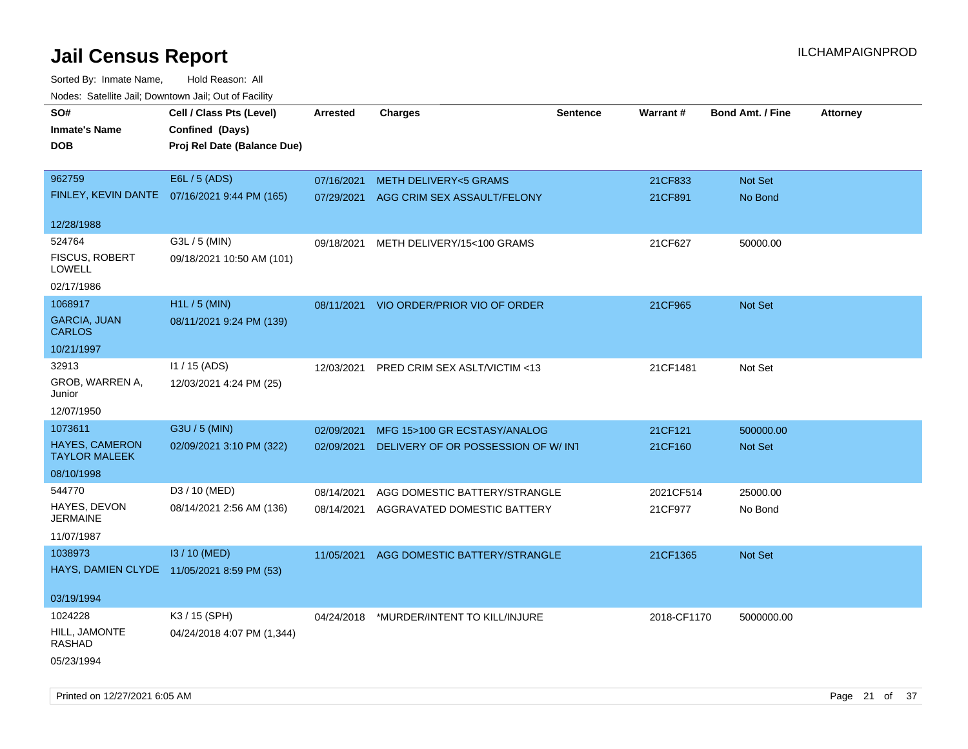Sorted By: Inmate Name, Hold Reason: All Nodes: Satellite Jail; Downtown Jail; Out of Facility

| ivuutos. Saltiilit Jall, Duwilluwii Jall, Oul of Facility |                                              |                 |                                          |                 |             |                         |                 |
|-----------------------------------------------------------|----------------------------------------------|-----------------|------------------------------------------|-----------------|-------------|-------------------------|-----------------|
| SO#                                                       | Cell / Class Pts (Level)                     | <b>Arrested</b> | <b>Charges</b>                           | <b>Sentence</b> | Warrant#    | <b>Bond Amt. / Fine</b> | <b>Attorney</b> |
| <b>Inmate's Name</b>                                      | Confined (Days)                              |                 |                                          |                 |             |                         |                 |
| <b>DOB</b>                                                | Proj Rel Date (Balance Due)                  |                 |                                          |                 |             |                         |                 |
|                                                           |                                              |                 |                                          |                 |             |                         |                 |
| 962759                                                    | E6L / 5 (ADS)                                | 07/16/2021      | METH DELIVERY<5 GRAMS                    |                 | 21CF833     | Not Set                 |                 |
|                                                           | FINLEY, KEVIN DANTE 07/16/2021 9:44 PM (165) | 07/29/2021      | AGG CRIM SEX ASSAULT/FELONY              |                 | 21CF891     | No Bond                 |                 |
|                                                           |                                              |                 |                                          |                 |             |                         |                 |
| 12/28/1988                                                |                                              |                 |                                          |                 |             |                         |                 |
| 524764                                                    | G3L / 5 (MIN)                                | 09/18/2021      | METH DELIVERY/15<100 GRAMS               |                 | 21CF627     | 50000.00                |                 |
| <b>FISCUS, ROBERT</b><br>LOWELL                           | 09/18/2021 10:50 AM (101)                    |                 |                                          |                 |             |                         |                 |
| 02/17/1986                                                |                                              |                 |                                          |                 |             |                         |                 |
| 1068917                                                   | H1L / 5 (MIN)                                | 08/11/2021      | VIO ORDER/PRIOR VIO OF ORDER             |                 | 21CF965     | Not Set                 |                 |
| <b>GARCIA, JUAN</b>                                       | 08/11/2021 9:24 PM (139)                     |                 |                                          |                 |             |                         |                 |
| <b>CARLOS</b>                                             |                                              |                 |                                          |                 |             |                         |                 |
| 10/21/1997                                                |                                              |                 |                                          |                 |             |                         |                 |
| 32913                                                     | $11 / 15$ (ADS)                              | 12/03/2021      | PRED CRIM SEX ASLT/VICTIM <13            |                 | 21CF1481    | Not Set                 |                 |
| GROB, WARREN A,                                           | 12/03/2021 4:24 PM (25)                      |                 |                                          |                 |             |                         |                 |
| Junior                                                    |                                              |                 |                                          |                 |             |                         |                 |
| 12/07/1950                                                |                                              |                 |                                          |                 |             |                         |                 |
| 1073611                                                   | G3U / 5 (MIN)                                | 02/09/2021      | MFG 15>100 GR ECSTASY/ANALOG             |                 | 21CF121     | 500000.00               |                 |
| <b>HAYES, CAMERON</b><br><b>TAYLOR MALEEK</b>             | 02/09/2021 3:10 PM (322)                     | 02/09/2021      | DELIVERY OF OR POSSESSION OF W/INT       |                 | 21CF160     | Not Set                 |                 |
| 08/10/1998                                                |                                              |                 |                                          |                 |             |                         |                 |
| 544770                                                    | D3 / 10 (MED)                                | 08/14/2021      | AGG DOMESTIC BATTERY/STRANGLE            |                 | 2021CF514   | 25000.00                |                 |
| HAYES, DEVON                                              | 08/14/2021 2:56 AM (136)                     | 08/14/2021      | AGGRAVATED DOMESTIC BATTERY              |                 | 21CF977     | No Bond                 |                 |
| <b>JERMAINE</b>                                           |                                              |                 |                                          |                 |             |                         |                 |
| 11/07/1987                                                |                                              |                 |                                          |                 |             |                         |                 |
| 1038973                                                   | I3 / 10 (MED)                                | 11/05/2021      | AGG DOMESTIC BATTERY/STRANGLE            |                 | 21CF1365    | <b>Not Set</b>          |                 |
| HAYS, DAMIEN CLYDE 11/05/2021 8:59 PM (53)                |                                              |                 |                                          |                 |             |                         |                 |
| 03/19/1994                                                |                                              |                 |                                          |                 |             |                         |                 |
| 1024228                                                   | K3 / 15 (SPH)                                |                 | 04/24/2018 *MURDER/INTENT TO KILL/INJURE |                 | 2018-CF1170 | 5000000.00              |                 |
| HILL, JAMONTE<br>RASHAD                                   | 04/24/2018 4:07 PM (1,344)                   |                 |                                          |                 |             |                         |                 |
| 05/23/1994                                                |                                              |                 |                                          |                 |             |                         |                 |

Printed on 12/27/2021 6:05 AM **Page 21 of 37**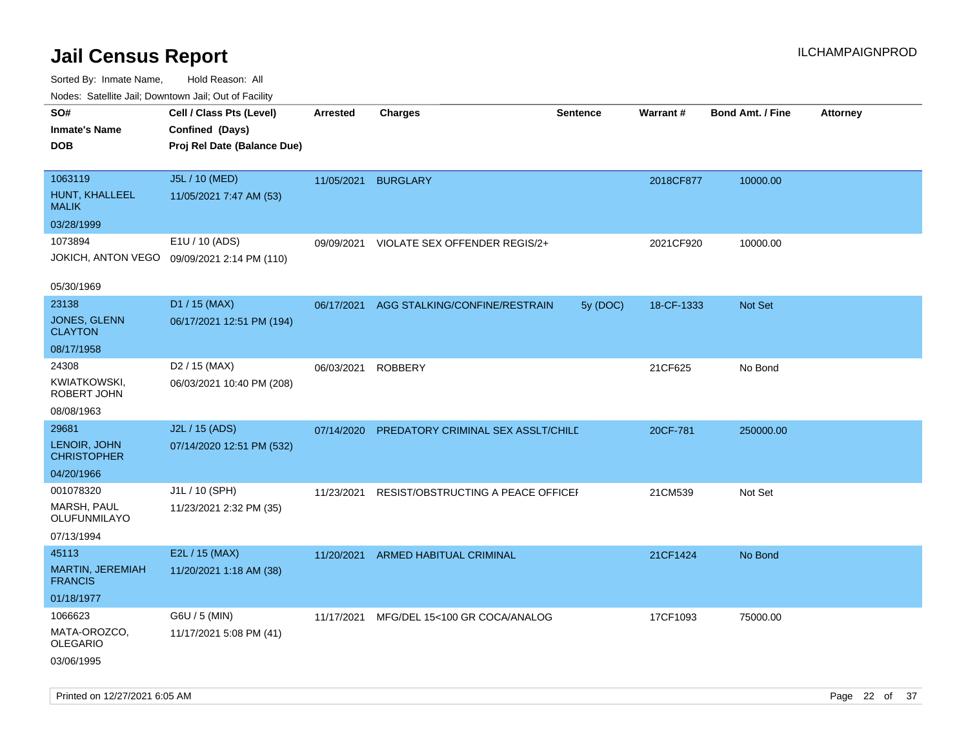| ivuutos. Saltiilit Jall, Duwilluwii Jall, Oul of Facility |                                             |                 |                                    |                 |            |                         |                 |
|-----------------------------------------------------------|---------------------------------------------|-----------------|------------------------------------|-----------------|------------|-------------------------|-----------------|
| SO#                                                       | Cell / Class Pts (Level)                    | <b>Arrested</b> | <b>Charges</b>                     | <b>Sentence</b> | Warrant#   | <b>Bond Amt. / Fine</b> | <b>Attorney</b> |
| <b>Inmate's Name</b>                                      | Confined (Days)                             |                 |                                    |                 |            |                         |                 |
| <b>DOB</b>                                                | Proj Rel Date (Balance Due)                 |                 |                                    |                 |            |                         |                 |
|                                                           |                                             |                 |                                    |                 |            |                         |                 |
| 1063119                                                   | J5L / 10 (MED)                              | 11/05/2021      | <b>BURGLARY</b>                    |                 | 2018CF877  | 10000.00                |                 |
| HUNT, KHALLEEL<br><b>MALIK</b>                            | 11/05/2021 7:47 AM (53)                     |                 |                                    |                 |            |                         |                 |
| 03/28/1999                                                |                                             |                 |                                    |                 |            |                         |                 |
| 1073894                                                   | E1U / 10 (ADS)                              | 09/09/2021      | VIOLATE SEX OFFENDER REGIS/2+      |                 | 2021CF920  | 10000.00                |                 |
|                                                           | JOKICH, ANTON VEGO 09/09/2021 2:14 PM (110) |                 |                                    |                 |            |                         |                 |
|                                                           |                                             |                 |                                    |                 |            |                         |                 |
| 05/30/1969                                                |                                             |                 |                                    |                 |            |                         |                 |
| 23138                                                     | D1 / 15 (MAX)                               | 06/17/2021      | AGG STALKING/CONFINE/RESTRAIN      | 5y (DOC)        | 18-CF-1333 | Not Set                 |                 |
| JONES, GLENN<br><b>CLAYTON</b>                            | 06/17/2021 12:51 PM (194)                   |                 |                                    |                 |            |                         |                 |
| 08/17/1958                                                |                                             |                 |                                    |                 |            |                         |                 |
| 24308                                                     | D <sub>2</sub> / 15 (MAX)                   | 06/03/2021      | <b>ROBBERY</b>                     |                 | 21CF625    | No Bond                 |                 |
| KWIATKOWSKI,<br>ROBERT JOHN                               | 06/03/2021 10:40 PM (208)                   |                 |                                    |                 |            |                         |                 |
| 08/08/1963                                                |                                             |                 |                                    |                 |            |                         |                 |
| 29681                                                     | J2L / 15 (ADS)                              | 07/14/2020      | PREDATORY CRIMINAL SEX ASSLT/CHILD |                 | 20CF-781   | 250000.00               |                 |
| LENOIR, JOHN<br><b>CHRISTOPHER</b>                        | 07/14/2020 12:51 PM (532)                   |                 |                                    |                 |            |                         |                 |
| 04/20/1966                                                |                                             |                 |                                    |                 |            |                         |                 |
| 001078320                                                 | J1L / 10 (SPH)                              | 11/23/2021      | RESIST/OBSTRUCTING A PEACE OFFICEI |                 | 21CM539    | Not Set                 |                 |
| <b>MARSH, PAUL</b><br>OLUFUNMILAYO                        | 11/23/2021 2:32 PM (35)                     |                 |                                    |                 |            |                         |                 |
| 07/13/1994                                                |                                             |                 |                                    |                 |            |                         |                 |
| 45113                                                     | E2L / 15 (MAX)                              | 11/20/2021      | ARMED HABITUAL CRIMINAL            |                 | 21CF1424   | No Bond                 |                 |
| MARTIN, JEREMIAH<br><b>FRANCIS</b>                        | 11/20/2021 1:18 AM (38)                     |                 |                                    |                 |            |                         |                 |
| 01/18/1977                                                |                                             |                 |                                    |                 |            |                         |                 |
| 1066623                                                   | G6U / 5 (MIN)                               | 11/17/2021      | MFG/DEL 15<100 GR COCA/ANALOG      |                 | 17CF1093   | 75000.00                |                 |
| MATA-OROZCO,<br><b>OLEGARIO</b>                           | 11/17/2021 5:08 PM (41)                     |                 |                                    |                 |            |                         |                 |
| 03/06/1995                                                |                                             |                 |                                    |                 |            |                         |                 |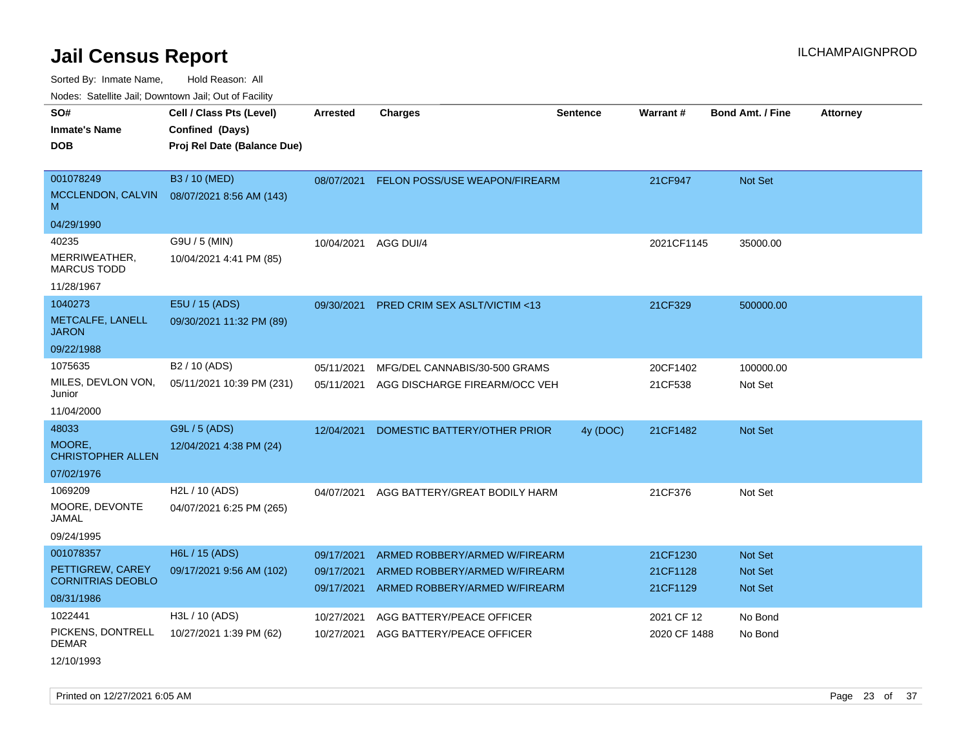Sorted By: Inmate Name, Hold Reason: All

Nodes: Satellite Jail; Downtown Jail; Out of Facility

| SO#                                          | Cell / Class Pts (Level)    | Arrested                 | <b>Charges</b>                                                 | Sentence | <b>Warrant#</b>      | <b>Bond Amt. / Fine</b>          | <b>Attorney</b> |
|----------------------------------------------|-----------------------------|--------------------------|----------------------------------------------------------------|----------|----------------------|----------------------------------|-----------------|
| <b>Inmate's Name</b>                         | Confined (Days)             |                          |                                                                |          |                      |                                  |                 |
| <b>DOB</b>                                   | Proj Rel Date (Balance Due) |                          |                                                                |          |                      |                                  |                 |
| 001078249                                    | B3 / 10 (MED)               |                          | 08/07/2021 FELON POSS/USE WEAPON/FIREARM                       |          | 21CF947              | Not Set                          |                 |
| MCCLENDON, CALVIN<br>M                       | 08/07/2021 8:56 AM (143)    |                          |                                                                |          |                      |                                  |                 |
| 04/29/1990                                   |                             |                          |                                                                |          |                      |                                  |                 |
| 40235                                        | G9U / 5 (MIN)               | 10/04/2021               | AGG DUI/4                                                      |          | 2021CF1145           | 35000.00                         |                 |
| MERRIWEATHER,<br><b>MARCUS TODD</b>          | 10/04/2021 4:41 PM (85)     |                          |                                                                |          |                      |                                  |                 |
| 11/28/1967                                   |                             |                          |                                                                |          |                      |                                  |                 |
| 1040273                                      | E5U / 15 (ADS)              | 09/30/2021               | <b>PRED CRIM SEX ASLT/VICTIM &lt;13</b>                        |          | 21CF329              | 500000.00                        |                 |
| METCALFE, LANELL<br><b>JARON</b>             | 09/30/2021 11:32 PM (89)    |                          |                                                                |          |                      |                                  |                 |
| 09/22/1988                                   |                             |                          |                                                                |          |                      |                                  |                 |
| 1075635                                      | B <sub>2</sub> / 10 (ADS)   | 05/11/2021               | MFG/DEL CANNABIS/30-500 GRAMS                                  |          | 20CF1402             | 100000.00                        |                 |
| MILES, DEVLON VON,<br>Junior                 | 05/11/2021 10:39 PM (231)   | 05/11/2021               | AGG DISCHARGE FIREARM/OCC VEH                                  |          | 21CF538              | Not Set                          |                 |
| 11/04/2000                                   |                             |                          |                                                                |          |                      |                                  |                 |
| 48033                                        | G9L / 5 (ADS)               | 12/04/2021               | DOMESTIC BATTERY/OTHER PRIOR                                   | 4y (DOC) | 21CF1482             | Not Set                          |                 |
| MOORE,<br><b>CHRISTOPHER ALLEN</b>           | 12/04/2021 4:38 PM (24)     |                          |                                                                |          |                      |                                  |                 |
| 07/02/1976                                   |                             |                          |                                                                |          |                      |                                  |                 |
| 1069209                                      | H2L / 10 (ADS)              | 04/07/2021               | AGG BATTERY/GREAT BODILY HARM                                  |          | 21CF376              | Not Set                          |                 |
| MOORE, DEVONTE<br>JAMAL                      | 04/07/2021 6:25 PM (265)    |                          |                                                                |          |                      |                                  |                 |
| 09/24/1995                                   |                             |                          |                                                                |          |                      |                                  |                 |
| 001078357                                    | H6L / 15 (ADS)              | 09/17/2021               | ARMED ROBBERY/ARMED W/FIREARM                                  |          | 21CF1230             | <b>Not Set</b>                   |                 |
| PETTIGREW, CAREY<br><b>CORNITRIAS DEOBLO</b> | 09/17/2021 9:56 AM (102)    | 09/17/2021<br>09/17/2021 | ARMED ROBBERY/ARMED W/FIREARM<br>ARMED ROBBERY/ARMED W/FIREARM |          | 21CF1128<br>21CF1129 | <b>Not Set</b><br><b>Not Set</b> |                 |
| 08/31/1986                                   |                             |                          |                                                                |          |                      |                                  |                 |
| 1022441                                      | H3L / 10 (ADS)              | 10/27/2021               | AGG BATTERY/PEACE OFFICER                                      |          | 2021 CF 12           | No Bond                          |                 |
| PICKENS, DONTRELL<br><b>DEMAR</b>            | 10/27/2021 1:39 PM (62)     | 10/27/2021               | AGG BATTERY/PEACE OFFICER                                      |          | 2020 CF 1488         | No Bond                          |                 |

12/10/1993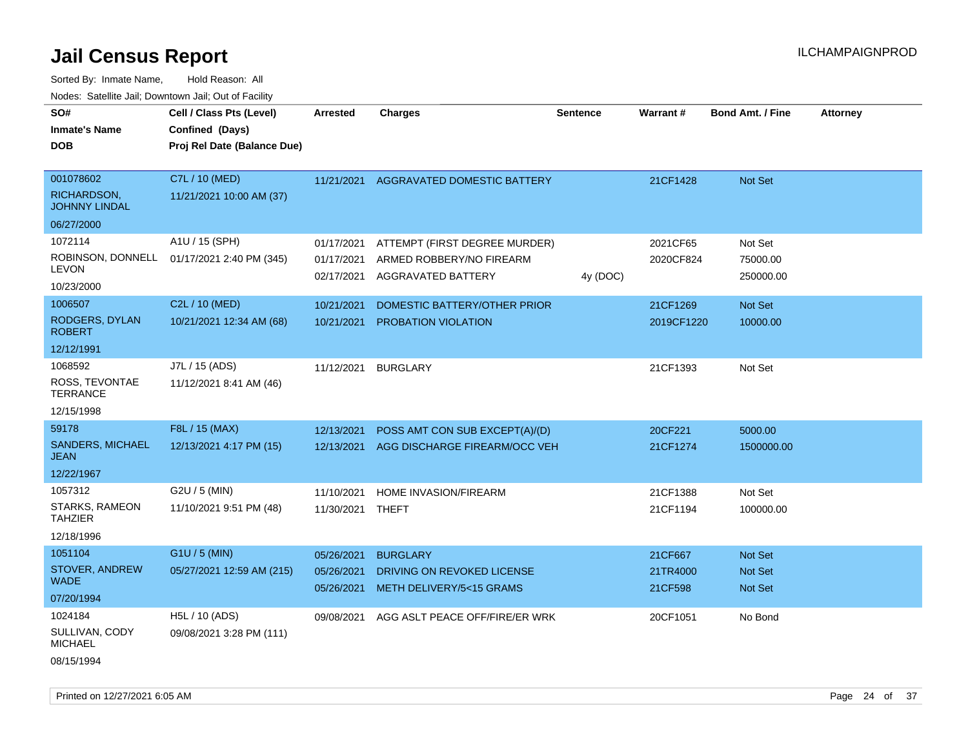| roaco. Calcinio dan, Downtown dan, Out or Fability |                             |                  |                                          |                 |            |                         |                 |
|----------------------------------------------------|-----------------------------|------------------|------------------------------------------|-----------------|------------|-------------------------|-----------------|
| SO#                                                | Cell / Class Pts (Level)    | <b>Arrested</b>  | <b>Charges</b>                           | <b>Sentence</b> | Warrant#   | <b>Bond Amt. / Fine</b> | <b>Attorney</b> |
| <b>Inmate's Name</b>                               | Confined (Days)             |                  |                                          |                 |            |                         |                 |
| <b>DOB</b>                                         | Proj Rel Date (Balance Due) |                  |                                          |                 |            |                         |                 |
|                                                    |                             |                  |                                          |                 |            |                         |                 |
| 001078602                                          | C7L / 10 (MED)              |                  | 11/21/2021 AGGRAVATED DOMESTIC BATTERY   |                 | 21CF1428   | Not Set                 |                 |
| RICHARDSON,<br><b>JOHNNY LINDAL</b>                | 11/21/2021 10:00 AM (37)    |                  |                                          |                 |            |                         |                 |
| 06/27/2000                                         |                             |                  |                                          |                 |            |                         |                 |
| 1072114                                            | A1U / 15 (SPH)              | 01/17/2021       | ATTEMPT (FIRST DEGREE MURDER)            |                 | 2021CF65   | Not Set                 |                 |
| ROBINSON, DONNELL                                  | 01/17/2021 2:40 PM (345)    | 01/17/2021       | ARMED ROBBERY/NO FIREARM                 |                 | 2020CF824  | 75000.00                |                 |
| <b>LEVON</b>                                       |                             | 02/17/2021       | AGGRAVATED BATTERY                       | 4y (DOC)        |            | 250000.00               |                 |
| 10/23/2000                                         |                             |                  |                                          |                 |            |                         |                 |
| 1006507                                            | C2L / 10 (MED)              | 10/21/2021       | DOMESTIC BATTERY/OTHER PRIOR             |                 | 21CF1269   | Not Set                 |                 |
| RODGERS, DYLAN<br><b>ROBERT</b>                    | 10/21/2021 12:34 AM (68)    | 10/21/2021       | PROBATION VIOLATION                      |                 | 2019CF1220 | 10000.00                |                 |
| 12/12/1991                                         |                             |                  |                                          |                 |            |                         |                 |
| 1068592                                            | J7L / 15 (ADS)              | 11/12/2021       | <b>BURGLARY</b>                          |                 | 21CF1393   | Not Set                 |                 |
| ROSS, TEVONTAE<br><b>TERRANCE</b>                  | 11/12/2021 8:41 AM (46)     |                  |                                          |                 |            |                         |                 |
| 12/15/1998                                         |                             |                  |                                          |                 |            |                         |                 |
| 59178                                              | F8L / 15 (MAX)              | 12/13/2021       | POSS AMT CON SUB EXCEPT(A)/(D)           |                 | 20CF221    | 5000.00                 |                 |
| <b>SANDERS, MICHAEL</b><br><b>JEAN</b>             | 12/13/2021 4:17 PM (15)     |                  | 12/13/2021 AGG DISCHARGE FIREARM/OCC VEH |                 | 21CF1274   | 1500000.00              |                 |
| 12/22/1967                                         |                             |                  |                                          |                 |            |                         |                 |
| 1057312                                            | G2U / 5 (MIN)               | 11/10/2021       | HOME INVASION/FIREARM                    |                 | 21CF1388   | Not Set                 |                 |
| <b>STARKS, RAMEON</b><br><b>TAHZIER</b>            | 11/10/2021 9:51 PM (48)     | 11/30/2021 THEFT |                                          |                 | 21CF1194   | 100000.00               |                 |
| 12/18/1996                                         |                             |                  |                                          |                 |            |                         |                 |
| 1051104                                            | G1U / 5 (MIN)               | 05/26/2021       | <b>BURGLARY</b>                          |                 | 21CF667    | Not Set                 |                 |
| STOVER, ANDREW<br><b>WADE</b>                      | 05/27/2021 12:59 AM (215)   | 05/26/2021       | DRIVING ON REVOKED LICENSE               |                 | 21TR4000   | Not Set                 |                 |
| 07/20/1994                                         |                             | 05/26/2021       | METH DELIVERY/5<15 GRAMS                 |                 | 21CF598    | <b>Not Set</b>          |                 |
| 1024184                                            | H5L / 10 (ADS)              | 09/08/2021       | AGG ASLT PEACE OFF/FIRE/ER WRK           |                 | 20CF1051   | No Bond                 |                 |
| SULLIVAN, CODY<br><b>MICHAEL</b>                   | 09/08/2021 3:28 PM (111)    |                  |                                          |                 |            |                         |                 |
| 08/15/1994                                         |                             |                  |                                          |                 |            |                         |                 |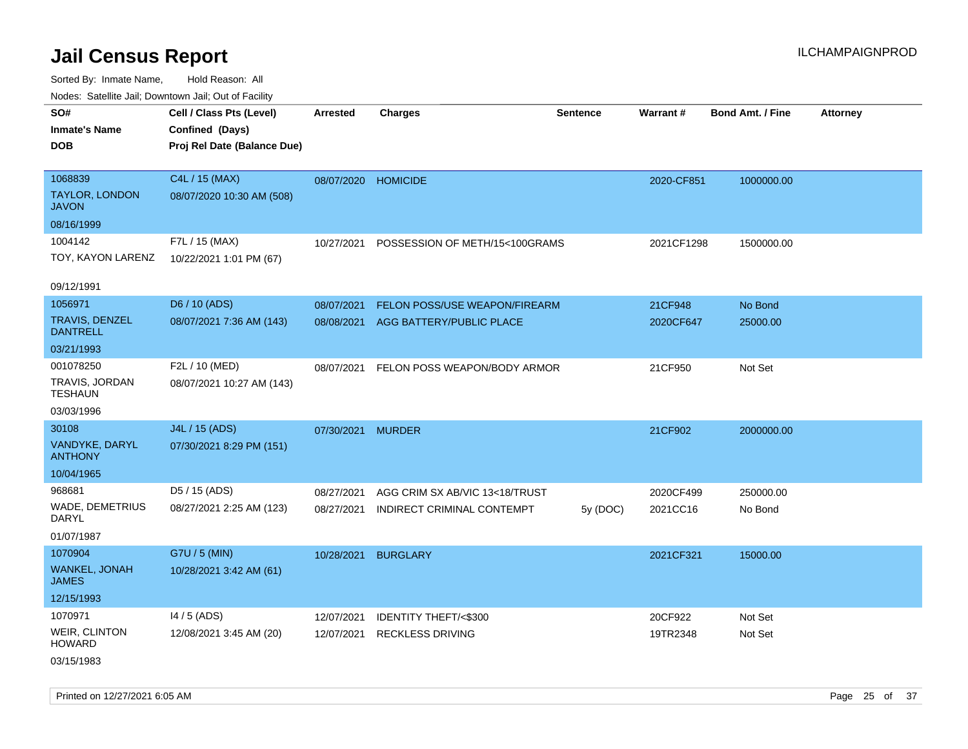Sorted By: Inmate Name, Hold Reason: All Nodes: Satellite Jail; Downtown Jail; Out of Facility

| SO#<br><b>Inmate's Name</b>              | Cell / Class Pts (Level)<br>Confined (Days) | Arrested            | <b>Charges</b>                 | <b>Sentence</b> | Warrant#   | <b>Bond Amt. / Fine</b> | <b>Attorney</b> |
|------------------------------------------|---------------------------------------------|---------------------|--------------------------------|-----------------|------------|-------------------------|-----------------|
| <b>DOB</b>                               | Proj Rel Date (Balance Due)                 |                     |                                |                 |            |                         |                 |
| 1068839                                  | C4L / 15 (MAX)                              |                     |                                |                 |            |                         |                 |
| TAYLOR, LONDON<br><b>JAVON</b>           | 08/07/2020 10:30 AM (508)                   | 08/07/2020 HOMICIDE |                                |                 | 2020-CF851 | 1000000.00              |                 |
| 08/16/1999                               |                                             |                     |                                |                 |            |                         |                 |
| 1004142                                  | F7L / 15 (MAX)                              | 10/27/2021          | POSSESSION OF METH/15<100GRAMS |                 | 2021CF1298 | 1500000.00              |                 |
| TOY, KAYON LARENZ                        | 10/22/2021 1:01 PM (67)                     |                     |                                |                 |            |                         |                 |
| 09/12/1991                               |                                             |                     |                                |                 |            |                         |                 |
| 1056971                                  | D6 / 10 (ADS)                               | 08/07/2021          | FELON POSS/USE WEAPON/FIREARM  |                 | 21CF948    | No Bond                 |                 |
| <b>TRAVIS, DENZEL</b><br><b>DANTRELL</b> | 08/07/2021 7:36 AM (143)                    | 08/08/2021          | AGG BATTERY/PUBLIC PLACE       |                 | 2020CF647  | 25000.00                |                 |
| 03/21/1993                               |                                             |                     |                                |                 |            |                         |                 |
| 001078250                                | F2L / 10 (MED)                              | 08/07/2021          | FELON POSS WEAPON/BODY ARMOR   |                 | 21CF950    | Not Set                 |                 |
| TRAVIS, JORDAN<br><b>TESHAUN</b>         | 08/07/2021 10:27 AM (143)                   |                     |                                |                 |            |                         |                 |
| 03/03/1996                               |                                             |                     |                                |                 |            |                         |                 |
| 30108                                    | J4L / 15 (ADS)                              | 07/30/2021          | <b>MURDER</b>                  |                 | 21CF902    | 2000000.00              |                 |
| VANDYKE, DARYL<br><b>ANTHONY</b>         | 07/30/2021 8:29 PM (151)                    |                     |                                |                 |            |                         |                 |
| 10/04/1965                               |                                             |                     |                                |                 |            |                         |                 |
| 968681                                   | D5 / 15 (ADS)                               | 08/27/2021          | AGG CRIM SX AB/VIC 13<18/TRUST |                 | 2020CF499  | 250000.00               |                 |
| WADE, DEMETRIUS<br><b>DARYL</b>          | 08/27/2021 2:25 AM (123)                    | 08/27/2021          | INDIRECT CRIMINAL CONTEMPT     | 5y (DOC)        | 2021CC16   | No Bond                 |                 |
| 01/07/1987                               |                                             |                     |                                |                 |            |                         |                 |
| 1070904                                  | G7U / 5 (MIN)                               | 10/28/2021          | <b>BURGLARY</b>                |                 | 2021CF321  | 15000.00                |                 |
| <b>WANKEL, JONAH</b><br><b>JAMES</b>     | 10/28/2021 3:42 AM (61)                     |                     |                                |                 |            |                         |                 |
| 12/15/1993                               |                                             |                     |                                |                 |            |                         |                 |
| 1070971                                  | $14/5$ (ADS)                                | 12/07/2021          | IDENTITY THEFT/<\$300          |                 | 20CF922    | Not Set                 |                 |
| <b>WEIR, CLINTON</b><br><b>HOWARD</b>    | 12/08/2021 3:45 AM (20)                     | 12/07/2021          | <b>RECKLESS DRIVING</b>        |                 | 19TR2348   | Not Set                 |                 |
| 03/15/1983                               |                                             |                     |                                |                 |            |                         |                 |

Printed on 12/27/2021 6:05 AM Page 25 of 37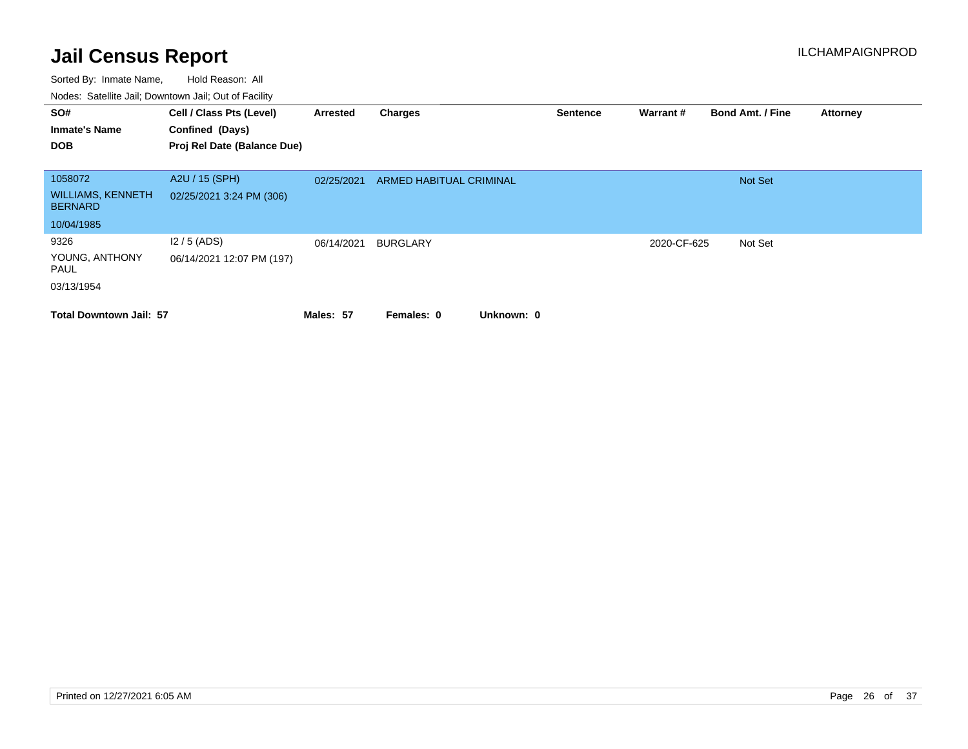| SO#                                        | Cell / Class Pts (Level)    | Arrested   | Charges                        | <b>Sentence</b> | Warrant#    | <b>Bond Amt. / Fine</b> | <b>Attorney</b> |
|--------------------------------------------|-----------------------------|------------|--------------------------------|-----------------|-------------|-------------------------|-----------------|
| <b>Inmate's Name</b>                       | Confined (Days)             |            |                                |                 |             |                         |                 |
| <b>DOB</b>                                 | Proj Rel Date (Balance Due) |            |                                |                 |             |                         |                 |
|                                            |                             |            |                                |                 |             |                         |                 |
| 1058072                                    | A2U / 15 (SPH)              | 02/25/2021 | <b>ARMED HABITUAL CRIMINAL</b> |                 |             | <b>Not Set</b>          |                 |
| <b>WILLIAMS, KENNETH</b><br><b>BERNARD</b> | 02/25/2021 3:24 PM (306)    |            |                                |                 |             |                         |                 |
| 10/04/1985                                 |                             |            |                                |                 |             |                         |                 |
| 9326                                       | $12/5$ (ADS)                | 06/14/2021 | <b>BURGLARY</b>                |                 | 2020-CF-625 | Not Set                 |                 |
| YOUNG, ANTHONY<br>PAUL                     | 06/14/2021 12:07 PM (197)   |            |                                |                 |             |                         |                 |
| 03/13/1954                                 |                             |            |                                |                 |             |                         |                 |
| <b>Total Downtown Jail: 57</b>             |                             | Males: 57  | Unknown: 0<br>Females: 0       |                 |             |                         |                 |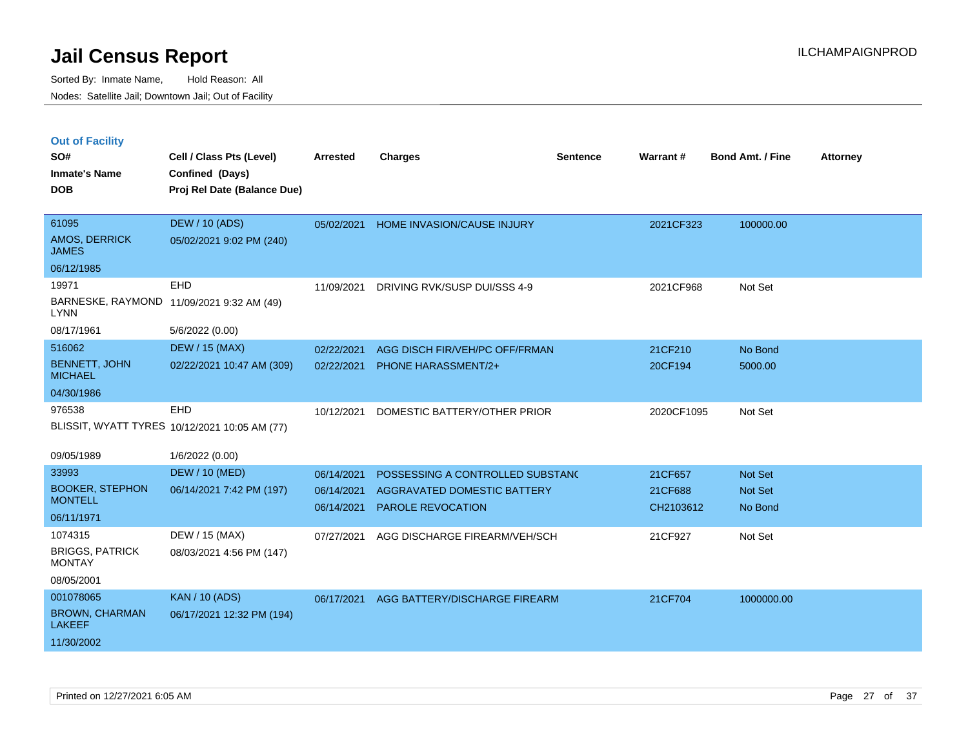|  | <b>Out of Facility</b> |  |
|--|------------------------|--|

| SO#<br><b>Inmate's Name</b><br><b>DOB</b>                         | Cell / Class Pts (Level)<br>Confined (Days)<br>Proj Rel Date (Balance Due) | <b>Arrested</b>          | <b>Charges</b>                                          | <b>Sentence</b> | Warrant#             | <b>Bond Amt. / Fine</b> | <b>Attorney</b> |
|-------------------------------------------------------------------|----------------------------------------------------------------------------|--------------------------|---------------------------------------------------------|-----------------|----------------------|-------------------------|-----------------|
| 61095<br>AMOS, DERRICK<br><b>JAMES</b>                            | <b>DEW / 10 (ADS)</b><br>05/02/2021 9:02 PM (240)                          | 05/02/2021               | HOME INVASION/CAUSE INJURY                              |                 | 2021CF323            | 100000.00               |                 |
| 06/12/1985                                                        |                                                                            |                          |                                                         |                 |                      |                         |                 |
| 19971<br><b>LYNN</b>                                              | <b>EHD</b><br>BARNESKE, RAYMOND 11/09/2021 9:32 AM (49)                    | 11/09/2021               | DRIVING RVK/SUSP DUI/SSS 4-9                            |                 | 2021CF968            | Not Set                 |                 |
| 08/17/1961                                                        | 5/6/2022 (0.00)                                                            |                          |                                                         |                 |                      |                         |                 |
| 516062                                                            | <b>DEW / 15 (MAX)</b>                                                      | 02/22/2021               | AGG DISCH FIR/VEH/PC OFF/FRMAN                          |                 | 21CF210              | No Bond                 |                 |
| <b>BENNETT, JOHN</b><br><b>MICHAEL</b>                            | 02/22/2021 10:47 AM (309)                                                  | 02/22/2021               | <b>PHONE HARASSMENT/2+</b>                              |                 | 20CF194              | 5000.00                 |                 |
| 04/30/1986                                                        |                                                                            |                          |                                                         |                 |                      |                         |                 |
| 976538                                                            | EHD<br>BLISSIT, WYATT TYRES 10/12/2021 10:05 AM (77)                       | 10/12/2021               | DOMESTIC BATTERY/OTHER PRIOR                            |                 | 2020CF1095           | Not Set                 |                 |
| 09/05/1989                                                        | 1/6/2022 (0.00)                                                            |                          |                                                         |                 |                      |                         |                 |
| 33993                                                             | <b>DEW / 10 (MED)</b>                                                      | 06/14/2021               | POSSESSING A CONTROLLED SUBSTANC                        |                 | 21CF657              | Not Set                 |                 |
| <b>BOOKER, STEPHON</b><br><b>MONTELL</b>                          | 06/14/2021 7:42 PM (197)                                                   | 06/14/2021<br>06/14/2021 | AGGRAVATED DOMESTIC BATTERY<br><b>PAROLE REVOCATION</b> |                 | 21CF688<br>CH2103612 | Not Set<br>No Bond      |                 |
| 06/11/1971                                                        |                                                                            |                          |                                                         |                 |                      |                         |                 |
| 1074315<br><b>BRIGGS, PATRICK</b><br><b>MONTAY</b><br>08/05/2001  | DEW / 15 (MAX)<br>08/03/2021 4:56 PM (147)                                 | 07/27/2021               | AGG DISCHARGE FIREARM/VEH/SCH                           |                 | 21CF927              | Not Set                 |                 |
| 001078065<br><b>BROWN, CHARMAN</b><br><b>LAKEEF</b><br>11/30/2002 | <b>KAN / 10 (ADS)</b><br>06/17/2021 12:32 PM (194)                         | 06/17/2021               | AGG BATTERY/DISCHARGE FIREARM                           |                 | 21CF704              | 1000000.00              |                 |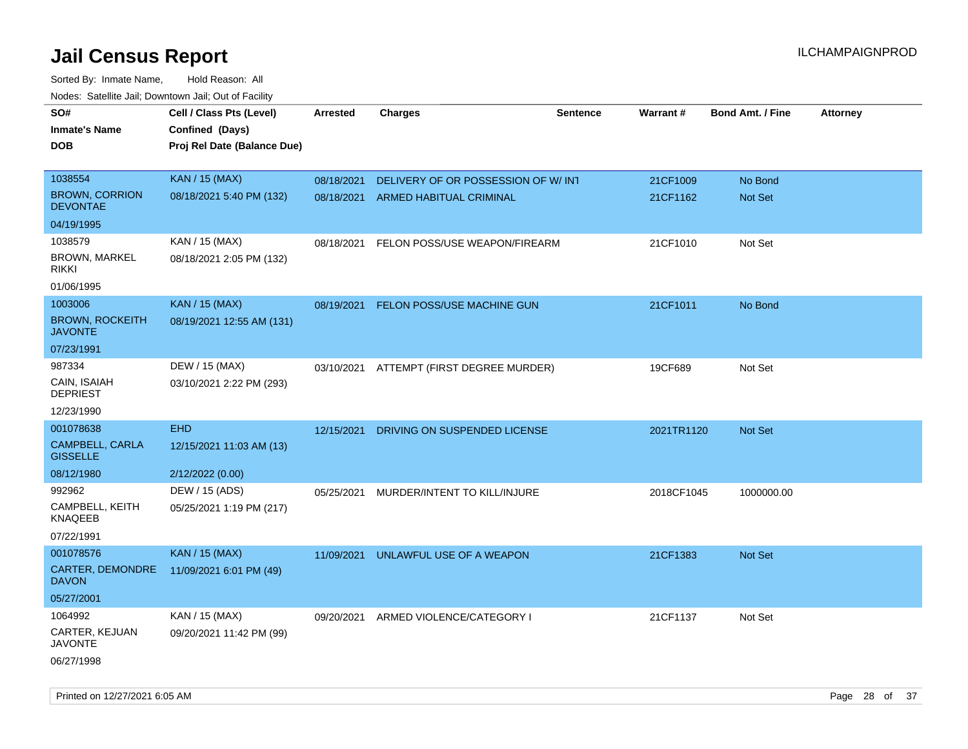| roaco. Calcinio dan, Downtown dan, Cal or Fability |                             |                 |                                    |                 |                 |                         |                 |
|----------------------------------------------------|-----------------------------|-----------------|------------------------------------|-----------------|-----------------|-------------------------|-----------------|
| SO#                                                | Cell / Class Pts (Level)    | <b>Arrested</b> | <b>Charges</b>                     | <b>Sentence</b> | <b>Warrant#</b> | <b>Bond Amt. / Fine</b> | <b>Attorney</b> |
| Inmate's Name                                      | Confined (Days)             |                 |                                    |                 |                 |                         |                 |
| <b>DOB</b>                                         | Proj Rel Date (Balance Due) |                 |                                    |                 |                 |                         |                 |
| 1038554                                            | <b>KAN / 15 (MAX)</b>       | 08/18/2021      | DELIVERY OF OR POSSESSION OF W/INT |                 | 21CF1009        | No Bond                 |                 |
| <b>BROWN, CORRION</b><br><b>DEVONTAE</b>           | 08/18/2021 5:40 PM (132)    | 08/18/2021      | ARMED HABITUAL CRIMINAL            |                 | 21CF1162        | <b>Not Set</b>          |                 |
| 04/19/1995                                         |                             |                 |                                    |                 |                 |                         |                 |
| 1038579                                            | KAN / 15 (MAX)              | 08/18/2021      | FELON POSS/USE WEAPON/FIREARM      |                 | 21CF1010        | Not Set                 |                 |
| <b>BROWN, MARKEL</b><br>rikki                      | 08/18/2021 2:05 PM (132)    |                 |                                    |                 |                 |                         |                 |
| 01/06/1995                                         |                             |                 |                                    |                 |                 |                         |                 |
| 1003006                                            | <b>KAN / 15 (MAX)</b>       | 08/19/2021      | FELON POSS/USE MACHINE GUN         |                 | 21CF1011        | No Bond                 |                 |
| <b>BROWN, ROCKEITH</b><br><b>JAVONTE</b>           | 08/19/2021 12:55 AM (131)   |                 |                                    |                 |                 |                         |                 |
| 07/23/1991                                         |                             |                 |                                    |                 |                 |                         |                 |
| 987334                                             | DEW / 15 (MAX)              | 03/10/2021      | ATTEMPT (FIRST DEGREE MURDER)      |                 | 19CF689         | Not Set                 |                 |
| CAIN, ISAIAH<br><b>DEPRIEST</b>                    | 03/10/2021 2:22 PM (293)    |                 |                                    |                 |                 |                         |                 |
| 12/23/1990                                         |                             |                 |                                    |                 |                 |                         |                 |
| 001078638                                          | <b>EHD</b>                  | 12/15/2021      | DRIVING ON SUSPENDED LICENSE       |                 | 2021TR1120      | <b>Not Set</b>          |                 |
| CAMPBELL, CARLA<br><b>GISSELLE</b>                 | 12/15/2021 11:03 AM (13)    |                 |                                    |                 |                 |                         |                 |
| 08/12/1980                                         | 2/12/2022 (0.00)            |                 |                                    |                 |                 |                         |                 |
| 992962                                             | DEW / 15 (ADS)              | 05/25/2021      | MURDER/INTENT TO KILL/INJURE       |                 | 2018CF1045      | 1000000.00              |                 |
| CAMPBELL, KEITH<br>KNAQEEB                         | 05/25/2021 1:19 PM (217)    |                 |                                    |                 |                 |                         |                 |
| 07/22/1991                                         |                             |                 |                                    |                 |                 |                         |                 |
| 001078576                                          | <b>KAN / 15 (MAX)</b>       | 11/09/2021      | UNLAWFUL USE OF A WEAPON           |                 | 21CF1383        | <b>Not Set</b>          |                 |
| CARTER, DEMONDRE<br><b>DAVON</b>                   | 11/09/2021 6:01 PM (49)     |                 |                                    |                 |                 |                         |                 |
| 05/27/2001                                         |                             |                 |                                    |                 |                 |                         |                 |
| 1064992                                            | KAN / 15 (MAX)              | 09/20/2021      | ARMED VIOLENCE/CATEGORY I          |                 | 21CF1137        | Not Set                 |                 |
| CARTER, KEJUAN<br>JAVONTE                          | 09/20/2021 11:42 PM (99)    |                 |                                    |                 |                 |                         |                 |
| 06/27/1998                                         |                             |                 |                                    |                 |                 |                         |                 |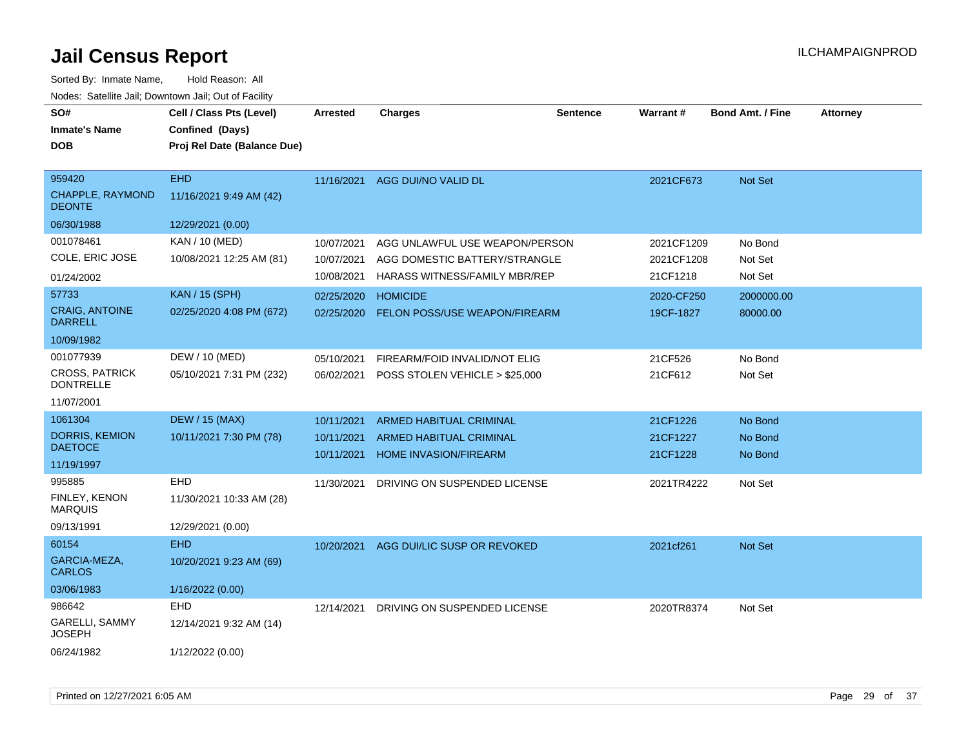| SO#<br><b>Inmate's Name</b><br><b>DOB</b>                            | Cell / Class Pts (Level)<br>Confined (Days)<br>Proj Rel Date (Balance Due) | Arrested                               | <b>Charges</b>                                                  | <b>Sentence</b> | <b>Warrant#</b>          | <b>Bond Amt. / Fine</b> | <b>Attorney</b> |
|----------------------------------------------------------------------|----------------------------------------------------------------------------|----------------------------------------|-----------------------------------------------------------------|-----------------|--------------------------|-------------------------|-----------------|
| 959420<br>CHAPPLE, RAYMOND<br><b>DEONTE</b>                          | <b>EHD</b><br>11/16/2021 9:49 AM (42)                                      | 11/16/2021                             | AGG DUI/NO VALID DL                                             |                 | 2021CF673                | Not Set                 |                 |
| 06/30/1988                                                           | 12/29/2021 (0.00)                                                          |                                        |                                                                 |                 |                          |                         |                 |
| 001078461<br>COLE, ERIC JOSE                                         | <b>KAN / 10 (MED)</b><br>10/08/2021 12:25 AM (81)                          | 10/07/2021<br>10/07/2021<br>10/08/2021 | AGG UNLAWFUL USE WEAPON/PERSON<br>AGG DOMESTIC BATTERY/STRANGLE |                 | 2021CF1209<br>2021CF1208 | No Bond<br>Not Set      |                 |
| 01/24/2002<br>57733                                                  | <b>KAN / 15 (SPH)</b>                                                      |                                        | <b>HARASS WITNESS/FAMILY MBR/REP</b>                            |                 | 21CF1218                 | Not Set                 |                 |
| <b>CRAIG, ANTOINE</b><br><b>DARRELL</b>                              | 02/25/2020 4:08 PM (672)                                                   | 02/25/2020<br>02/25/2020               | <b>HOMICIDE</b><br><b>FELON POSS/USE WEAPON/FIREARM</b>         |                 | 2020-CF250<br>19CF-1827  | 2000000.00<br>80000.00  |                 |
| 10/09/1982                                                           |                                                                            |                                        |                                                                 |                 |                          |                         |                 |
| 001077939<br><b>CROSS, PATRICK</b><br><b>DONTRELLE</b><br>11/07/2001 | DEW / 10 (MED)<br>05/10/2021 7:31 PM (232)                                 | 05/10/2021<br>06/02/2021               | FIREARM/FOID INVALID/NOT ELIG<br>POSS STOLEN VEHICLE > \$25,000 |                 | 21CF526<br>21CF612       | No Bond<br>Not Set      |                 |
| 1061304                                                              | <b>DEW / 15 (MAX)</b>                                                      | 10/11/2021                             | <b>ARMED HABITUAL CRIMINAL</b>                                  |                 | 21CF1226                 | No Bond                 |                 |
| <b>DORRIS, KEMION</b><br><b>DAETOCE</b>                              | 10/11/2021 7:30 PM (78)                                                    | 10/11/2021<br>10/11/2021               | ARMED HABITUAL CRIMINAL<br><b>HOME INVASION/FIREARM</b>         |                 | 21CF1227<br>21CF1228     | No Bond<br>No Bond      |                 |
| 11/19/1997                                                           |                                                                            |                                        |                                                                 |                 |                          |                         |                 |
| 995885<br>FINLEY, KENON<br><b>MARQUIS</b>                            | <b>EHD</b><br>11/30/2021 10:33 AM (28)                                     | 11/30/2021                             | DRIVING ON SUSPENDED LICENSE                                    |                 | 2021TR4222               | Not Set                 |                 |
| 09/13/1991                                                           | 12/29/2021 (0.00)                                                          |                                        |                                                                 |                 |                          |                         |                 |
| 60154<br>GARCIA-MEZA,<br><b>CARLOS</b>                               | <b>EHD</b><br>10/20/2021 9:23 AM (69)                                      | 10/20/2021                             | AGG DUI/LIC SUSP OR REVOKED                                     |                 | 2021cf261                | Not Set                 |                 |
| 03/06/1983                                                           | 1/16/2022 (0.00)                                                           |                                        |                                                                 |                 |                          |                         |                 |
| 986642<br>GARELLI, SAMMY<br><b>JOSEPH</b>                            | <b>EHD</b><br>12/14/2021 9:32 AM (14)                                      | 12/14/2021                             | DRIVING ON SUSPENDED LICENSE                                    |                 | 2020TR8374               | Not Set                 |                 |
| 06/24/1982                                                           | 1/12/2022 (0.00)                                                           |                                        |                                                                 |                 |                          |                         |                 |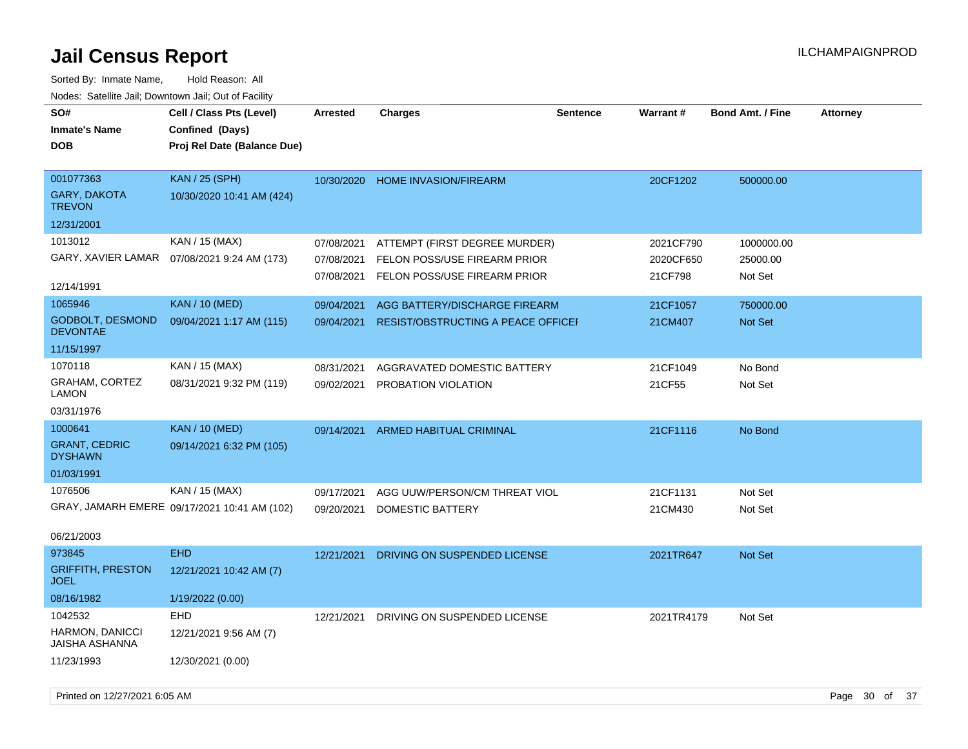| SO#<br><b>Inmate's Name</b><br><b>DOB</b>  | Cell / Class Pts (Level)<br>Confined (Days)<br>Proj Rel Date (Balance Due) | <b>Arrested</b> | <b>Charges</b>                            | <b>Sentence</b> | Warrant#   | <b>Bond Amt. / Fine</b> | <b>Attorney</b> |
|--------------------------------------------|----------------------------------------------------------------------------|-----------------|-------------------------------------------|-----------------|------------|-------------------------|-----------------|
| 001077363<br>GARY, DAKOTA<br><b>TREVON</b> | <b>KAN / 25 (SPH)</b><br>10/30/2020 10:41 AM (424)                         |                 | 10/30/2020 HOME INVASION/FIREARM          |                 | 20CF1202   | 500000.00               |                 |
| 12/31/2001                                 |                                                                            |                 |                                           |                 |            |                         |                 |
| 1013012                                    | KAN / 15 (MAX)                                                             | 07/08/2021      | ATTEMPT (FIRST DEGREE MURDER)             |                 | 2021CF790  | 1000000.00              |                 |
| GARY, XAVIER LAMAR                         | 07/08/2021 9:24 AM (173)                                                   | 07/08/2021      | FELON POSS/USE FIREARM PRIOR              |                 | 2020CF650  | 25000.00                |                 |
| 12/14/1991                                 |                                                                            |                 | 07/08/2021 FELON POSS/USE FIREARM PRIOR   |                 | 21CF798    | Not Set                 |                 |
| 1065946                                    | <b>KAN / 10 (MED)</b>                                                      | 09/04/2021      | AGG BATTERY/DISCHARGE FIREARM             |                 | 21CF1057   | 750000.00               |                 |
| <b>GODBOLT, DESMOND</b><br><b>DEVONTAE</b> | 09/04/2021 1:17 AM (115)                                                   | 09/04/2021      | <b>RESIST/OBSTRUCTING A PEACE OFFICEF</b> |                 | 21CM407    | <b>Not Set</b>          |                 |
| 11/15/1997                                 |                                                                            |                 |                                           |                 |            |                         |                 |
| 1070118                                    | KAN / 15 (MAX)                                                             | 08/31/2021      | AGGRAVATED DOMESTIC BATTERY               |                 | 21CF1049   | No Bond                 |                 |
| <b>GRAHAM, CORTEZ</b><br>LAMON             | 08/31/2021 9:32 PM (119)                                                   | 09/02/2021      | PROBATION VIOLATION                       |                 | 21CF55     | Not Set                 |                 |
| 03/31/1976                                 |                                                                            |                 |                                           |                 |            |                         |                 |
| 1000641                                    | <b>KAN / 10 (MED)</b>                                                      | 09/14/2021      | ARMED HABITUAL CRIMINAL                   |                 | 21CF1116   | No Bond                 |                 |
| <b>GRANT, CEDRIC</b><br><b>DYSHAWN</b>     | 09/14/2021 6:32 PM (105)                                                   |                 |                                           |                 |            |                         |                 |
| 01/03/1991                                 |                                                                            |                 |                                           |                 |            |                         |                 |
| 1076506                                    | KAN / 15 (MAX)                                                             | 09/17/2021      | AGG UUW/PERSON/CM THREAT VIOL             |                 | 21CF1131   | Not Set                 |                 |
|                                            | GRAY, JAMARH EMERE 09/17/2021 10:41 AM (102)                               | 09/20/2021      | DOMESTIC BATTERY                          |                 | 21CM430    | Not Set                 |                 |
| 06/21/2003                                 |                                                                            |                 |                                           |                 |            |                         |                 |
| 973845                                     | <b>EHD</b>                                                                 | 12/21/2021      | DRIVING ON SUSPENDED LICENSE              |                 | 2021TR647  | Not Set                 |                 |
| <b>GRIFFITH, PRESTON</b><br><b>JOEL</b>    | 12/21/2021 10:42 AM (7)                                                    |                 |                                           |                 |            |                         |                 |
| 08/16/1982                                 | 1/19/2022 (0.00)                                                           |                 |                                           |                 |            |                         |                 |
| 1042532                                    | EHD                                                                        | 12/21/2021      | DRIVING ON SUSPENDED LICENSE              |                 | 2021TR4179 | Not Set                 |                 |
| HARMON, DANICCI<br>JAISHA ASHANNA          | 12/21/2021 9:56 AM (7)                                                     |                 |                                           |                 |            |                         |                 |
| 11/23/1993                                 | 12/30/2021 (0.00)                                                          |                 |                                           |                 |            |                         |                 |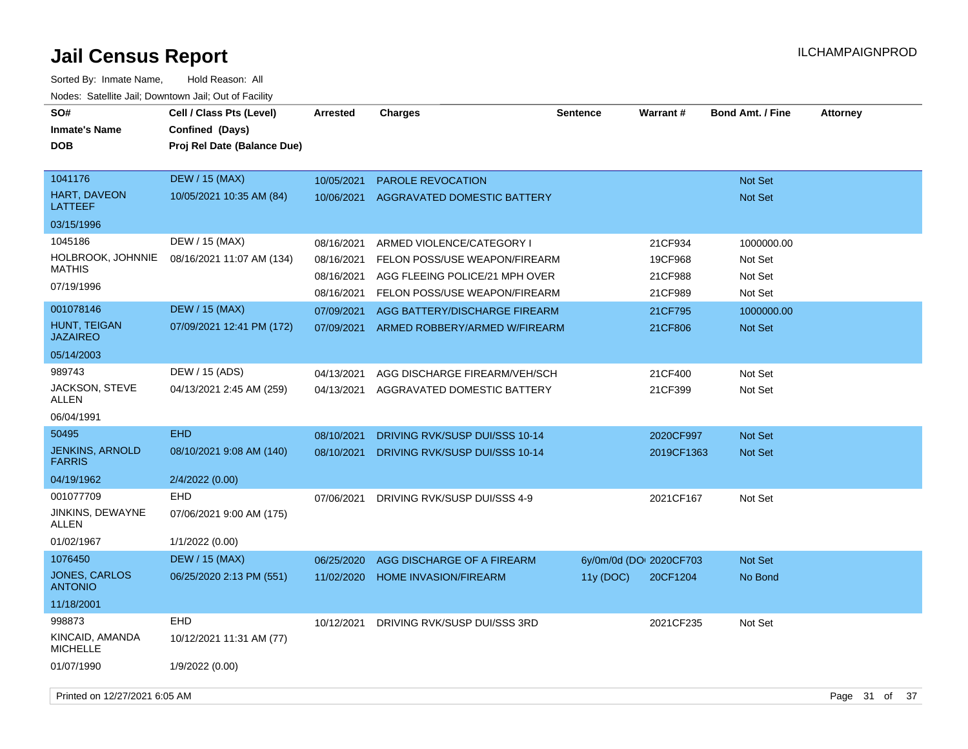| SO#<br><b>Inmate's Name</b><br><b>DOB</b> | Cell / Class Pts (Level)<br>Confined (Days)<br>Proj Rel Date (Balance Due) | <b>Arrested</b> | Charges                        | <b>Sentence</b>         | Warrant#   | <b>Bond Amt. / Fine</b> | <b>Attorney</b> |  |
|-------------------------------------------|----------------------------------------------------------------------------|-----------------|--------------------------------|-------------------------|------------|-------------------------|-----------------|--|
|                                           |                                                                            |                 |                                |                         |            |                         |                 |  |
| 1041176                                   | <b>DEW / 15 (MAX)</b>                                                      | 10/05/2021      | <b>PAROLE REVOCATION</b>       |                         |            | <b>Not Set</b>          |                 |  |
| HART, DAVEON<br><b>LATTEEF</b>            | 10/05/2021 10:35 AM (84)                                                   | 10/06/2021      | AGGRAVATED DOMESTIC BATTERY    |                         |            | <b>Not Set</b>          |                 |  |
| 03/15/1996                                |                                                                            |                 |                                |                         |            |                         |                 |  |
| 1045186                                   | DEW / 15 (MAX)                                                             | 08/16/2021      | ARMED VIOLENCE/CATEGORY I      |                         | 21CF934    | 1000000.00              |                 |  |
| HOLBROOK, JOHNNIE<br><b>MATHIS</b>        | 08/16/2021 11:07 AM (134)                                                  | 08/16/2021      | FELON POSS/USE WEAPON/FIREARM  |                         | 19CF968    | Not Set                 |                 |  |
| 07/19/1996                                |                                                                            | 08/16/2021      | AGG FLEEING POLICE/21 MPH OVER |                         | 21CF988    | Not Set                 |                 |  |
|                                           |                                                                            | 08/16/2021      | FELON POSS/USE WEAPON/FIREARM  |                         | 21CF989    | Not Set                 |                 |  |
| 001078146                                 | <b>DEW / 15 (MAX)</b>                                                      | 07/09/2021      | AGG BATTERY/DISCHARGE FIREARM  |                         | 21CF795    | 1000000.00              |                 |  |
| HUNT, TEIGAN<br><b>JAZAIREO</b>           | 07/09/2021 12:41 PM (172)                                                  | 07/09/2021      | ARMED ROBBERY/ARMED W/FIREARM  |                         | 21CF806    | Not Set                 |                 |  |
| 05/14/2003                                |                                                                            |                 |                                |                         |            |                         |                 |  |
| 989743                                    | DEW / 15 (ADS)                                                             | 04/13/2021      | AGG DISCHARGE FIREARM/VEH/SCH  |                         | 21CF400    | Not Set                 |                 |  |
| JACKSON, STEVE<br>ALLEN                   | 04/13/2021 2:45 AM (259)                                                   | 04/13/2021      | AGGRAVATED DOMESTIC BATTERY    |                         | 21CF399    | Not Set                 |                 |  |
| 06/04/1991                                |                                                                            |                 |                                |                         |            |                         |                 |  |
| 50495                                     | <b>EHD</b>                                                                 | 08/10/2021      | DRIVING RVK/SUSP DUI/SSS 10-14 |                         | 2020CF997  | <b>Not Set</b>          |                 |  |
| <b>JENKINS, ARNOLD</b><br><b>FARRIS</b>   | 08/10/2021 9:08 AM (140)                                                   | 08/10/2021      | DRIVING RVK/SUSP DUI/SSS 10-14 |                         | 2019CF1363 | <b>Not Set</b>          |                 |  |
| 04/19/1962                                | 2/4/2022 (0.00)                                                            |                 |                                |                         |            |                         |                 |  |
| 001077709                                 | <b>EHD</b>                                                                 | 07/06/2021      | DRIVING RVK/SUSP DUI/SSS 4-9   |                         | 2021CF167  | Not Set                 |                 |  |
| JINKINS, DEWAYNE<br>ALLEN                 | 07/06/2021 9:00 AM (175)                                                   |                 |                                |                         |            |                         |                 |  |
| 01/02/1967                                | 1/1/2022 (0.00)                                                            |                 |                                |                         |            |                         |                 |  |
| 1076450                                   | <b>DEW / 15 (MAX)</b>                                                      | 06/25/2020      | AGG DISCHARGE OF A FIREARM     | 6y/0m/0d (DO: 2020CF703 |            | Not Set                 |                 |  |
| <b>JONES, CARLOS</b><br><b>ANTONIO</b>    | 06/25/2020 2:13 PM (551)                                                   | 11/02/2020      | <b>HOME INVASION/FIREARM</b>   | 11y (DOC)               | 20CF1204   | No Bond                 |                 |  |
| 11/18/2001                                |                                                                            |                 |                                |                         |            |                         |                 |  |
| 998873                                    | EHD                                                                        | 10/12/2021      | DRIVING RVK/SUSP DUI/SSS 3RD   |                         | 2021CF235  | Not Set                 |                 |  |
| KINCAID, AMANDA<br><b>MICHELLE</b>        | 10/12/2021 11:31 AM (77)                                                   |                 |                                |                         |            |                         |                 |  |
| 01/07/1990                                | 1/9/2022 (0.00)                                                            |                 |                                |                         |            |                         |                 |  |
| Printed on 12/27/2021 6:05 AM             |                                                                            |                 |                                |                         |            |                         | Page 31 of 37   |  |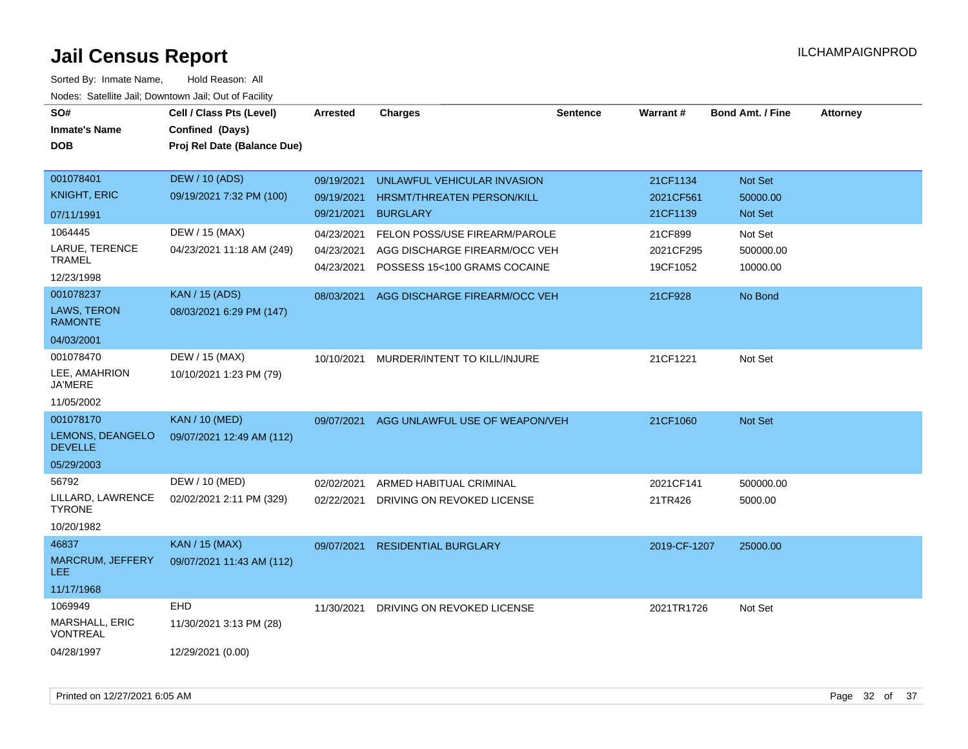| SO#                                      | Cell / Class Pts (Level)    | <b>Arrested</b>          | <b>Charges</b>                                                | <b>Sentence</b> | Warrant#              | <b>Bond Amt. / Fine</b> | <b>Attorney</b> |
|------------------------------------------|-----------------------------|--------------------------|---------------------------------------------------------------|-----------------|-----------------------|-------------------------|-----------------|
| <b>Inmate's Name</b>                     | Confined (Days)             |                          |                                                               |                 |                       |                         |                 |
| <b>DOB</b>                               | Proj Rel Date (Balance Due) |                          |                                                               |                 |                       |                         |                 |
|                                          |                             |                          |                                                               |                 |                       |                         |                 |
| 001078401                                | <b>DEW / 10 (ADS)</b>       | 09/19/2021               | UNLAWFUL VEHICULAR INVASION                                   |                 | 21CF1134              | Not Set                 |                 |
| <b>KNIGHT, ERIC</b>                      | 09/19/2021 7:32 PM (100)    | 09/19/2021               | HRSMT/THREATEN PERSON/KILL                                    |                 | 2021CF561             | 50000.00                |                 |
| 07/11/1991                               |                             | 09/21/2021               | <b>BURGLARY</b>                                               |                 | 21CF1139              | Not Set                 |                 |
| 1064445                                  | DEW / 15 (MAX)              | 04/23/2021               | FELON POSS/USE FIREARM/PAROLE                                 |                 | 21CF899               | Not Set                 |                 |
| LARUE, TERENCE<br><b>TRAMEL</b>          | 04/23/2021 11:18 AM (249)   | 04/23/2021<br>04/23/2021 | AGG DISCHARGE FIREARM/OCC VEH<br>POSSESS 15<100 GRAMS COCAINE |                 | 2021CF295<br>19CF1052 | 500000.00<br>10000.00   |                 |
| 12/23/1998                               |                             |                          |                                                               |                 |                       |                         |                 |
| 001078237                                | <b>KAN / 15 (ADS)</b>       | 08/03/2021               | AGG DISCHARGE FIREARM/OCC VEH                                 |                 | 21CF928               | No Bond                 |                 |
| <b>LAWS, TERON</b><br><b>RAMONTE</b>     | 08/03/2021 6:29 PM (147)    |                          |                                                               |                 |                       |                         |                 |
| 04/03/2001                               |                             |                          |                                                               |                 |                       |                         |                 |
| 001078470                                | DEW / 15 (MAX)              | 10/10/2021               | MURDER/INTENT TO KILL/INJURE                                  |                 | 21CF1221              | Not Set                 |                 |
| LEE, AMAHRION<br><b>JA'MERE</b>          | 10/10/2021 1:23 PM (79)     |                          |                                                               |                 |                       |                         |                 |
| 11/05/2002                               |                             |                          |                                                               |                 |                       |                         |                 |
| 001078170                                | <b>KAN / 10 (MED)</b>       | 09/07/2021               | AGG UNLAWFUL USE OF WEAPON/VEH                                |                 | 21CF1060              | Not Set                 |                 |
| LEMONS, DEANGELO<br><b>DEVELLE</b>       | 09/07/2021 12:49 AM (112)   |                          |                                                               |                 |                       |                         |                 |
| 05/29/2003                               |                             |                          |                                                               |                 |                       |                         |                 |
| 56792                                    | DEW / 10 (MED)              | 02/02/2021               | ARMED HABITUAL CRIMINAL                                       |                 | 2021CF141             | 500000.00               |                 |
| LILLARD, LAWRENCE<br><b>TYRONE</b>       | 02/02/2021 2:11 PM (329)    | 02/22/2021               | DRIVING ON REVOKED LICENSE                                    |                 | 21TR426               | 5000.00                 |                 |
| 10/20/1982                               |                             |                          |                                                               |                 |                       |                         |                 |
| 46837                                    | <b>KAN / 15 (MAX)</b>       | 09/07/2021               | <b>RESIDENTIAL BURGLARY</b>                                   |                 | 2019-CF-1207          | 25000.00                |                 |
| <b>MARCRUM, JEFFERY</b><br><b>LEE</b>    | 09/07/2021 11:43 AM (112)   |                          |                                                               |                 |                       |                         |                 |
| 11/17/1968                               |                             |                          |                                                               |                 |                       |                         |                 |
| 1069949                                  | <b>EHD</b>                  | 11/30/2021               | DRIVING ON REVOKED LICENSE                                    |                 | 2021TR1726            | Not Set                 |                 |
| <b>MARSHALL, ERIC</b><br><b>VONTREAL</b> | 11/30/2021 3:13 PM (28)     |                          |                                                               |                 |                       |                         |                 |
| 04/28/1997                               | 12/29/2021 (0.00)           |                          |                                                               |                 |                       |                         |                 |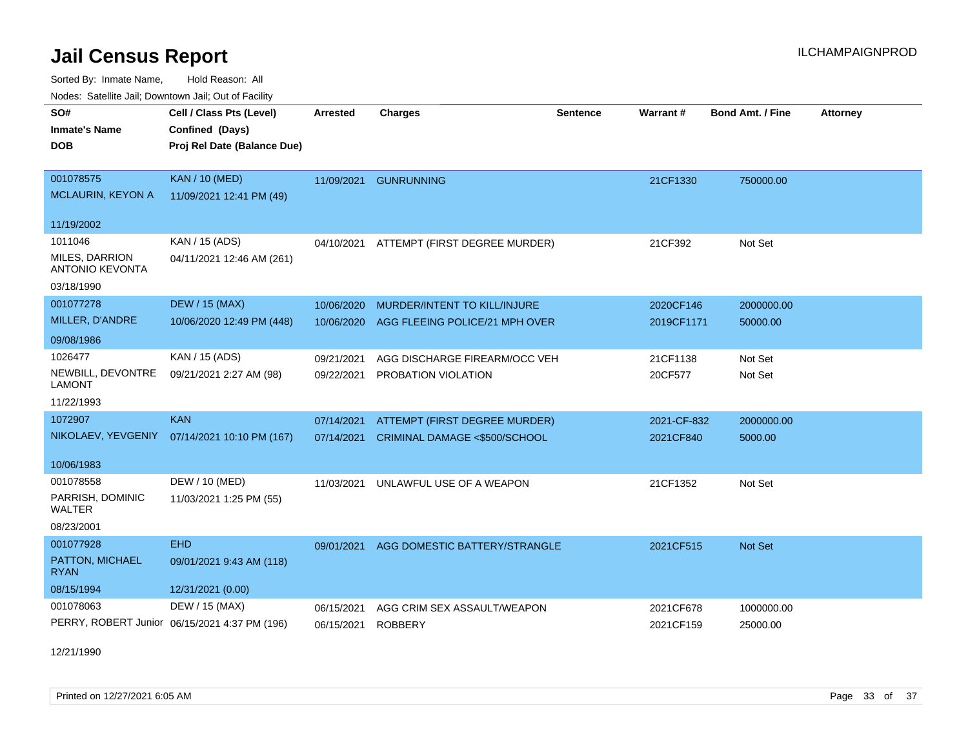Sorted By: Inmate Name, Hold Reason: All Nodes: Satellite Jail; Downtown Jail; Out of Facility

| Nodes. Satellite Jali, Downtown Jali, Out of Facility |                                               |                 |                                |                 |             |                         |                 |
|-------------------------------------------------------|-----------------------------------------------|-----------------|--------------------------------|-----------------|-------------|-------------------------|-----------------|
| SO#                                                   | Cell / Class Pts (Level)                      | <b>Arrested</b> | <b>Charges</b>                 | <b>Sentence</b> | Warrant#    | <b>Bond Amt. / Fine</b> | <b>Attorney</b> |
| <b>Inmate's Name</b>                                  | Confined (Days)                               |                 |                                |                 |             |                         |                 |
| DOB                                                   | Proj Rel Date (Balance Due)                   |                 |                                |                 |             |                         |                 |
|                                                       |                                               |                 |                                |                 |             |                         |                 |
| 001078575                                             | <b>KAN / 10 (MED)</b>                         | 11/09/2021      | <b>GUNRUNNING</b>              |                 | 21CF1330    | 750000.00               |                 |
| <b>MCLAURIN, KEYON A</b>                              | 11/09/2021 12:41 PM (49)                      |                 |                                |                 |             |                         |                 |
|                                                       |                                               |                 |                                |                 |             |                         |                 |
| 11/19/2002                                            |                                               |                 |                                |                 |             |                         |                 |
| 1011046                                               | KAN / 15 (ADS)                                | 04/10/2021      | ATTEMPT (FIRST DEGREE MURDER)  |                 | 21CF392     | Not Set                 |                 |
| <b>MILES, DARRION</b><br><b>ANTONIO KEVONTA</b>       | 04/11/2021 12:46 AM (261)                     |                 |                                |                 |             |                         |                 |
| 03/18/1990                                            |                                               |                 |                                |                 |             |                         |                 |
| 001077278                                             |                                               |                 |                                |                 |             |                         |                 |
|                                                       | <b>DEW / 15 (MAX)</b>                         | 10/06/2020      | MURDER/INTENT TO KILL/INJURE   |                 | 2020CF146   | 2000000.00              |                 |
| MILLER, D'ANDRE                                       | 10/06/2020 12:49 PM (448)                     | 10/06/2020      | AGG FLEEING POLICE/21 MPH OVER |                 | 2019CF1171  | 50000.00                |                 |
| 09/08/1986                                            |                                               |                 |                                |                 |             |                         |                 |
| 1026477                                               | KAN / 15 (ADS)                                | 09/21/2021      | AGG DISCHARGE FIREARM/OCC VEH  |                 | 21CF1138    | Not Set                 |                 |
| NEWBILL, DEVONTRE<br><b>LAMONT</b>                    | 09/21/2021 2:27 AM (98)                       | 09/22/2021      | PROBATION VIOLATION            |                 | 20CF577     | Not Set                 |                 |
| 11/22/1993                                            |                                               |                 |                                |                 |             |                         |                 |
|                                                       |                                               |                 |                                |                 |             |                         |                 |
| 1072907                                               | <b>KAN</b>                                    | 07/14/2021      | ATTEMPT (FIRST DEGREE MURDER)  |                 | 2021-CF-832 | 2000000.00              |                 |
| NIKOLAEV, YEVGENIY                                    | 07/14/2021 10:10 PM (167)                     | 07/14/2021      | CRIMINAL DAMAGE <\$500/SCHOOL  |                 | 2021CF840   | 5000.00                 |                 |
| 10/06/1983                                            |                                               |                 |                                |                 |             |                         |                 |
| 001078558                                             | DEW / 10 (MED)                                | 11/03/2021      | UNLAWFUL USE OF A WEAPON       |                 | 21CF1352    | Not Set                 |                 |
| PARRISH, DOMINIC<br>WALTER                            | 11/03/2021 1:25 PM (55)                       |                 |                                |                 |             |                         |                 |
| 08/23/2001                                            |                                               |                 |                                |                 |             |                         |                 |
| 001077928                                             | <b>EHD</b>                                    | 09/01/2021      | AGG DOMESTIC BATTERY/STRANGLE  |                 | 2021CF515   | <b>Not Set</b>          |                 |
| PATTON, MICHAEL<br>RYAN                               | 09/01/2021 9:43 AM (118)                      |                 |                                |                 |             |                         |                 |
| 08/15/1994                                            | 12/31/2021 (0.00)                             |                 |                                |                 |             |                         |                 |
| 001078063                                             | DEW / 15 (MAX)                                | 06/15/2021      | AGG CRIM SEX ASSAULT/WEAPON    |                 | 2021CF678   | 1000000.00              |                 |
|                                                       | PERRY, ROBERT Junior 06/15/2021 4:37 PM (196) | 06/15/2021      | <b>ROBBERY</b>                 |                 | 2021CF159   | 25000.00                |                 |
|                                                       |                                               |                 |                                |                 |             |                         |                 |

12/21/1990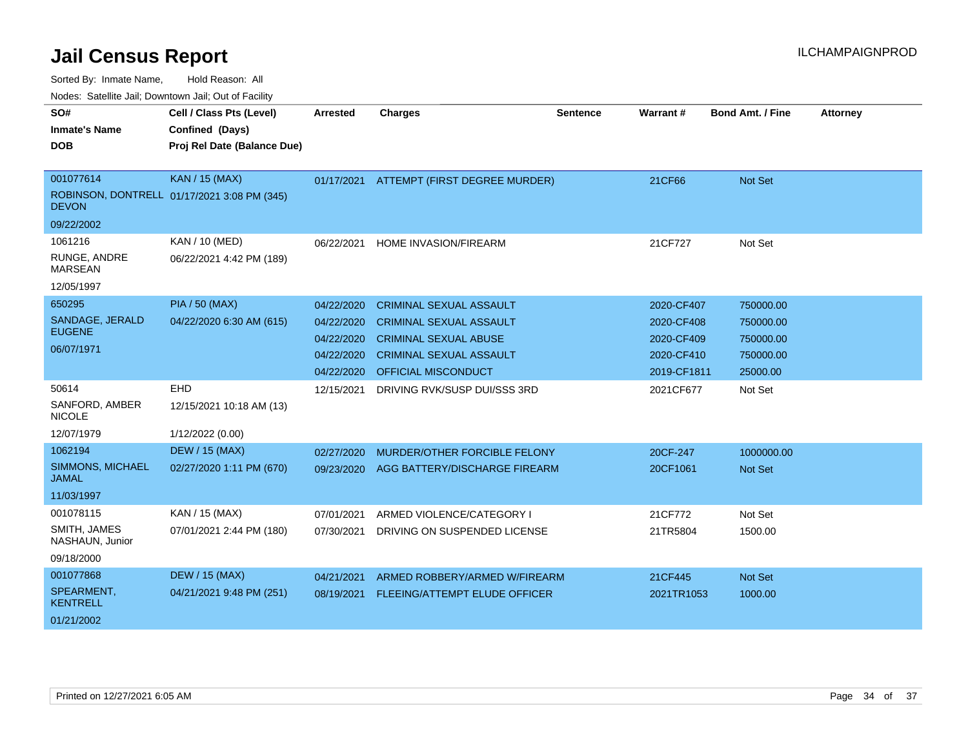Sorted By: Inmate Name, Hold Reason: All

| Nodes: Satellite Jail; Downtown Jail; Out of Facility |  |
|-------------------------------------------------------|--|
|                                                       |  |

| SO#                                     | Cell / Class Pts (Level)                    | <b>Arrested</b> | <b>Charges</b>                           | <b>Sentence</b> | Warrant#    | <b>Bond Amt. / Fine</b> | <b>Attorney</b> |
|-----------------------------------------|---------------------------------------------|-----------------|------------------------------------------|-----------------|-------------|-------------------------|-----------------|
| <b>Inmate's Name</b>                    | Confined (Days)                             |                 |                                          |                 |             |                         |                 |
| <b>DOB</b>                              | Proj Rel Date (Balance Due)                 |                 |                                          |                 |             |                         |                 |
|                                         |                                             |                 |                                          |                 |             |                         |                 |
| 001077614                               | <b>KAN / 15 (MAX)</b>                       |                 | 01/17/2021 ATTEMPT (FIRST DEGREE MURDER) |                 | 21CF66      | Not Set                 |                 |
| <b>DEVON</b>                            | ROBINSON, DONTRELL 01/17/2021 3:08 PM (345) |                 |                                          |                 |             |                         |                 |
| 09/22/2002                              |                                             |                 |                                          |                 |             |                         |                 |
| 1061216                                 | KAN / 10 (MED)                              | 06/22/2021      | HOME INVASION/FIREARM                    |                 | 21CF727     | Not Set                 |                 |
| RUNGE, ANDRE<br><b>MARSEAN</b>          | 06/22/2021 4:42 PM (189)                    |                 |                                          |                 |             |                         |                 |
| 12/05/1997                              |                                             |                 |                                          |                 |             |                         |                 |
| 650295                                  | <b>PIA / 50 (MAX)</b>                       | 04/22/2020      | <b>CRIMINAL SEXUAL ASSAULT</b>           |                 | 2020-CF407  | 750000.00               |                 |
| SANDAGE, JERALD                         | 04/22/2020 6:30 AM (615)                    | 04/22/2020      | <b>CRIMINAL SEXUAL ASSAULT</b>           |                 | 2020-CF408  | 750000.00               |                 |
| <b>EUGENE</b>                           |                                             | 04/22/2020      | <b>CRIMINAL SEXUAL ABUSE</b>             |                 | 2020-CF409  | 750000.00               |                 |
| 06/07/1971                              |                                             | 04/22/2020      | <b>CRIMINAL SEXUAL ASSAULT</b>           |                 | 2020-CF410  | 750000.00               |                 |
|                                         |                                             | 04/22/2020      | OFFICIAL MISCONDUCT                      |                 | 2019-CF1811 | 25000.00                |                 |
| 50614                                   | EHD                                         | 12/15/2021      | DRIVING RVK/SUSP DUI/SSS 3RD             |                 | 2021CF677   | Not Set                 |                 |
| SANFORD, AMBER<br><b>NICOLE</b>         | 12/15/2021 10:18 AM (13)                    |                 |                                          |                 |             |                         |                 |
| 12/07/1979                              | 1/12/2022 (0.00)                            |                 |                                          |                 |             |                         |                 |
| 1062194                                 | <b>DEW / 15 (MAX)</b>                       | 02/27/2020      | MURDER/OTHER FORCIBLE FELONY             |                 | 20CF-247    | 1000000.00              |                 |
| <b>SIMMONS, MICHAEL</b><br><b>JAMAL</b> | 02/27/2020 1:11 PM (670)                    | 09/23/2020      | AGG BATTERY/DISCHARGE FIREARM            |                 | 20CF1061    | Not Set                 |                 |
| 11/03/1997                              |                                             |                 |                                          |                 |             |                         |                 |
| 001078115                               | KAN / 15 (MAX)                              | 07/01/2021      | ARMED VIOLENCE/CATEGORY I                |                 | 21CF772     | Not Set                 |                 |
| SMITH, JAMES<br>NASHAUN, Junior         | 07/01/2021 2:44 PM (180)                    | 07/30/2021      | DRIVING ON SUSPENDED LICENSE             |                 | 21TR5804    | 1500.00                 |                 |
| 09/18/2000                              |                                             |                 |                                          |                 |             |                         |                 |
| 001077868                               | <b>DEW / 15 (MAX)</b>                       | 04/21/2021      | ARMED ROBBERY/ARMED W/FIREARM            |                 | 21CF445     | Not Set                 |                 |
| SPEARMENT,<br><b>KENTRELL</b>           | 04/21/2021 9:48 PM (251)                    | 08/19/2021      | FLEEING/ATTEMPT ELUDE OFFICER            |                 | 2021TR1053  | 1000.00                 |                 |
| 01/21/2002                              |                                             |                 |                                          |                 |             |                         |                 |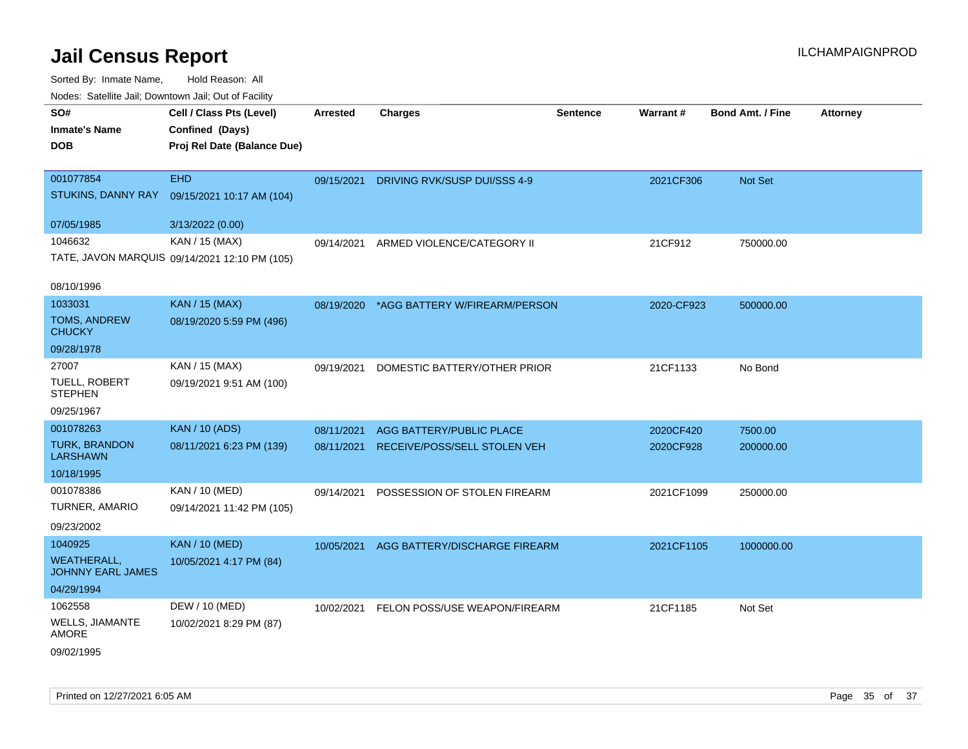| roaco. Oatomto dan, Downtown dan, Oat or Fability  |                                                                            |            |                                          |                 |            |                         |                 |
|----------------------------------------------------|----------------------------------------------------------------------------|------------|------------------------------------------|-----------------|------------|-------------------------|-----------------|
| SO#<br><b>Inmate's Name</b><br><b>DOB</b>          | Cell / Class Pts (Level)<br>Confined (Days)<br>Proj Rel Date (Balance Due) | Arrested   | <b>Charges</b>                           | <b>Sentence</b> | Warrant#   | <b>Bond Amt. / Fine</b> | <b>Attorney</b> |
| 001077854<br>STUKINS, DANNY RAY                    | <b>EHD</b><br>09/15/2021 10:17 AM (104)                                    | 09/15/2021 | DRIVING RVK/SUSP DUI/SSS 4-9             |                 | 2021CF306  | Not Set                 |                 |
| 07/05/1985                                         | 3/13/2022 (0.00)                                                           |            |                                          |                 |            |                         |                 |
| 1046632<br>08/10/1996                              | KAN / 15 (MAX)<br>TATE, JAVON MARQUIS 09/14/2021 12:10 PM (105)            | 09/14/2021 | ARMED VIOLENCE/CATEGORY II               |                 | 21CF912    | 750000.00               |                 |
| 1033031                                            | KAN / 15 (MAX)                                                             |            |                                          |                 |            |                         |                 |
| <b>TOMS, ANDREW</b><br><b>CHUCKY</b>               | 08/19/2020 5:59 PM (496)                                                   | 08/19/2020 | *AGG BATTERY W/FIREARM/PERSON            |                 | 2020-CF923 | 500000.00               |                 |
| 09/28/1978                                         |                                                                            |            |                                          |                 |            |                         |                 |
| 27007                                              | KAN / 15 (MAX)                                                             | 09/19/2021 | DOMESTIC BATTERY/OTHER PRIOR             |                 | 21CF1133   | No Bond                 |                 |
| TUELL, ROBERT<br><b>STEPHEN</b>                    | 09/19/2021 9:51 AM (100)                                                   |            |                                          |                 |            |                         |                 |
| 09/25/1967                                         |                                                                            |            |                                          |                 |            |                         |                 |
| 001078263                                          | <b>KAN / 10 (ADS)</b>                                                      | 08/11/2021 | AGG BATTERY/PUBLIC PLACE                 |                 | 2020CF420  | 7500.00                 |                 |
| <b>TURK, BRANDON</b><br><b>LARSHAWN</b>            | 08/11/2021 6:23 PM (139)                                                   | 08/11/2021 | RECEIVE/POSS/SELL STOLEN VEH             |                 | 2020CF928  | 200000.00               |                 |
| 10/18/1995                                         |                                                                            |            |                                          |                 |            |                         |                 |
| 001078386<br>TURNER, AMARIO                        | KAN / 10 (MED)<br>09/14/2021 11:42 PM (105)                                | 09/14/2021 | POSSESSION OF STOLEN FIREARM             |                 | 2021CF1099 | 250000.00               |                 |
| 09/23/2002                                         |                                                                            |            |                                          |                 |            |                         |                 |
| 1040925<br><b>WEATHERALL,</b><br>JOHNNY EARL JAMES | <b>KAN / 10 (MED)</b><br>10/05/2021 4:17 PM (84)                           | 10/05/2021 | AGG BATTERY/DISCHARGE FIREARM            |                 | 2021CF1105 | 1000000.00              |                 |
| 04/29/1994                                         |                                                                            |            |                                          |                 |            |                         |                 |
| 1062558                                            | DEW / 10 (MED)                                                             |            | 10/02/2021 FELON POSS/USE WEAPON/FIREARM |                 | 21CF1185   | Not Set                 |                 |
| <b>WELLS, JIAMANTE</b><br>AMORE                    | 10/02/2021 8:29 PM (87)                                                    |            |                                          |                 |            |                         |                 |
| 09/02/1995                                         |                                                                            |            |                                          |                 |            |                         |                 |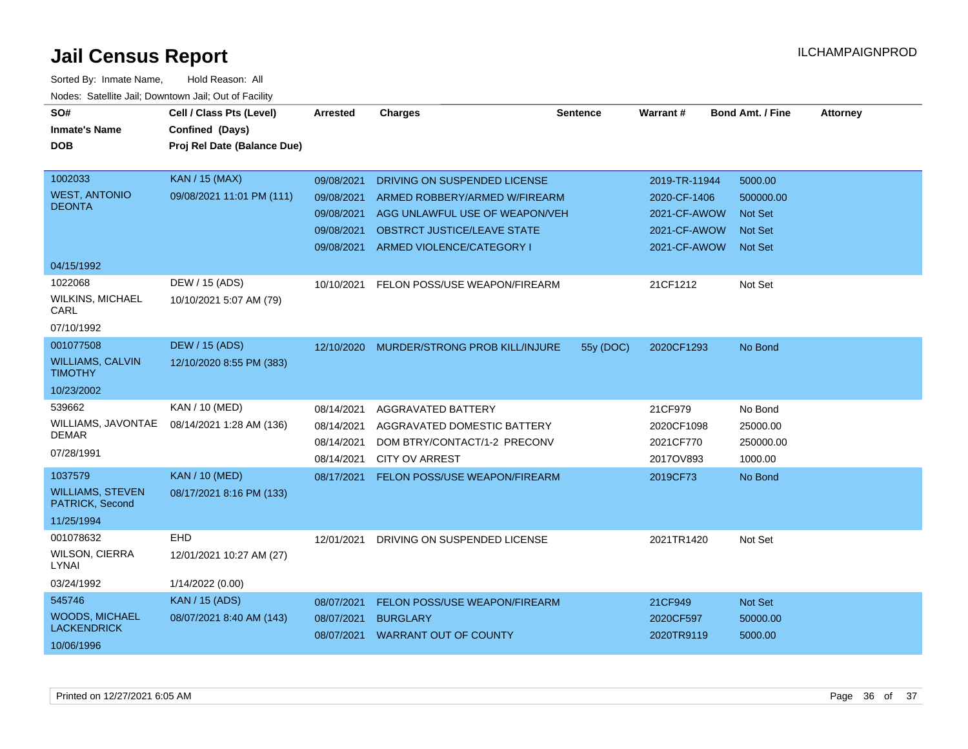| SO#<br><b>Inmate's Name</b><br>DOB          | Cell / Class Pts (Level)<br>Confined (Days)<br>Proj Rel Date (Balance Due) | Arrested   | <b>Charges</b>                     | <b>Sentence</b> | Warrant#      | <b>Bond Amt. / Fine</b> | <b>Attorney</b> |
|---------------------------------------------|----------------------------------------------------------------------------|------------|------------------------------------|-----------------|---------------|-------------------------|-----------------|
|                                             |                                                                            |            |                                    |                 |               |                         |                 |
| 1002033                                     | <b>KAN / 15 (MAX)</b>                                                      | 09/08/2021 | DRIVING ON SUSPENDED LICENSE       |                 | 2019-TR-11944 | 5000.00                 |                 |
| <b>WEST, ANTONIO</b><br><b>DEONTA</b>       | 09/08/2021 11:01 PM (111)                                                  | 09/08/2021 | ARMED ROBBERY/ARMED W/FIREARM      |                 | 2020-CF-1406  | 500000.00               |                 |
|                                             |                                                                            | 09/08/2021 | AGG UNLAWFUL USE OF WEAPON/VEH     |                 | 2021-CF-AWOW  | <b>Not Set</b>          |                 |
|                                             |                                                                            | 09/08/2021 | <b>OBSTRCT JUSTICE/LEAVE STATE</b> |                 | 2021-CF-AWOW  | <b>Not Set</b>          |                 |
|                                             |                                                                            | 09/08/2021 | ARMED VIOLENCE/CATEGORY I          |                 | 2021-CF-AWOW  | <b>Not Set</b>          |                 |
| 04/15/1992                                  |                                                                            |            |                                    |                 |               |                         |                 |
| 1022068                                     | DEW / 15 (ADS)                                                             | 10/10/2021 | FELON POSS/USE WEAPON/FIREARM      |                 | 21CF1212      | Not Set                 |                 |
| <b>WILKINS, MICHAEL</b><br>CARL             | 10/10/2021 5:07 AM (79)                                                    |            |                                    |                 |               |                         |                 |
| 07/10/1992                                  |                                                                            |            |                                    |                 |               |                         |                 |
| 001077508                                   | <b>DEW / 15 (ADS)</b>                                                      | 12/10/2020 | MURDER/STRONG PROB KILL/INJURE     | 55y (DOC)       | 2020CF1293    | No Bond                 |                 |
| <b>WILLIAMS, CALVIN</b><br><b>TIMOTHY</b>   | 12/10/2020 8:55 PM (383)                                                   |            |                                    |                 |               |                         |                 |
| 10/23/2002                                  |                                                                            |            |                                    |                 |               |                         |                 |
| 539662                                      | KAN / 10 (MED)                                                             | 08/14/2021 | AGGRAVATED BATTERY                 |                 | 21CF979       | No Bond                 |                 |
| WILLIAMS, JAVONTAE                          | 08/14/2021 1:28 AM (136)                                                   | 08/14/2021 | AGGRAVATED DOMESTIC BATTERY        |                 | 2020CF1098    | 25000.00                |                 |
| <b>DEMAR</b>                                |                                                                            | 08/14/2021 | DOM BTRY/CONTACT/1-2 PRECONV       |                 | 2021CF770     | 250000.00               |                 |
| 07/28/1991                                  |                                                                            | 08/14/2021 | <b>CITY OV ARREST</b>              |                 | 2017OV893     | 1000.00                 |                 |
| 1037579                                     | <b>KAN / 10 (MED)</b>                                                      | 08/17/2021 | FELON POSS/USE WEAPON/FIREARM      |                 | 2019CF73      | No Bond                 |                 |
| <b>WILLIAMS, STEVEN</b><br>PATRICK, Second  | 08/17/2021 8:16 PM (133)                                                   |            |                                    |                 |               |                         |                 |
| 11/25/1994                                  |                                                                            |            |                                    |                 |               |                         |                 |
| 001078632                                   | EHD                                                                        | 12/01/2021 | DRIVING ON SUSPENDED LICENSE       |                 | 2021TR1420    | Not Set                 |                 |
| WILSON, CIERRA<br>LYNAI                     | 12/01/2021 10:27 AM (27)                                                   |            |                                    |                 |               |                         |                 |
| 03/24/1992                                  | 1/14/2022 (0.00)                                                           |            |                                    |                 |               |                         |                 |
| 545746                                      | <b>KAN / 15 (ADS)</b>                                                      | 08/07/2021 | FELON POSS/USE WEAPON/FIREARM      |                 | 21CF949       | Not Set                 |                 |
| <b>WOODS, MICHAEL</b><br><b>LACKENDRICK</b> | 08/07/2021 8:40 AM (143)                                                   | 08/07/2021 | <b>BURGLARY</b>                    |                 | 2020CF597     | 50000.00                |                 |
| 10/06/1996                                  |                                                                            | 08/07/2021 | <b>WARRANT OUT OF COUNTY</b>       |                 | 2020TR9119    | 5000.00                 |                 |